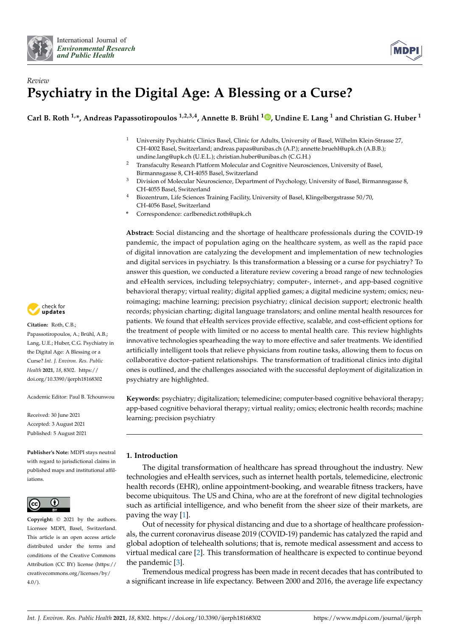



# *Review* **Psychiatry in the Digital Age: A Blessing or a Curse?**

**Carl B. Roth 1,\*, Andreas Papassotiropoulos 1,2,3,4, Annette B. Brühl <sup>1</sup> [,](https://orcid.org/0000-0003-4704-4986) Undine E. Lang <sup>1</sup> and Christian G. Huber <sup>1</sup>**

- <sup>1</sup> University Psychiatric Clinics Basel, Clinic for Adults, University of Basel, Wilhelm Klein-Strasse 27, CH-4002 Basel, Switzerland; andreas.papas@unibas.ch (A.P.); annette.bruehl@upk.ch (A.B.B.); undine.lang@upk.ch (U.E.L.); christian.huber@unibas.ch (C.G.H.)
- <sup>2</sup> Transfaculty Research Platform Molecular and Cognitive Neurosciences, University of Basel, Birmannsgasse 8, CH-4055 Basel, Switzerland
- <sup>3</sup> Division of Molecular Neuroscience, Department of Psychology, University of Basel, Birmannsgasse 8, CH-4055 Basel, Switzerland
- <sup>4</sup> Biozentrum, Life Sciences Training Facility, University of Basel, Klingelbergstrasse 50/70, CH-4056 Basel, Switzerland
- **\*** Correspondence: carlbenedict.roth@upk.ch

**Abstract:** Social distancing and the shortage of healthcare professionals during the COVID-19 pandemic, the impact of population aging on the healthcare system, as well as the rapid pace of digital innovation are catalyzing the development and implementation of new technologies and digital services in psychiatry. Is this transformation a blessing or a curse for psychiatry? To answer this question, we conducted a literature review covering a broad range of new technologies and eHealth services, including telepsychiatry; computer-, internet-, and app-based cognitive behavioral therapy; virtual reality; digital applied games; a digital medicine system; omics; neuroimaging; machine learning; precision psychiatry; clinical decision support; electronic health records; physician charting; digital language translators; and online mental health resources for patients. We found that eHealth services provide effective, scalable, and cost-efficient options for the treatment of people with limited or no access to mental health care. This review highlights innovative technologies spearheading the way to more effective and safer treatments. We identified artificially intelligent tools that relieve physicians from routine tasks, allowing them to focus on collaborative doctor–patient relationships. The transformation of traditional clinics into digital ones is outlined, and the challenges associated with the successful deployment of digitalization in psychiatry are highlighted.

**Keywords:** psychiatry; digitalization; telemedicine; computer-based cognitive behavioral therapy; app-based cognitive behavioral therapy; virtual reality; omics; electronic health records; machine learning; precision psychiatry

# **1. Introduction**

The digital transformation of healthcare has spread throughout the industry. New technologies and eHealth services, such as internet health portals, telemedicine, electronic health records (EHR), online appointment-booking, and wearable fitness trackers, have become ubiquitous. The US and China, who are at the forefront of new digital technologies such as artificial intelligence, and who benefit from the sheer size of their markets, are paving the way [\[1\]](#page-20-0).

Out of necessity for physical distancing and due to a shortage of healthcare professionals, the current coronavirus disease 2019 (COVID-19) pandemic has catalyzed the rapid and global adoption of telehealth solutions; that is, remote medical assessment and access to virtual medical care [\[2\]](#page-20-1). This transformation of healthcare is expected to continue beyond the pandemic [\[3\]](#page-20-2).

Tremendous medical progress has been made in recent decades that has contributed to a significant increase in life expectancy. Between 2000 and 2016, the average life expectancy



**Citation:** Roth, C.B.; Papassotiropoulos, A.; Brühl, A.B.; Lang, U.E.; Huber, C.G. Psychiatry in the Digital Age: A Blessing or a Curse? *Int. J. Environ. Res. Public Health* **2021**, *18*, 8302. [https://](https://doi.org/10.3390/ijerph18168302) [doi.org/10.3390/ijerph18168302](https://doi.org/10.3390/ijerph18168302)

Academic Editor: Paul B. Tchounwou

Received: 30 June 2021 Accepted: 3 August 2021 Published: 5 August 2021

**Publisher's Note:** MDPI stays neutral with regard to jurisdictional claims in published maps and institutional affiliations.



**Copyright:** © 2021 by the authors. Licensee MDPI, Basel, Switzerland. This article is an open access article distributed under the terms and conditions of the Creative Commons Attribution (CC BY) license (https:/[/](https://creativecommons.org/licenses/by/4.0/) [creativecommons.org/licenses/by/](https://creativecommons.org/licenses/by/4.0/)  $4.0/$ ).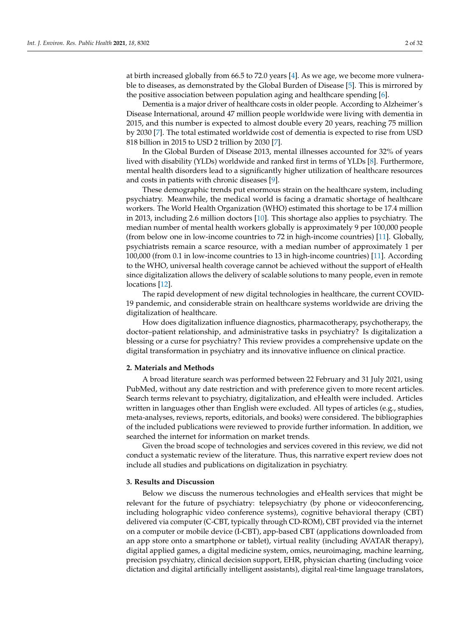at birth increased globally from 66.5 to 72.0 years [\[4\]](#page-20-3). As we age, we become more vulnerable to diseases, as demonstrated by the Global Burden of Disease [\[5\]](#page-20-4). This is mirrored by the positive association between population aging and healthcare spending [\[6\]](#page-20-5).

Dementia is a major driver of healthcare costs in older people. According to Alzheimer's Disease International, around 47 million people worldwide were living with dementia in 2015, and this number is expected to almost double every 20 years, reaching 75 million by 2030 [\[7\]](#page-20-6). The total estimated worldwide cost of dementia is expected to rise from USD 818 billion in 2015 to USD 2 trillion by 2030 [\[7\]](#page-20-6).

In the Global Burden of Disease 2013, mental illnesses accounted for 32% of years lived with disability (YLDs) worldwide and ranked first in terms of YLDs [\[8\]](#page-20-7). Furthermore, mental health disorders lead to a significantly higher utilization of healthcare resources and costs in patients with chronic diseases [\[9\]](#page-20-8).

These demographic trends put enormous strain on the healthcare system, including psychiatry. Meanwhile, the medical world is facing a dramatic shortage of healthcare workers. The World Health Organization (WHO) estimated this shortage to be 17.4 million in 2013, including 2.6 million doctors [\[10\]](#page-20-9). This shortage also applies to psychiatry. The median number of mental health workers globally is approximately 9 per 100,000 people (from below one in low-income countries to 72 in high-income countries) [\[11\]](#page-20-10). Globally, psychiatrists remain a scarce resource, with a median number of approximately 1 per 100,000 (from 0.1 in low-income countries to 13 in high-income countries) [\[11\]](#page-20-10). According to the WHO, universal health coverage cannot be achieved without the support of eHealth since digitalization allows the delivery of scalable solutions to many people, even in remote locations [\[12\]](#page-20-11).

The rapid development of new digital technologies in healthcare, the current COVID-19 pandemic, and considerable strain on healthcare systems worldwide are driving the digitalization of healthcare.

How does digitalization influence diagnostics, pharmacotherapy, psychotherapy, the doctor–patient relationship, and administrative tasks in psychiatry? Is digitalization a blessing or a curse for psychiatry? This review provides a comprehensive update on the digital transformation in psychiatry and its innovative influence on clinical practice.

#### **2. Materials and Methods**

A broad literature search was performed between 22 February and 31 July 2021, using PubMed, without any date restriction and with preference given to more recent articles. Search terms relevant to psychiatry, digitalization, and eHealth were included. Articles written in languages other than English were excluded. All types of articles (e.g., studies, meta-analyses, reviews, reports, editorials, and books) were considered. The bibliographies of the included publications were reviewed to provide further information. In addition, we searched the internet for information on market trends.

Given the broad scope of technologies and services covered in this review, we did not conduct a systematic review of the literature. Thus, this narrative expert review does not include all studies and publications on digitalization in psychiatry.

## **3. Results and Discussion**

Below we discuss the numerous technologies and eHealth services that might be relevant for the future of psychiatry: telepsychiatry (by phone or videoconferencing, including holographic video conference systems), cognitive behavioral therapy (CBT) delivered via computer (C-CBT, typically through CD-ROM), CBT provided via the internet on a computer or mobile device (I-CBT), app-based CBT (applications downloaded from an app store onto a smartphone or tablet), virtual reality (including AVATAR therapy), digital applied games, a digital medicine system, omics, neuroimaging, machine learning, precision psychiatry, clinical decision support, EHR, physician charting (including voice dictation and digital artificially intelligent assistants), digital real-time language translators,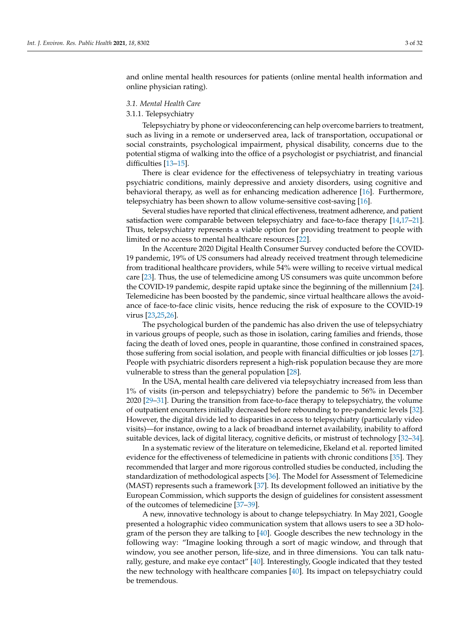and online mental health resources for patients (online mental health information and online physician rating).

## *3.1. Mental Health Care*

#### 3.1.1. Telepsychiatry

Telepsychiatry by phone or videoconferencing can help overcome barriers to treatment, such as living in a remote or underserved area, lack of transportation, occupational or social constraints, psychological impairment, physical disability, concerns due to the potential stigma of walking into the office of a psychologist or psychiatrist, and financial difficulties [\[13–](#page-20-12)[15\]](#page-20-13).

There is clear evidence for the effectiveness of telepsychiatry in treating various psychiatric conditions, mainly depressive and anxiety disorders, using cognitive and behavioral therapy, as well as for enhancing medication adherence [\[16\]](#page-20-14). Furthermore, telepsychiatry has been shown to allow volume-sensitive cost-saving [\[16\]](#page-20-14).

Several studies have reported that clinical effectiveness, treatment adherence, and patient satisfaction were comparable between telepsychiatry and face-to-face therapy [\[14,](#page-20-15)[17–](#page-20-16)[21\]](#page-20-17). Thus, telepsychiatry represents a viable option for providing treatment to people with limited or no access to mental healthcare resources [\[22\]](#page-20-18).

In the Accenture 2020 Digital Health Consumer Survey conducted before the COVID-19 pandemic, 19% of US consumers had already received treatment through telemedicine from traditional healthcare providers, while 54% were willing to receive virtual medical care [\[23\]](#page-20-19). Thus, the use of telemedicine among US consumers was quite uncommon before the COVID-19 pandemic, despite rapid uptake since the beginning of the millennium [\[24\]](#page-20-20). Telemedicine has been boosted by the pandemic, since virtual healthcare allows the avoidance of face-to-face clinic visits, hence reducing the risk of exposure to the COVID-19 virus [\[23](#page-20-19)[,25](#page-20-21)[,26\]](#page-20-22).

The psychological burden of the pandemic has also driven the use of telepsychiatry in various groups of people, such as those in isolation, caring families and friends, those facing the death of loved ones, people in quarantine, those confined in constrained spaces, those suffering from social isolation, and people with financial difficulties or job losses [\[27\]](#page-20-23). People with psychiatric disorders represent a high-risk population because they are more vulnerable to stress than the general population [\[28\]](#page-20-24).

In the USA, mental health care delivered via telepsychiatry increased from less than 1% of visits (in-person and telepsychiatry) before the pandemic to 56% in December 2020 [\[29–](#page-21-0)[31\]](#page-21-1). During the transition from face-to-face therapy to telepsychiatry, the volume of outpatient encounters initially decreased before rebounding to pre-pandemic levels [\[32\]](#page-21-2). However, the digital divide led to disparities in access to telepsychiatry (particularly video visits)—for instance, owing to a lack of broadband internet availability, inability to afford suitable devices, lack of digital literacy, cognitive deficits, or mistrust of technology [\[32](#page-21-2)[–34\]](#page-21-3).

In a systematic review of the literature on telemedicine, Ekeland et al. reported limited evidence for the effectiveness of telemedicine in patients with chronic conditions [\[35\]](#page-21-4). They recommended that larger and more rigorous controlled studies be conducted, including the standardization of methodological aspects [\[36\]](#page-21-5). The Model for Assessment of Telemedicine (MAST) represents such a framework [\[37\]](#page-21-6). Its development followed an initiative by the European Commission, which supports the design of guidelines for consistent assessment of the outcomes of telemedicine [\[37–](#page-21-6)[39\]](#page-21-7).

A new, innovative technology is about to change telepsychiatry. In May 2021, Google presented a holographic video communication system that allows users to see a 3D hologram of the person they are talking to  $[40]$ . Google describes the new technology in the following way: "Imagine looking through a sort of magic window, and through that window, you see another person, life-size, and in three dimensions. You can talk naturally, gesture, and make eye contact" [\[40\]](#page-21-8). Interestingly, Google indicated that they tested the new technology with healthcare companies [\[40\]](#page-21-8). Its impact on telepsychiatry could be tremendous.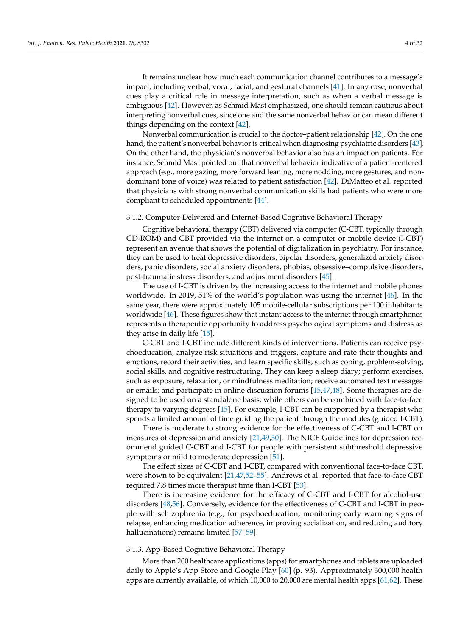It remains unclear how much each communication channel contributes to a message's impact, including verbal, vocal, facial, and gestural channels [\[41\]](#page-21-9). In any case, nonverbal cues play a critical role in message interpretation, such as when a verbal message is ambiguous [\[42\]](#page-21-10). However, as Schmid Mast emphasized, one should remain cautious about interpreting nonverbal cues, since one and the same nonverbal behavior can mean different things depending on the context [\[42\]](#page-21-10).

Nonverbal communication is crucial to the doctor–patient relationship [\[42\]](#page-21-10). On the one hand, the patient's nonverbal behavior is critical when diagnosing psychiatric disorders [\[43\]](#page-21-11). On the other hand, the physician's nonverbal behavior also has an impact on patients. For instance, Schmid Mast pointed out that nonverbal behavior indicative of a patient-centered approach (e.g., more gazing, more forward leaning, more nodding, more gestures, and nondominant tone of voice) was related to patient satisfaction [\[42\]](#page-21-10). DiMatteo et al. reported that physicians with strong nonverbal communication skills had patients who were more compliant to scheduled appointments [\[44\]](#page-21-12).

#### 3.1.2. Computer-Delivered and Internet-Based Cognitive Behavioral Therapy

Cognitive behavioral therapy (CBT) delivered via computer (C-CBT, typically through CD-ROM) and CBT provided via the internet on a computer or mobile device (I-CBT) represent an avenue that shows the potential of digitalization in psychiatry. For instance, they can be used to treat depressive disorders, bipolar disorders, generalized anxiety disorders, panic disorders, social anxiety disorders, phobias, obsessive–compulsive disorders, post-traumatic stress disorders, and adjustment disorders [\[45\]](#page-21-13).

The use of I-CBT is driven by the increasing access to the internet and mobile phones worldwide. In 2019, 51% of the world's population was using the internet [\[46\]](#page-21-14). In the same year, there were approximately 105 mobile-cellular subscriptions per 100 inhabitants worldwide [\[46\]](#page-21-14). These figures show that instant access to the internet through smartphones represents a therapeutic opportunity to address psychological symptoms and distress as they arise in daily life [\[15\]](#page-20-13).

C-CBT and I-CBT include different kinds of interventions. Patients can receive psychoeducation, analyze risk situations and triggers, capture and rate their thoughts and emotions, record their activities, and learn specific skills, such as coping, problem-solving, social skills, and cognitive restructuring. They can keep a sleep diary; perform exercises, such as exposure, relaxation, or mindfulness meditation; receive automated text messages or emails; and participate in online discussion forums [\[15,](#page-20-13)[47,](#page-21-15)[48\]](#page-21-16). Some therapies are designed to be used on a standalone basis, while others can be combined with face-to-face therapy to varying degrees [\[15\]](#page-20-13). For example, I-CBT can be supported by a therapist who spends a limited amount of time guiding the patient through the modules (guided I-CBT).

There is moderate to strong evidence for the effectiveness of C-CBT and I-CBT on measures of depression and anxiety [\[21,](#page-20-17)[49,](#page-21-17)[50\]](#page-21-18). The NICE Guidelines for depression recommend guided C-CBT and I-CBT for people with persistent subthreshold depressive symptoms or mild to moderate depression [\[51\]](#page-21-19).

The effect sizes of C-CBT and I-CBT, compared with conventional face-to-face CBT, were shown to be equivalent [\[21,](#page-20-17)[47,](#page-21-15)[52](#page-21-20)[–55\]](#page-22-0). Andrews et al. reported that face-to-face CBT required 7.8 times more therapist time than I-CBT [\[53\]](#page-21-21).

There is increasing evidence for the efficacy of C-CBT and I-CBT for alcohol-use disorders [\[48](#page-21-16)[,56\]](#page-22-1). Conversely, evidence for the effectiveness of C-CBT and I-CBT in people with schizophrenia (e.g., for psychoeducation, monitoring early warning signs of relapse, enhancing medication adherence, improving socialization, and reducing auditory hallucinations) remains limited [\[57](#page-22-2)[–59\]](#page-22-3).

## 3.1.3. App-Based Cognitive Behavioral Therapy

More than 200 healthcare applications (apps) for smartphones and tablets are uploaded daily to Apple's App Store and Google Play [\[60\]](#page-22-4) (p. 93). Approximately 300,000 health apps are currently available, of which 10,000 to 20,000 are mental health apps [\[61](#page-22-5)[,62\]](#page-22-6). These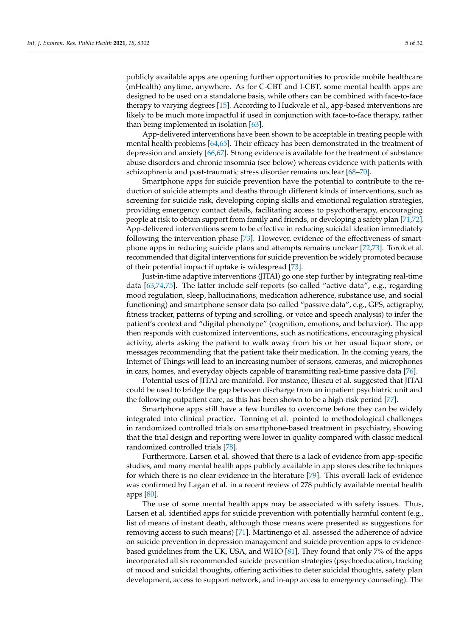publicly available apps are opening further opportunities to provide mobile healthcare (mHealth) anytime, anywhere. As for C-CBT and I-CBT, some mental health apps are designed to be used on a standalone basis, while others can be combined with face-to-face therapy to varying degrees [\[15\]](#page-20-13). According to Huckvale et al., app-based interventions are likely to be much more impactful if used in conjunction with face-to-face therapy, rather than being implemented in isolation [\[63\]](#page-22-7).

App-delivered interventions have been shown to be acceptable in treating people with mental health problems [\[64,](#page-22-8)[65\]](#page-22-9). Their efficacy has been demonstrated in the treatment of depression and anxiety [\[66](#page-22-10)[,67\]](#page-22-11). Strong evidence is available for the treatment of substance abuse disorders and chronic insomnia (see below) whereas evidence with patients with schizophrenia and post-traumatic stress disorder remains unclear [\[68](#page-22-12)[–70\]](#page-22-13).

Smartphone apps for suicide prevention have the potential to contribute to the reduction of suicide attempts and deaths through different kinds of interventions, such as screening for suicide risk, developing coping skills and emotional regulation strategies, providing emergency contact details, facilitating access to psychotherapy, encouraging people at risk to obtain support from family and friends, or developing a safety plan [\[71](#page-22-14)[,72\]](#page-22-15). App-delivered interventions seem to be effective in reducing suicidal ideation immediately following the intervention phase [\[73\]](#page-22-16). However, evidence of the effectiveness of smartphone apps in reducing suicide plans and attempts remains unclear [\[72](#page-22-15)[,73\]](#page-22-16). Torok et al. recommended that digital interventions for suicide prevention be widely promoted because of their potential impact if uptake is widespread [\[73\]](#page-22-16).

Just-in-time adaptive interventions (JITAI) go one step further by integrating real-time data [\[63](#page-22-7)[,74](#page-22-17)[,75\]](#page-22-18). The latter include self-reports (so-called "active data", e.g., regarding mood regulation, sleep, hallucinations, medication adherence, substance use, and social functioning) and smartphone sensor data (so-called "passive data", e.g., GPS, actigraphy, fitness tracker, patterns of typing and scrolling, or voice and speech analysis) to infer the patient's context and "digital phenotype" (cognition, emotions, and behavior). The app then responds with customized interventions, such as notifications, encouraging physical activity, alerts asking the patient to walk away from his or her usual liquor store, or messages recommending that the patient take their medication. In the coming years, the Internet of Things will lead to an increasing number of sensors, cameras, and microphones in cars, homes, and everyday objects capable of transmitting real-time passive data [\[76\]](#page-22-19).

Potential uses of JITAI are manifold. For instance, Iliescu et al. suggested that JITAI could be used to bridge the gap between discharge from an inpatient psychiatric unit and the following outpatient care, as this has been shown to be a high-risk period [\[77\]](#page-22-20).

Smartphone apps still have a few hurdles to overcome before they can be widely integrated into clinical practice. Tonning et al. pointed to methodological challenges in randomized controlled trials on smartphone-based treatment in psychiatry, showing that the trial design and reporting were lower in quality compared with classic medical randomized controlled trials [\[78\]](#page-22-21).

Furthermore, Larsen et al. showed that there is a lack of evidence from app-specific studies, and many mental health apps publicly available in app stores describe techniques for which there is no clear evidence in the literature [\[79\]](#page-22-22). This overall lack of evidence was confirmed by Lagan et al. in a recent review of 278 publicly available mental health apps [\[80\]](#page-22-23).

The use of some mental health apps may be associated with safety issues. Thus, Larsen et al. identified apps for suicide prevention with potentially harmful content (e.g., list of means of instant death, although those means were presented as suggestions for removing access to such means) [\[71\]](#page-22-14). Martinengo et al. assessed the adherence of advice on suicide prevention in depression management and suicide prevention apps to evidencebased guidelines from the UK, USA, and WHO [\[81\]](#page-23-0). They found that only 7% of the apps incorporated all six recommended suicide prevention strategies (psychoeducation, tracking of mood and suicidal thoughts, offering activities to deter suicidal thoughts, safety plan development, access to support network, and in-app access to emergency counseling). The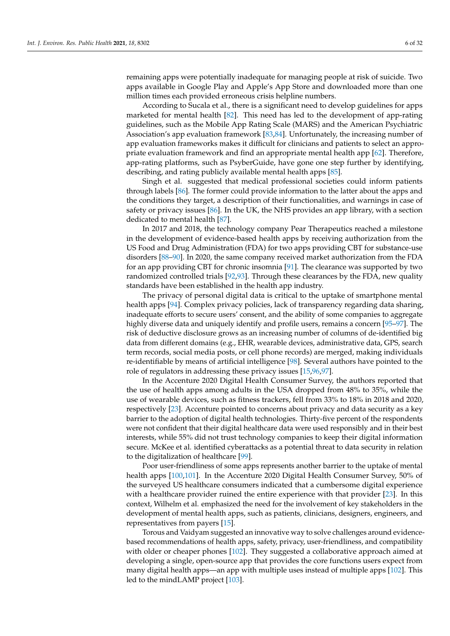remaining apps were potentially inadequate for managing people at risk of suicide. Two apps available in Google Play and Apple's App Store and downloaded more than one million times each provided erroneous crisis helpline numbers.

According to Sucala et al., there is a significant need to develop guidelines for apps marketed for mental health [\[82\]](#page-23-1). This need has led to the development of app-rating guidelines, such as the Mobile App Rating Scale (MARS) and the American Psychiatric Association's app evaluation framework [\[83,](#page-23-2)[84\]](#page-23-3). Unfortunately, the increasing number of app evaluation frameworks makes it difficult for clinicians and patients to select an appropriate evaluation framework and find an appropriate mental health app [\[62\]](#page-22-6). Therefore, app-rating platforms, such as PsyberGuide, have gone one step further by identifying, describing, and rating publicly available mental health apps [\[85\]](#page-23-4).

Singh et al. suggested that medical professional societies could inform patients through labels [\[86\]](#page-23-5). The former could provide information to the latter about the apps and the conditions they target, a description of their functionalities, and warnings in case of safety or privacy issues [\[86\]](#page-23-5). In the UK, the NHS provides an app library, with a section dedicated to mental health [\[87\]](#page-23-6).

In 2017 and 2018, the technology company Pear Therapeutics reached a milestone in the development of evidence-based health apps by receiving authorization from the US Food and Drug Administration (FDA) for two apps providing CBT for substance-use disorders [\[88](#page-23-7)[–90\]](#page-23-8). In 2020, the same company received market authorization from the FDA for an app providing CBT for chronic insomnia [\[91\]](#page-23-9). The clearance was supported by two randomized controlled trials [\[92](#page-23-10)[,93\]](#page-23-11). Through these clearances by the FDA, new quality standards have been established in the health app industry.

The privacy of personal digital data is critical to the uptake of smartphone mental health apps [\[94\]](#page-23-12). Complex privacy policies, lack of transparency regarding data sharing, inadequate efforts to secure users' consent, and the ability of some companies to aggregate highly diverse data and uniquely identify and profile users, remains a concern [\[95](#page-23-13)[–97\]](#page-23-14). The risk of deductive disclosure grows as an increasing number of columns of de-identified big data from different domains (e.g., EHR, wearable devices, administrative data, GPS, search term records, social media posts, or cell phone records) are merged, making individuals re-identifiable by means of artificial intelligence [\[98\]](#page-23-15). Several authors have pointed to the role of regulators in addressing these privacy issues [\[15,](#page-20-13)[96](#page-23-16)[,97\]](#page-23-14).

In the Accenture 2020 Digital Health Consumer Survey, the authors reported that the use of health apps among adults in the USA dropped from 48% to 35%, while the use of wearable devices, such as fitness trackers, fell from 33% to 18% in 2018 and 2020, respectively [\[23\]](#page-20-19). Accenture pointed to concerns about privacy and data security as a key barrier to the adoption of digital health technologies. Thirty-five percent of the respondents were not confident that their digital healthcare data were used responsibly and in their best interests, while 55% did not trust technology companies to keep their digital information secure. McKee et al. identified cyberattacks as a potential threat to data security in relation to the digitalization of healthcare [\[99\]](#page-23-17).

Poor user-friendliness of some apps represents another barrier to the uptake of mental health apps [\[100](#page-23-18)[,101\]](#page-23-19). In the Accenture 2020 Digital Health Consumer Survey, 50% of the surveyed US healthcare consumers indicated that a cumbersome digital experience with a healthcare provider ruined the entire experience with that provider [\[23\]](#page-20-19). In this context, Wilhelm et al. emphasized the need for the involvement of key stakeholders in the development of mental health apps, such as patients, clinicians, designers, engineers, and representatives from payers [\[15\]](#page-20-13).

Torous and Vaidyam suggested an innovative way to solve challenges around evidencebased recommendations of health apps, safety, privacy, user-friendliness, and compatibility with older or cheaper phones [\[102\]](#page-23-20). They suggested a collaborative approach aimed at developing a single, open-source app that provides the core functions users expect from many digital health apps—an app with multiple uses instead of multiple apps [\[102\]](#page-23-20). This led to the mindLAMP project [\[103\]](#page-23-21).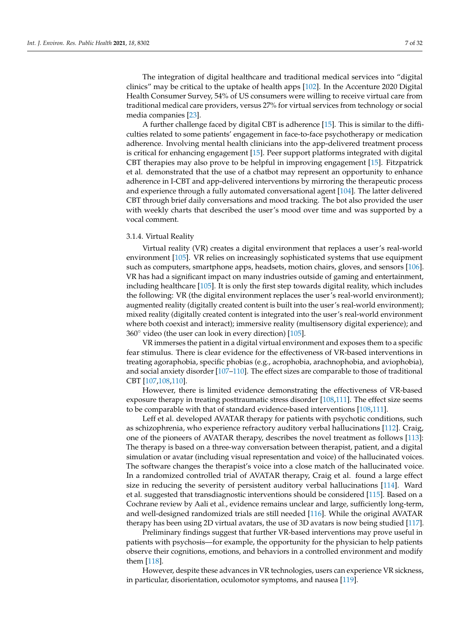The integration of digital healthcare and traditional medical services into "digital clinics" may be critical to the uptake of health apps [\[102\]](#page-23-20). In the Accenture 2020 Digital Health Consumer Survey, 54% of US consumers were willing to receive virtual care from traditional medical care providers, versus 27% for virtual services from technology or social media companies [\[23\]](#page-20-19).

A further challenge faced by digital CBT is adherence [\[15\]](#page-20-13). This is similar to the difficulties related to some patients' engagement in face-to-face psychotherapy or medication adherence. Involving mental health clinicians into the app-delivered treatment process is critical for enhancing engagement [\[15\]](#page-20-13). Peer support platforms integrated with digital CBT therapies may also prove to be helpful in improving engagement [\[15\]](#page-20-13). Fitzpatrick et al. demonstrated that the use of a chatbot may represent an opportunity to enhance adherence in I-CBT and app-delivered interventions by mirroring the therapeutic process and experience through a fully automated conversational agent [\[104\]](#page-23-22). The latter delivered CBT through brief daily conversations and mood tracking. The bot also provided the user with weekly charts that described the user's mood over time and was supported by a vocal comment.

#### 3.1.4. Virtual Reality

Virtual reality (VR) creates a digital environment that replaces a user's real-world environment [\[105\]](#page-23-23). VR relies on increasingly sophisticated systems that use equipment such as computers, smartphone apps, headsets, motion chairs, gloves, and sensors [\[106\]](#page-23-24). VR has had a significant impact on many industries outside of gaming and entertainment, including healthcare [\[105\]](#page-23-23). It is only the first step towards digital reality, which includes the following: VR (the digital environment replaces the user's real-world environment); augmented reality (digitally created content is built into the user's real-world environment); mixed reality (digitally created content is integrated into the user's real-world environment where both coexist and interact); immersive reality (multisensory digital experience); and  $360°$  video (the user can look in every direction) [ $105$ ].

VR immerses the patient in a digital virtual environment and exposes them to a specific fear stimulus. There is clear evidence for the effectiveness of VR-based interventions in treating agoraphobia, specific phobias (e.g., acrophobia, arachnophobia, and aviophobia), and social anxiety disorder [\[107](#page-23-25)[–110\]](#page-24-0). The effect sizes are comparable to those of traditional CBT [\[107](#page-23-25)[,108,](#page-24-1)[110\]](#page-24-0).

However, there is limited evidence demonstrating the effectiveness of VR-based exposure therapy in treating posttraumatic stress disorder [\[108](#page-24-1)[,111\]](#page-24-2). The effect size seems to be comparable with that of standard evidence-based interventions [\[108,](#page-24-1)[111\]](#page-24-2).

Leff et al. developed AVATAR therapy for patients with psychotic conditions, such as schizophrenia, who experience refractory auditory verbal hallucinations [\[112\]](#page-24-3). Craig, one of the pioneers of AVATAR therapy, describes the novel treatment as follows [\[113\]](#page-24-4): The therapy is based on a three-way conversation between therapist, patient, and a digital simulation or avatar (including visual representation and voice) of the hallucinated voices. The software changes the therapist's voice into a close match of the hallucinated voice. In a randomized controlled trial of AVATAR therapy, Craig et al. found a large effect size in reducing the severity of persistent auditory verbal hallucinations [\[114\]](#page-24-5). Ward et al. suggested that transdiagnostic interventions should be considered [\[115\]](#page-24-6). Based on a Cochrane review by Aali et al., evidence remains unclear and large, sufficiently long-term, and well-designed randomized trials are still needed [\[116\]](#page-24-7). While the original AVATAR therapy has been using 2D virtual avatars, the use of 3D avatars is now being studied [\[117\]](#page-24-8).

Preliminary findings suggest that further VR-based interventions may prove useful in patients with psychosis—for example, the opportunity for the physician to help patients observe their cognitions, emotions, and behaviors in a controlled environment and modify them [\[118\]](#page-24-9).

However, despite these advances in VR technologies, users can experience VR sickness, in particular, disorientation, oculomotor symptoms, and nausea [\[119\]](#page-24-10).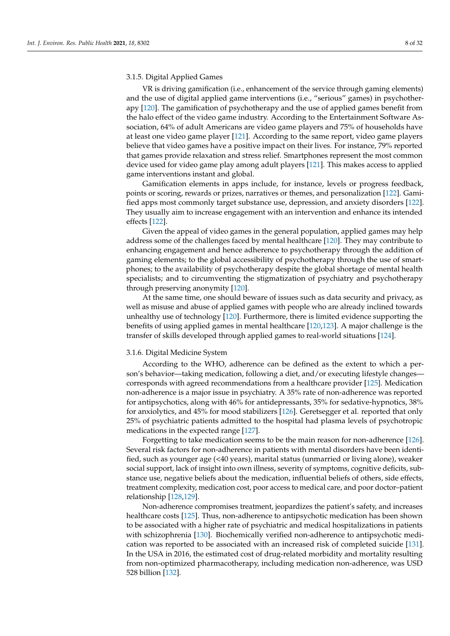## 3.1.5. Digital Applied Games

VR is driving gamification (i.e., enhancement of the service through gaming elements) and the use of digital applied game interventions (i.e., "serious" games) in psychotherapy [\[120\]](#page-24-11). The gamification of psychotherapy and the use of applied games benefit from the halo effect of the video game industry. According to the Entertainment Software Association, 64% of adult Americans are video game players and 75% of households have at least one video game player [\[121\]](#page-24-12). According to the same report, video game players believe that video games have a positive impact on their lives. For instance, 79% reported that games provide relaxation and stress relief. Smartphones represent the most common device used for video game play among adult players [\[121\]](#page-24-12). This makes access to applied game interventions instant and global.

Gamification elements in apps include, for instance, levels or progress feedback, points or scoring, rewards or prizes, narratives or themes, and personalization [\[122\]](#page-24-13). Gamified apps most commonly target substance use, depression, and anxiety disorders [\[122\]](#page-24-13). They usually aim to increase engagement with an intervention and enhance its intended effects [\[122\]](#page-24-13).

Given the appeal of video games in the general population, applied games may help address some of the challenges faced by mental healthcare [\[120\]](#page-24-11). They may contribute to enhancing engagement and hence adherence to psychotherapy through the addition of gaming elements; to the global accessibility of psychotherapy through the use of smartphones; to the availability of psychotherapy despite the global shortage of mental health specialists; and to circumventing the stigmatization of psychiatry and psychotherapy through preserving anonymity [\[120\]](#page-24-11).

At the same time, one should beware of issues such as data security and privacy, as well as misuse and abuse of applied games with people who are already inclined towards unhealthy use of technology [\[120\]](#page-24-11). Furthermore, there is limited evidence supporting the benefits of using applied games in mental healthcare [\[120](#page-24-11)[,123\]](#page-24-14). A major challenge is the transfer of skills developed through applied games to real-world situations [\[124\]](#page-24-15).

#### 3.1.6. Digital Medicine System

According to the WHO, adherence can be defined as the extent to which a person's behavior—taking medication, following a diet, and/or executing lifestyle changes corresponds with agreed recommendations from a healthcare provider [\[125\]](#page-24-16). Medication non-adherence is a major issue in psychiatry. A 35% rate of non-adherence was reported for antipsychotics, along with 46% for antidepressants, 35% for sedative-hypnotics, 38% for anxiolytics, and 45% for mood stabilizers [\[126\]](#page-24-17). Geretsegger et al. reported that only 25% of psychiatric patients admitted to the hospital had plasma levels of psychotropic medications in the expected range [\[127\]](#page-24-18).

Forgetting to take medication seems to be the main reason for non-adherence [\[126\]](#page-24-17). Several risk factors for non-adherence in patients with mental disorders have been identified, such as younger age (<40 years), marital status (unmarried or living alone), weaker social support, lack of insight into own illness, severity of symptoms, cognitive deficits, substance use, negative beliefs about the medication, influential beliefs of others, side effects, treatment complexity, medication cost, poor access to medical care, and poor doctor–patient relationship [\[128,](#page-24-19)[129\]](#page-24-20).

Non-adherence compromises treatment, jeopardizes the patient's safety, and increases healthcare costs [\[125\]](#page-24-16). Thus, non-adherence to antipsychotic medication has been shown to be associated with a higher rate of psychiatric and medical hospitalizations in patients with schizophrenia [\[130\]](#page-24-21). Biochemically verified non-adherence to antipsychotic medication was reported to be associated with an increased risk of completed suicide [\[131\]](#page-24-22). In the USA in 2016, the estimated cost of drug-related morbidity and mortality resulting from non-optimized pharmacotherapy, including medication non-adherence, was USD 528 billion [\[132\]](#page-24-23).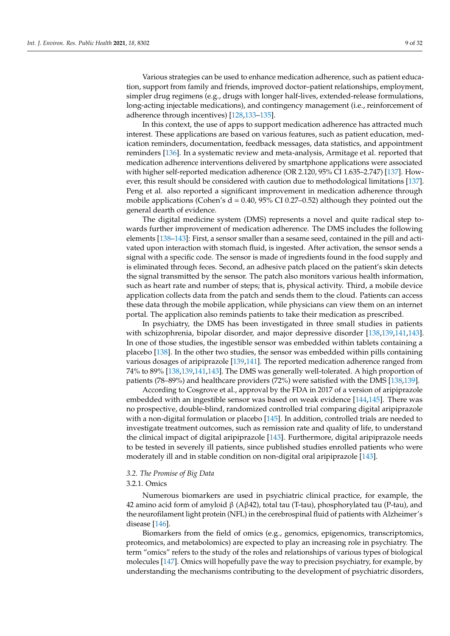Various strategies can be used to enhance medication adherence, such as patient education, support from family and friends, improved doctor–patient relationships, employment, simpler drug regimens (e.g., drugs with longer half-lives, extended-release formulations, long-acting injectable medications), and contingency management (i.e., reinforcement of

In this context, the use of apps to support medication adherence has attracted much interest. These applications are based on various features, such as patient education, medication reminders, documentation, feedback messages, data statistics, and appointment reminders [\[136\]](#page-25-1). In a systematic review and meta-analysis, Armitage et al. reported that medication adherence interventions delivered by smartphone applications were associated with higher self-reported medication adherence (OR 2.120, 95% CI 1.635–2.747) [\[137\]](#page-25-2). However, this result should be considered with caution due to methodological limitations [\[137\]](#page-25-2). Peng et al. also reported a significant improvement in medication adherence through mobile applications (Cohen's  $d = 0.40$ , 95% CI 0.27–0.52) although they pointed out the general dearth of evidence.

adherence through incentives) [\[128,](#page-24-19)[133–](#page-24-24)[135\]](#page-25-0).

The digital medicine system (DMS) represents a novel and quite radical step towards further improvement of medication adherence. The DMS includes the following elements [\[138](#page-25-3)[–143\]](#page-25-4): First, a sensor smaller than a sesame seed, contained in the pill and activated upon interaction with stomach fluid, is ingested. After activation, the sensor sends a signal with a specific code. The sensor is made of ingredients found in the food supply and is eliminated through feces. Second, an adhesive patch placed on the patient's skin detects the signal transmitted by the sensor. The patch also monitors various health information, such as heart rate and number of steps; that is, physical activity. Third, a mobile device application collects data from the patch and sends them to the cloud. Patients can access these data through the mobile application, while physicians can view them on an internet portal. The application also reminds patients to take their medication as prescribed.

In psychiatry, the DMS has been investigated in three small studies in patients with schizophrenia, bipolar disorder, and major depressive disorder [\[138,](#page-25-3)[139,](#page-25-5)[141,](#page-25-6)[143\]](#page-25-4). In one of those studies, the ingestible sensor was embedded within tablets containing a placebo [\[138\]](#page-25-3). In the other two studies, the sensor was embedded within pills containing various dosages of aripiprazole [\[139,](#page-25-5)[141\]](#page-25-6). The reported medication adherence ranged from 74% to 89% [\[138,](#page-25-3)[139,](#page-25-5)[141](#page-25-6)[,143\]](#page-25-4). The DMS was generally well-tolerated. A high proportion of patients (78–89%) and healthcare providers (72%) were satisfied with the DMS [\[138,](#page-25-3)[139\]](#page-25-5).

According to Cosgrove et al., approval by the FDA in 2017 of a version of aripiprazole embedded with an ingestible sensor was based on weak evidence [\[144](#page-25-7)[,145\]](#page-25-8). There was no prospective, double-blind, randomized controlled trial comparing digital aripiprazole with a non-digital formulation or placebo [\[145\]](#page-25-8). In addition, controlled trials are needed to investigate treatment outcomes, such as remission rate and quality of life, to understand the clinical impact of digital aripiprazole [\[143\]](#page-25-4). Furthermore, digital aripiprazole needs to be tested in severely ill patients, since published studies enrolled patients who were moderately ill and in stable condition on non-digital oral aripiprazole [\[143\]](#page-25-4).

#### *3.2. The Promise of Big Data*

## 3.2.1. Omics

Numerous biomarkers are used in psychiatric clinical practice, for example, the 42 amino acid form of amyloid  $β$  (A $β$ 42), total tau (T-tau), phosphorylated tau (P-tau), and the neurofilament light protein (NFL) in the cerebrospinal fluid of patients with Alzheimer's disease [\[146\]](#page-25-9).

Biomarkers from the field of omics (e.g., genomics, epigenomics, transcriptomics, proteomics, and metabolomics) are expected to play an increasing role in psychiatry. The term "omics" refers to the study of the roles and relationships of various types of biological molecules [\[147\]](#page-25-10). Omics will hopefully pave the way to precision psychiatry, for example, by understanding the mechanisms contributing to the development of psychiatric disorders,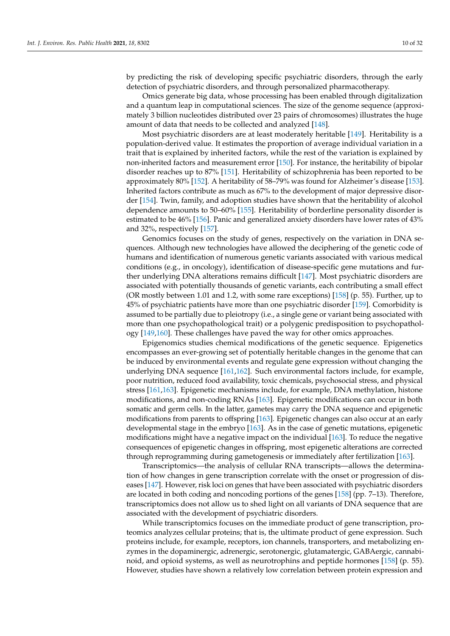by predicting the risk of developing specific psychiatric disorders, through the early detection of psychiatric disorders, and through personalized pharmacotherapy.

Omics generate big data, whose processing has been enabled through digitalization and a quantum leap in computational sciences. The size of the genome sequence (approximately 3 billion nucleotides distributed over 23 pairs of chromosomes) illustrates the huge amount of data that needs to be collected and analyzed [\[148\]](#page-25-11).

Most psychiatric disorders are at least moderately heritable [\[149\]](#page-25-12). Heritability is a population-derived value. It estimates the proportion of average individual variation in a trait that is explained by inherited factors, while the rest of the variation is explained by non-inherited factors and measurement error [\[150\]](#page-25-13). For instance, the heritability of bipolar disorder reaches up to 87% [\[151\]](#page-25-14). Heritability of schizophrenia has been reported to be approximately 80% [\[152\]](#page-25-15). A heritability of 58–79% was found for Alzheimer's disease [\[153\]](#page-25-16). Inherited factors contribute as much as 67% to the development of major depressive disorder [\[154\]](#page-25-17). Twin, family, and adoption studies have shown that the heritability of alcohol dependence amounts to 50–60% [\[155\]](#page-25-18). Heritability of borderline personality disorder is estimated to be 46% [\[156\]](#page-25-19). Panic and generalized anxiety disorders have lower rates of 43% and 32%, respectively [\[157\]](#page-25-20).

Genomics focuses on the study of genes, respectively on the variation in DNA sequences. Although new technologies have allowed the deciphering of the genetic code of humans and identification of numerous genetic variants associated with various medical conditions (e.g., in oncology), identification of disease-specific gene mutations and further underlying DNA alterations remains difficult [\[147\]](#page-25-10). Most psychiatric disorders are associated with potentially thousands of genetic variants, each contributing a small effect (OR mostly between 1.01 and 1.2, with some rare exceptions) [\[158\]](#page-26-0) (p. 55). Further, up to 45% of psychiatric patients have more than one psychiatric disorder [\[159\]](#page-26-1). Comorbidity is assumed to be partially due to pleiotropy (i.e., a single gene or variant being associated with more than one psychopathological trait) or a polygenic predisposition to psychopathology [\[149,](#page-25-12)[160\]](#page-26-2). These challenges have paved the way for other omics approaches.

Epigenomics studies chemical modifications of the genetic sequence. Epigenetics encompasses an ever-growing set of potentially heritable changes in the genome that can be induced by environmental events and regulate gene expression without changing the underlying DNA sequence [\[161,](#page-26-3)[162\]](#page-26-4). Such environmental factors include, for example, poor nutrition, reduced food availability, toxic chemicals, psychosocial stress, and physical stress [\[161,](#page-26-3)[163\]](#page-26-5). Epigenetic mechanisms include, for example, DNA methylation, histone modifications, and non-coding RNAs [\[163\]](#page-26-5). Epigenetic modifications can occur in both somatic and germ cells. In the latter, gametes may carry the DNA sequence and epigenetic modifications from parents to offspring [\[163\]](#page-26-5). Epigenetic changes can also occur at an early developmental stage in the embryo [\[163\]](#page-26-5). As in the case of genetic mutations, epigenetic modifications might have a negative impact on the individual [\[163\]](#page-26-5). To reduce the negative consequences of epigenetic changes in offspring, most epigenetic alterations are corrected through reprogramming during gametogenesis or immediately after fertilization [\[163\]](#page-26-5).

Transcriptomics—the analysis of cellular RNA transcripts—allows the determination of how changes in gene transcription correlate with the onset or progression of diseases [\[147\]](#page-25-10). However, risk loci on genes that have been associated with psychiatric disorders are located in both coding and noncoding portions of the genes [\[158\]](#page-26-0) (pp. 7–13). Therefore, transcriptomics does not allow us to shed light on all variants of DNA sequence that are associated with the development of psychiatric disorders.

While transcriptomics focuses on the immediate product of gene transcription, proteomics analyzes cellular proteins; that is, the ultimate product of gene expression. Such proteins include, for example, receptors, ion channels, transporters, and metabolizing enzymes in the dopaminergic, adrenergic, serotonergic, glutamatergic, GABAergic, cannabinoid, and opioid systems, as well as neurotrophins and peptide hormones [\[158\]](#page-26-0) (p. 55). However, studies have shown a relatively low correlation between protein expression and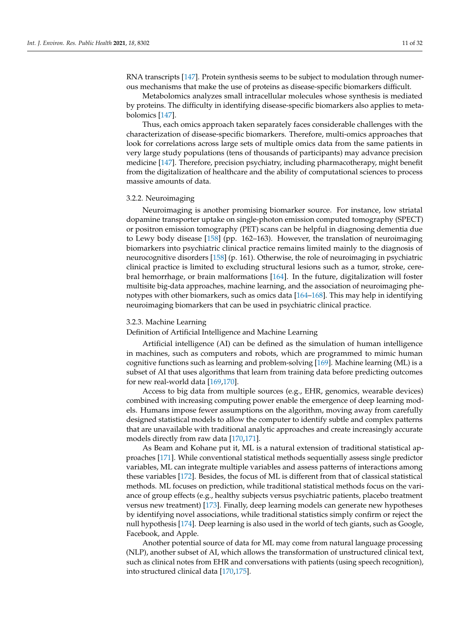RNA transcripts [\[147\]](#page-25-10). Protein synthesis seems to be subject to modulation through numerous mechanisms that make the use of proteins as disease-specific biomarkers difficult.

Metabolomics analyzes small intracellular molecules whose synthesis is mediated by proteins. The difficulty in identifying disease-specific biomarkers also applies to metabolomics [\[147\]](#page-25-10).

Thus, each omics approach taken separately faces considerable challenges with the characterization of disease-specific biomarkers. Therefore, multi-omics approaches that look for correlations across large sets of multiple omics data from the same patients in very large study populations (tens of thousands of participants) may advance precision medicine [\[147\]](#page-25-10). Therefore, precision psychiatry, including pharmacotherapy, might benefit from the digitalization of healthcare and the ability of computational sciences to process massive amounts of data.

## 3.2.2. Neuroimaging

Neuroimaging is another promising biomarker source. For instance, low striatal dopamine transporter uptake on single-photon emission computed tomography (SPECT) or positron emission tomography (PET) scans can be helpful in diagnosing dementia due to Lewy body disease [\[158\]](#page-26-0) (pp. 162–163). However, the translation of neuroimaging biomarkers into psychiatric clinical practice remains limited mainly to the diagnosis of neurocognitive disorders [\[158\]](#page-26-0) (p. 161). Otherwise, the role of neuroimaging in psychiatric clinical practice is limited to excluding structural lesions such as a tumor, stroke, cerebral hemorrhage, or brain malformations [\[164\]](#page-26-6). In the future, digitalization will foster multisite big-data approaches, machine learning, and the association of neuroimaging phenotypes with other biomarkers, such as omics data [\[164](#page-26-6)[–168\]](#page-26-7). This may help in identifying neuroimaging biomarkers that can be used in psychiatric clinical practice.

#### 3.2.3. Machine Learning

Definition of Artificial Intelligence and Machine Learning

Artificial intelligence (AI) can be defined as the simulation of human intelligence in machines, such as computers and robots, which are programmed to mimic human cognitive functions such as learning and problem-solving [\[169\]](#page-26-8). Machine learning (ML) is a subset of AI that uses algorithms that learn from training data before predicting outcomes for new real-world data [\[169,](#page-26-8)[170\]](#page-26-9).

Access to big data from multiple sources (e.g., EHR, genomics, wearable devices) combined with increasing computing power enable the emergence of deep learning models. Humans impose fewer assumptions on the algorithm, moving away from carefully designed statistical models to allow the computer to identify subtle and complex patterns that are unavailable with traditional analytic approaches and create increasingly accurate models directly from raw data [\[170,](#page-26-9)[171\]](#page-26-10).

As Beam and Kohane put it, ML is a natural extension of traditional statistical approaches [\[171\]](#page-26-10). While conventional statistical methods sequentially assess single predictor variables, ML can integrate multiple variables and assess patterns of interactions among these variables [\[172\]](#page-26-11). Besides, the focus of ML is different from that of classical statistical methods. ML focuses on prediction, while traditional statistical methods focus on the variance of group effects (e.g., healthy subjects versus psychiatric patients, placebo treatment versus new treatment) [\[173\]](#page-26-12). Finally, deep learning models can generate new hypotheses by identifying novel associations, while traditional statistics simply confirm or reject the null hypothesis [\[174\]](#page-26-13). Deep learning is also used in the world of tech giants, such as Google, Facebook, and Apple.

Another potential source of data for ML may come from natural language processing (NLP), another subset of AI, which allows the transformation of unstructured clinical text, such as clinical notes from EHR and conversations with patients (using speech recognition), into structured clinical data [\[170,](#page-26-9)[175\]](#page-26-14).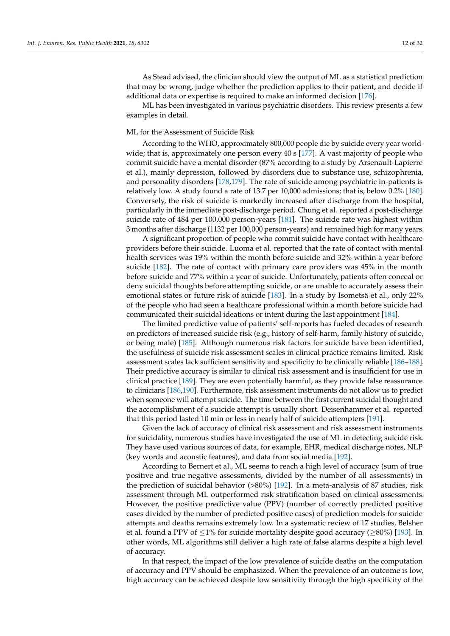As Stead advised, the clinician should view the output of ML as a statistical prediction that may be wrong, judge whether the prediction applies to their patient, and decide if additional data or expertise is required to make an informed decision [\[176\]](#page-26-15).

ML has been investigated in various psychiatric disorders. This review presents a few examples in detail.

## ML for the Assessment of Suicide Risk

According to the WHO, approximately 800,000 people die by suicide every year worldwide; that is, approximately one person every  $40 \text{ s}$  [\[177\]](#page-26-16). A vast majority of people who commit suicide have a mental disorder (87% according to a study by Arsenault-Lapierre et al.), mainly depression, followed by disorders due to substance use, schizophrenia, and personality disorders [\[178](#page-26-17)[,179\]](#page-26-18). The rate of suicide among psychiatric in-patients is relatively low. A study found a rate of 13.7 per 10,000 admissions; that is, below 0.2% [\[180\]](#page-26-19). Conversely, the risk of suicide is markedly increased after discharge from the hospital, particularly in the immediate post-discharge period. Chung et al. reported a post-discharge suicide rate of 484 per 100,000 person-years [\[181\]](#page-26-20). The suicide rate was highest within 3 months after discharge (1132 per 100,000 person-years) and remained high for many years.

A significant proportion of people who commit suicide have contact with healthcare providers before their suicide. Luoma et al. reported that the rate of contact with mental health services was 19% within the month before suicide and 32% within a year before suicide [\[182\]](#page-26-21). The rate of contact with primary care providers was 45% in the month before suicide and 77% within a year of suicide. Unfortunately, patients often conceal or deny suicidal thoughts before attempting suicide, or are unable to accurately assess their emotional states or future risk of suicide [\[183\]](#page-26-22). In a study by Isometsä et al., only 22% of the people who had seen a healthcare professional within a month before suicide had communicated their suicidal ideations or intent during the last appointment [\[184\]](#page-26-23).

The limited predictive value of patients' self-reports has fueled decades of research on predictors of increased suicide risk (e.g., history of self-harm, family history of suicide, or being male) [\[185\]](#page-27-0). Although numerous risk factors for suicide have been identified, the usefulness of suicide risk assessment scales in clinical practice remains limited. Risk assessment scales lack sufficient sensitivity and specificity to be clinically reliable [\[186](#page-27-1)[–188\]](#page-27-2). Their predictive accuracy is similar to clinical risk assessment and is insufficient for use in clinical practice [\[189\]](#page-27-3). They are even potentially harmful, as they provide false reassurance to clinicians [\[186,](#page-27-1)[190\]](#page-27-4). Furthermore, risk assessment instruments do not allow us to predict when someone will attempt suicide. The time between the first current suicidal thought and the accomplishment of a suicide attempt is usually short. Deisenhammer et al. reported that this period lasted 10 min or less in nearly half of suicide attempters [\[191\]](#page-27-5).

Given the lack of accuracy of clinical risk assessment and risk assessment instruments for suicidality, numerous studies have investigated the use of ML in detecting suicide risk. They have used various sources of data, for example, EHR, medical discharge notes, NLP (key words and acoustic features), and data from social media [\[192\]](#page-27-6).

According to Bernert et al., ML seems to reach a high level of accuracy (sum of true positive and true negative assessments, divided by the number of all assessments) in the prediction of suicidal behavior (>80%) [\[192\]](#page-27-6). In a meta-analysis of 87 studies, risk assessment through ML outperformed risk stratification based on clinical assessments. However, the positive predictive value (PPV) (number of correctly predicted positive cases divided by the number of predicted positive cases) of prediction models for suicide attempts and deaths remains extremely low. In a systematic review of 17 studies, Belsher et al. found a PPV of  $\leq$ 1% for suicide mortality despite good accuracy ( $\geq$ 80%) [\[193\]](#page-27-7). In other words, ML algorithms still deliver a high rate of false alarms despite a high level of accuracy.

In that respect, the impact of the low prevalence of suicide deaths on the computation of accuracy and PPV should be emphasized. When the prevalence of an outcome is low, high accuracy can be achieved despite low sensitivity through the high specificity of the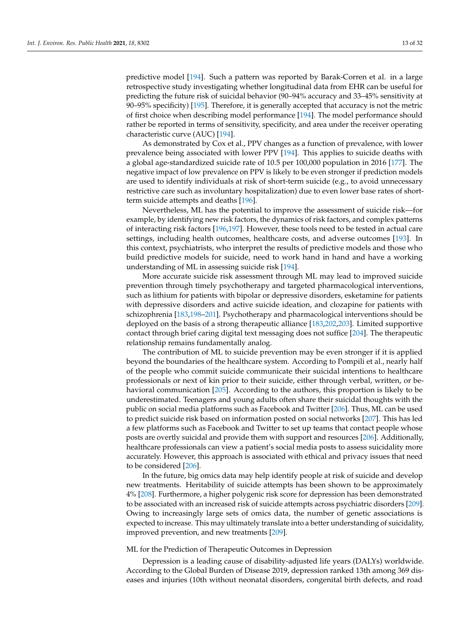predictive model [\[194\]](#page-27-8). Such a pattern was reported by Barak-Corren et al. in a large retrospective study investigating whether longitudinal data from EHR can be useful for predicting the future risk of suicidal behavior (90–94% accuracy and 33–45% sensitivity at 90–95% specificity) [\[195\]](#page-27-9). Therefore, it is generally accepted that accuracy is not the metric of first choice when describing model performance [\[194\]](#page-27-8). The model performance should rather be reported in terms of sensitivity, specificity, and area under the receiver operating characteristic curve (AUC) [\[194\]](#page-27-8).

As demonstrated by Cox et al., PPV changes as a function of prevalence, with lower prevalence being associated with lower PPV [\[194\]](#page-27-8). This applies to suicide deaths with a global age-standardized suicide rate of 10.5 per 100,000 population in 2016 [\[177\]](#page-26-16). The negative impact of low prevalence on PPV is likely to be even stronger if prediction models are used to identify individuals at risk of short-term suicide (e.g., to avoid unnecessary restrictive care such as involuntary hospitalization) due to even lower base rates of shortterm suicide attempts and deaths [\[196\]](#page-27-10).

Nevertheless, ML has the potential to improve the assessment of suicide risk—for example, by identifying new risk factors, the dynamics of risk factors, and complex patterns of interacting risk factors [\[196](#page-27-10)[,197\]](#page-27-11). However, these tools need to be tested in actual care settings, including health outcomes, healthcare costs, and adverse outcomes [\[193\]](#page-27-7). In this context, psychiatrists, who interpret the results of predictive models and those who build predictive models for suicide, need to work hand in hand and have a working understanding of ML in assessing suicide risk [\[194\]](#page-27-8).

More accurate suicide risk assessment through ML may lead to improved suicide prevention through timely psychotherapy and targeted pharmacological interventions, such as lithium for patients with bipolar or depressive disorders, esketamine for patients with depressive disorders and active suicide ideation, and clozapine for patients with schizophrenia [\[183](#page-26-22)[,198](#page-27-12)[–201\]](#page-27-13). Psychotherapy and pharmacological interventions should be deployed on the basis of a strong therapeutic alliance [\[183,](#page-26-22)[202,](#page-27-14)[203\]](#page-27-15). Limited supportive contact through brief caring digital text messaging does not suffice [\[204\]](#page-27-16). The therapeutic relationship remains fundamentally analog.

The contribution of ML to suicide prevention may be even stronger if it is applied beyond the boundaries of the healthcare system. According to Pompili et al., nearly half of the people who commit suicide communicate their suicidal intentions to healthcare professionals or next of kin prior to their suicide, either through verbal, written, or behavioral communication [\[205\]](#page-27-17). According to the authors, this proportion is likely to be underestimated. Teenagers and young adults often share their suicidal thoughts with the public on social media platforms such as Facebook and Twitter [\[206\]](#page-27-18). Thus, ML can be used to predict suicide risk based on information posted on social networks [\[207\]](#page-27-19). This has led a few platforms such as Facebook and Twitter to set up teams that contact people whose posts are overtly suicidal and provide them with support and resources [\[206\]](#page-27-18). Additionally, healthcare professionals can view a patient's social media posts to assess suicidality more accurately. However, this approach is associated with ethical and privacy issues that need to be considered [\[206\]](#page-27-18).

In the future, big omics data may help identify people at risk of suicide and develop new treatments. Heritability of suicide attempts has been shown to be approximately 4% [\[208\]](#page-27-20). Furthermore, a higher polygenic risk score for depression has been demonstrated to be associated with an increased risk of suicide attempts across psychiatric disorders [\[209\]](#page-27-21). Owing to increasingly large sets of omics data, the number of genetic associations is expected to increase. This may ultimately translate into a better understanding of suicidality, improved prevention, and new treatments [\[209\]](#page-27-21).

## ML for the Prediction of Therapeutic Outcomes in Depression

Depression is a leading cause of disability-adjusted life years (DALYs) worldwide. According to the Global Burden of Disease 2019, depression ranked 13th among 369 diseases and injuries (10th without neonatal disorders, congenital birth defects, and road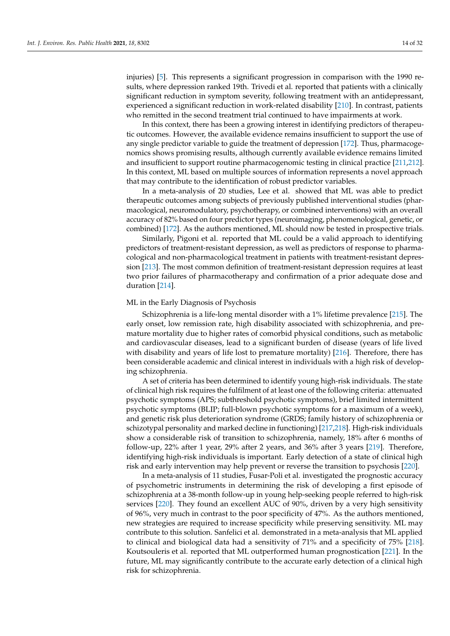injuries) [\[5\]](#page-20-4). This represents a significant progression in comparison with the 1990 results, where depression ranked 19th. Trivedi et al. reported that patients with a clinically significant reduction in symptom severity, following treatment with an antidepressant, experienced a significant reduction in work-related disability [\[210\]](#page-28-0). In contrast, patients who remitted in the second treatment trial continued to have impairments at work.

In this context, there has been a growing interest in identifying predictors of therapeutic outcomes. However, the available evidence remains insufficient to support the use of any single predictor variable to guide the treatment of depression [\[172\]](#page-26-11). Thus, pharmacogenomics shows promising results, although currently available evidence remains limited and insufficient to support routine pharmacogenomic testing in clinical practice [\[211](#page-28-1)[,212\]](#page-28-2). In this context, ML based on multiple sources of information represents a novel approach that may contribute to the identification of robust predictor variables.

In a meta-analysis of 20 studies, Lee et al. showed that ML was able to predict therapeutic outcomes among subjects of previously published interventional studies (pharmacological, neuromodulatory, psychotherapy, or combined interventions) with an overall accuracy of 82% based on four predictor types (neuroimaging, phenomenological, genetic, or combined) [\[172\]](#page-26-11). As the authors mentioned, ML should now be tested in prospective trials.

Similarly, Pigoni et al. reported that ML could be a valid approach to identifying predictors of treatment-resistant depression, as well as predictors of response to pharmacological and non-pharmacological treatment in patients with treatment-resistant depression [\[213\]](#page-28-3). The most common definition of treatment-resistant depression requires at least two prior failures of pharmacotherapy and confirmation of a prior adequate dose and duration [\[214\]](#page-28-4).

## ML in the Early Diagnosis of Psychosis

Schizophrenia is a life-long mental disorder with a 1% lifetime prevalence [\[215\]](#page-28-5). The early onset, low remission rate, high disability associated with schizophrenia, and premature mortality due to higher rates of comorbid physical conditions, such as metabolic and cardiovascular diseases, lead to a significant burden of disease (years of life lived with disability and years of life lost to premature mortality) [\[216\]](#page-28-6). Therefore, there has been considerable academic and clinical interest in individuals with a high risk of developing schizophrenia.

A set of criteria has been determined to identify young high-risk individuals. The state of clinical high risk requires the fulfilment of at least one of the following criteria: attenuated psychotic symptoms (APS; subthreshold psychotic symptoms), brief limited intermittent psychotic symptoms (BLIP; full-blown psychotic symptoms for a maximum of a week), and genetic risk plus deterioration syndrome (GRDS; family history of schizophrenia or schizotypal personality and marked decline in functioning) [\[217](#page-28-7)[,218\]](#page-28-8). High-risk individuals show a considerable risk of transition to schizophrenia, namely, 18% after 6 months of follow-up, 22% after 1 year, 29% after 2 years, and 36% after 3 years [\[219\]](#page-28-9). Therefore, identifying high-risk individuals is important. Early detection of a state of clinical high risk and early intervention may help prevent or reverse the transition to psychosis [\[220\]](#page-28-10).

In a meta-analysis of 11 studies, Fusar-Poli et al. investigated the prognostic accuracy of psychometric instruments in determining the risk of developing a first episode of schizophrenia at a 38-month follow-up in young help-seeking people referred to high-risk services [\[220\]](#page-28-10). They found an excellent AUC of 90%, driven by a very high sensitivity of 96%, very much in contrast to the poor specificity of 47%. As the authors mentioned, new strategies are required to increase specificity while preserving sensitivity. ML may contribute to this solution. Sanfelici et al. demonstrated in a meta-analysis that ML applied to clinical and biological data had a sensitivity of 71% and a specificity of 75% [\[218\]](#page-28-8). Koutsouleris et al. reported that ML outperformed human prognostication [\[221\]](#page-28-11). In the future, ML may significantly contribute to the accurate early detection of a clinical high risk for schizophrenia.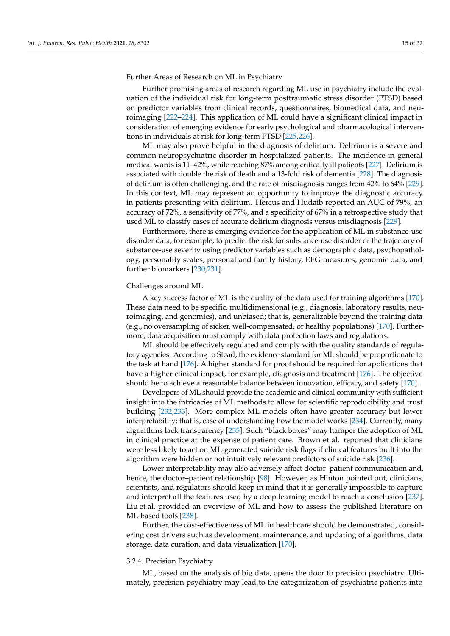Further Areas of Research on ML in Psychiatry

Further promising areas of research regarding ML use in psychiatry include the evaluation of the individual risk for long-term posttraumatic stress disorder (PTSD) based on predictor variables from clinical records, questionnaires, biomedical data, and neuroimaging [\[222](#page-28-12)[–224\]](#page-28-13). This application of ML could have a significant clinical impact in consideration of emerging evidence for early psychological and pharmacological interventions in individuals at risk for long-term PTSD [\[225](#page-28-14)[,226\]](#page-28-15).

ML may also prove helpful in the diagnosis of delirium. Delirium is a severe and common neuropsychiatric disorder in hospitalized patients. The incidence in general medical wards is 11–42%, while reaching 87% among critically ill patients [\[227\]](#page-28-16). Delirium is associated with double the risk of death and a 13-fold risk of dementia [\[228\]](#page-28-17). The diagnosis of delirium is often challenging, and the rate of misdiagnosis ranges from 42% to 64% [\[229\]](#page-28-18). In this context, ML may represent an opportunity to improve the diagnostic accuracy in patients presenting with delirium. Hercus and Hudaib reported an AUC of 79%, an accuracy of 72%, a sensitivity of 77%, and a specificity of 67% in a retrospective study that used ML to classify cases of accurate delirium diagnosis versus misdiagnosis [\[229\]](#page-28-18).

Furthermore, there is emerging evidence for the application of ML in substance-use disorder data, for example, to predict the risk for substance-use disorder or the trajectory of substance-use severity using predictor variables such as demographic data, psychopathology, personality scales, personal and family history, EEG measures, genomic data, and further biomarkers [\[230,](#page-28-19)[231\]](#page-28-20).

#### Challenges around ML

A key success factor of ML is the quality of the data used for training algorithms [\[170\]](#page-26-9). These data need to be specific, multidimensional (e.g., diagnosis, laboratory results, neuroimaging, and genomics), and unbiased; that is, generalizable beyond the training data (e.g., no oversampling of sicker, well-compensated, or healthy populations) [\[170\]](#page-26-9). Furthermore, data acquisition must comply with data protection laws and regulations.

ML should be effectively regulated and comply with the quality standards of regulatory agencies. According to Stead, the evidence standard for ML should be proportionate to the task at hand [\[176\]](#page-26-15). A higher standard for proof should be required for applications that have a higher clinical impact, for example, diagnosis and treatment [\[176\]](#page-26-15). The objective should be to achieve a reasonable balance between innovation, efficacy, and safety [\[170\]](#page-26-9).

Developers of ML should provide the academic and clinical community with sufficient insight into the intricacies of ML methods to allow for scientific reproducibility and trust building [\[232](#page-28-21)[,233\]](#page-28-22). More complex ML models often have greater accuracy but lower interpretability; that is, ease of understanding how the model works [\[234\]](#page-28-23). Currently, many algorithms lack transparency [\[235\]](#page-28-24). Such "black boxes" may hamper the adoption of ML in clinical practice at the expense of patient care. Brown et al. reported that clinicians were less likely to act on ML-generated suicide risk flags if clinical features built into the algorithm were hidden or not intuitively relevant predictors of suicide risk [\[236\]](#page-28-25).

Lower interpretability may also adversely affect doctor–patient communication and, hence, the doctor–patient relationship [\[98\]](#page-23-15). However, as Hinton pointed out, clinicians, scientists, and regulators should keep in mind that it is generally impossible to capture and interpret all the features used by a deep learning model to reach a conclusion [\[237\]](#page-29-0). Liu et al. provided an overview of ML and how to assess the published literature on ML-based tools [\[238\]](#page-29-1).

Further, the cost-effectiveness of ML in healthcare should be demonstrated, considering cost drivers such as development, maintenance, and updating of algorithms, data storage, data curation, and data visualization [\[170\]](#page-26-9).

#### 3.2.4. Precision Psychiatry

ML, based on the analysis of big data, opens the door to precision psychiatry. Ultimately, precision psychiatry may lead to the categorization of psychiatric patients into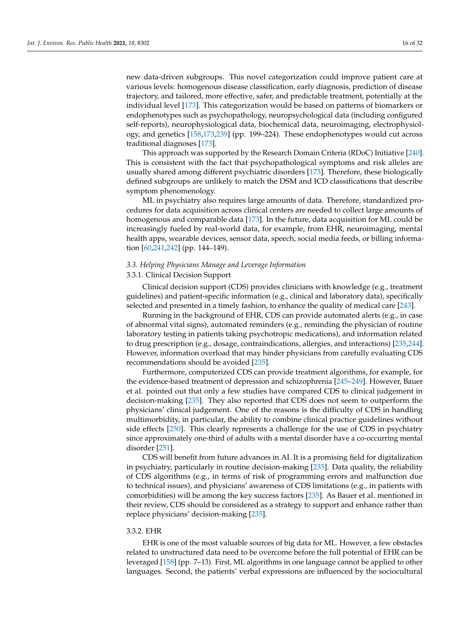new data-driven subgroups. This novel categorization could improve patient care at various levels: homogenous disease classification, early diagnosis, prediction of disease trajectory, and tailored, more effective, safer, and predictable treatment, potentially at the individual level [\[173\]](#page-26-12). This categorization would be based on patterns of biomarkers or endophenotypes such as psychopathology, neuropsychological data (including configured self-reports), neurophysiological data, biochemical data, neuroimaging, electrophysiology, and genetics [\[158,](#page-26-0)[173,](#page-26-12)[239\]](#page-29-2) (pp. 199–224). These endophenotypes would cut across traditional diagnoses [\[173\]](#page-26-12).

This approach was supported by the Research Domain Criteria (RDoC) Initiative [\[240\]](#page-29-3). This is consistent with the fact that psychopathological symptoms and risk alleles are usually shared among different psychiatric disorders [\[173\]](#page-26-12). Therefore, these biologically defined subgroups are unlikely to match the DSM and ICD classifications that describe symptom phenomenology.

ML in psychiatry also requires large amounts of data. Therefore, standardized procedures for data acquisition across clinical centers are needed to collect large amounts of homogenous and comparable data [\[173\]](#page-26-12). In the future, data acquisition for ML could be increasingly fueled by real-world data, for example, from EHR, neuroimaging, mental health apps, wearable devices, sensor data, speech, social media feeds, or billing information [\[60](#page-22-4)[,241](#page-29-4)[,242\]](#page-29-5) (pp. 144–149).

#### *3.3. Helping Physicians Manage and Leverage Information*

## 3.3.1. Clinical Decision Support

Clinical decision support (CDS) provides clinicians with knowledge (e.g., treatment guidelines) and patient-specific information (e.g., clinical and laboratory data), specifically selected and presented in a timely fashion, to enhance the quality of medical care [\[243\]](#page-29-6).

Running in the background of EHR, CDS can provide automated alerts (e.g., in case of abnormal vital signs), automated reminders (e.g., reminding the physician of routine laboratory testing in patients taking psychotropic medications), and information related to drug prescription (e.g., dosage, contraindications, allergies, and interactions) [\[235,](#page-28-24)[244\]](#page-29-7). However, information overload that may hinder physicians from carefully evaluating CDS recommendations should be avoided [\[235\]](#page-28-24).

Furthermore, computerized CDS can provide treatment algorithms, for example, for the evidence-based treatment of depression and schizophrenia [\[245](#page-29-8)[–249\]](#page-29-9). However, Bauer et al. pointed out that only a few studies have compared CDS to clinical judgement in decision-making [\[235\]](#page-28-24). They also reported that CDS does not seem to outperform the physicians' clinical judgement. One of the reasons is the difficulty of CDS in handling multimorbidity, in particular, the ability to combine clinical practice guidelines without side effects [\[250\]](#page-29-10). This clearly represents a challenge for the use of CDS in psychiatry since approximately one-third of adults with a mental disorder have a co-occurring mental disorder [\[251\]](#page-29-11).

CDS will benefit from future advances in AI. It is a promising field for digitalization in psychiatry, particularly in routine decision-making [\[235\]](#page-28-24). Data quality, the reliability of CDS algorithms (e.g., in terms of risk of programming errors and malfunction due to technical issues), and physicians' awareness of CDS limitations (e.g., in patients with comorbidities) will be among the key success factors [\[235\]](#page-28-24). As Bauer et al. mentioned in their review, CDS should be considered as a strategy to support and enhance rather than replace physicians' decision-making [\[235\]](#page-28-24).

#### 3.3.2. EHR

EHR is one of the most valuable sources of big data for ML. However, a few obstacles related to unstructured data need to be overcome before the full potential of EHR can be leveraged [\[158\]](#page-26-0) (pp. 7–13). First, ML algorithms in one language cannot be applied to other languages. Second, the patients' verbal expressions are influenced by the sociocultural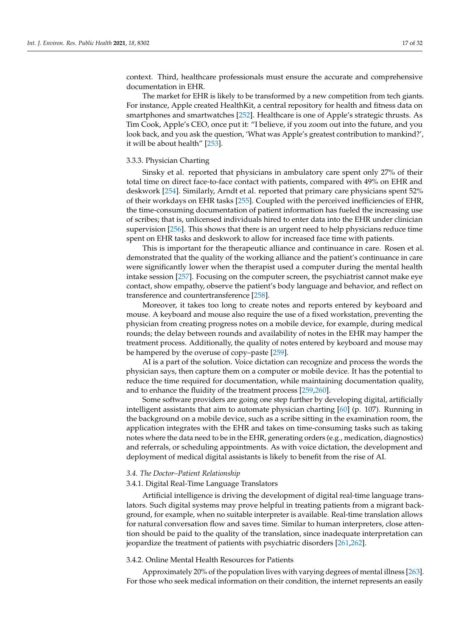context. Third, healthcare professionals must ensure the accurate and comprehensive documentation in EHR.

The market for EHR is likely to be transformed by a new competition from tech giants. For instance, Apple created HealthKit, a central repository for health and fitness data on smartphones and smartwatches [\[252\]](#page-29-12). Healthcare is one of Apple's strategic thrusts. As Tim Cook, Apple's CEO, once put it: "I believe, if you zoom out into the future, and you look back, and you ask the question, 'What was Apple's greatest contribution to mankind?', it will be about health" [\[253\]](#page-29-13).

## 3.3.3. Physician Charting

Sinsky et al. reported that physicians in ambulatory care spent only 27% of their total time on direct face-to-face contact with patients, compared with 49% on EHR and deskwork [\[254\]](#page-29-14). Similarly, Arndt et al. reported that primary care physicians spent 52% of their workdays on EHR tasks [\[255\]](#page-29-15). Coupled with the perceived inefficiencies of EHR, the time-consuming documentation of patient information has fueled the increasing use of scribes; that is, unlicensed individuals hired to enter data into the EHR under clinician supervision [\[256\]](#page-29-16). This shows that there is an urgent need to help physicians reduce time spent on EHR tasks and deskwork to allow for increased face time with patients.

This is important for the therapeutic alliance and continuance in care. Rosen et al. demonstrated that the quality of the working alliance and the patient's continuance in care were significantly lower when the therapist used a computer during the mental health intake session [\[257\]](#page-29-17). Focusing on the computer screen, the psychiatrist cannot make eye contact, show empathy, observe the patient's body language and behavior, and reflect on transference and countertransference [\[258\]](#page-29-18).

Moreover, it takes too long to create notes and reports entered by keyboard and mouse. A keyboard and mouse also require the use of a fixed workstation, preventing the physician from creating progress notes on a mobile device, for example, during medical rounds; the delay between rounds and availability of notes in the EHR may hamper the treatment process. Additionally, the quality of notes entered by keyboard and mouse may be hampered by the overuse of copy–paste [\[259\]](#page-29-19).

AI is a part of the solution. Voice dictation can recognize and process the words the physician says, then capture them on a computer or mobile device. It has the potential to reduce the time required for documentation, while maintaining documentation quality, and to enhance the fluidity of the treatment process [\[259](#page-29-19)[,260\]](#page-29-20).

Some software providers are going one step further by developing digital, artificially intelligent assistants that aim to automate physician charting [\[60\]](#page-22-4) (p. 107). Running in the background on a mobile device, such as a scribe sitting in the examination room, the application integrates with the EHR and takes on time-consuming tasks such as taking notes where the data need to be in the EHR, generating orders (e.g., medication, diagnostics) and referrals, or scheduling appointments. As with voice dictation, the development and deployment of medical digital assistants is likely to benefit from the rise of AI.

## *3.4. The Doctor–Patient Relationship*

## 3.4.1. Digital Real-Time Language Translators

Artificial intelligence is driving the development of digital real-time language translators. Such digital systems may prove helpful in treating patients from a migrant background, for example, when no suitable interpreter is available. Real-time translation allows for natural conversation flow and saves time. Similar to human interpreters, close attention should be paid to the quality of the translation, since inadequate interpretation can jeopardize the treatment of patients with psychiatric disorders [\[261](#page-29-21)[,262\]](#page-29-22).

## 3.4.2. Online Mental Health Resources for Patients

Approximately 20% of the population lives with varying degrees of mental illness [\[263\]](#page-30-0). For those who seek medical information on their condition, the internet represents an easily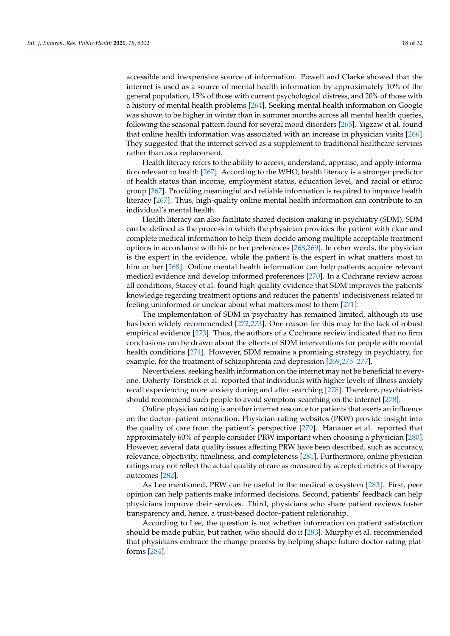accessible and inexpensive source of information. Powell and Clarke showed that the internet is used as a source of mental health information by approximately 10% of the general population, 15% of those with current psychological distress, and 20% of those with a history of mental health problems [\[264\]](#page-30-1). Seeking mental health information on Google was shown to be higher in winter than in summer months across all mental health queries, following the seasonal pattern found for several mood disorders [\[265\]](#page-30-2). Yigzaw et al. found that online health information was associated with an increase in physician visits [\[266\]](#page-30-3). They suggested that the internet served as a supplement to traditional healthcare services rather than as a replacement.

Health literacy refers to the ability to access, understand, appraise, and apply information relevant to health [\[267\]](#page-30-4). According to the WHO, health literacy is a stronger predictor of health status than income, employment status, education level, and racial or ethnic group [\[267\]](#page-30-4). Providing meaningful and reliable information is required to improve health literacy [\[267\]](#page-30-4). Thus, high-quality online mental health information can contribute to an individual's mental health.

Health literacy can also facilitate shared decision-making in psychiatry (SDM). SDM can be defined as the process in which the physician provides the patient with clear and complete medical information to help them decide among multiple acceptable treatment options in accordance with his or her preferences [\[268](#page-30-5)[,269\]](#page-30-6). In other words, the physician is the expert in the evidence, while the patient is the expert in what matters most to him or her [\[268\]](#page-30-5). Online mental health information can help patients acquire relevant medical evidence and develop informed preferences [\[270\]](#page-30-7). In a Cochrane review across all conditions, Stacey et al. found high-quality evidence that SDM improves the patients' knowledge regarding treatment options and reduces the patients' indecisiveness related to feeling uninformed or unclear about what matters most to them [\[271\]](#page-30-8).

The implementation of SDM in psychiatry has remained limited, although its use has been widely recommended [\[272,](#page-30-9)[273\]](#page-30-10). One reason for this may be the lack of robust empirical evidence [\[273\]](#page-30-10). Thus, the authors of a Cochrane review indicated that no firm conclusions can be drawn about the effects of SDM interventions for people with mental health conditions [\[274\]](#page-30-11). However, SDM remains a promising strategy in psychiatry, for example, for the treatment of schizophrenia and depression [\[269](#page-30-6)[,275](#page-30-12)[–277\]](#page-30-13).

Nevertheless, seeking health information on the internet may not be beneficial to everyone. Doherty-Torstrick et al. reported that individuals with higher levels of illness anxiety recall experiencing more anxiety during and after searching [\[278\]](#page-30-14). Therefore, psychiatrists should recommend such people to avoid symptom-searching on the internet [\[278\]](#page-30-14).

Online physician rating is another internet resource for patients that exerts an influence on the doctor–patient interaction. Physician-rating websites (PRW) provide insight into the quality of care from the patient's perspective [\[279\]](#page-30-15). Hanauer et al. reported that approximately 60% of people consider PRW important when choosing a physician [\[280\]](#page-30-16). However, several data quality issues affecting PRW have been described, such as accuracy, relevance, objectivity, timeliness, and completeness [\[281\]](#page-30-17). Furthermore, online physician ratings may not reflect the actual quality of care as measured by accepted metrics of therapy outcomes [\[282\]](#page-30-18).

As Lee mentioned, PRW can be useful in the medical ecosystem [\[283\]](#page-30-19). First, peer opinion can help patients make informed decisions. Second, patients' feedback can help physicians improve their services. Third, physicians who share patient reviews foster transparency and, hence, a trust-based doctor–patient relationship.

According to Lee, the question is not whether information on patient satisfaction should be made public, but rather, who should do it [\[283\]](#page-30-19). Murphy et al. recommended that physicians embrace the change process by helping shape future doctor-rating platforms [\[284\]](#page-30-20).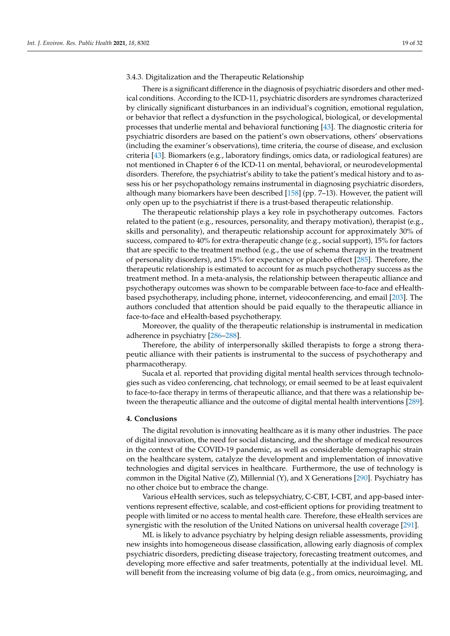#### 3.4.3. Digitalization and the Therapeutic Relationship

There is a significant difference in the diagnosis of psychiatric disorders and other medical conditions. According to the ICD-11, psychiatric disorders are syndromes characterized by clinically significant disturbances in an individual's cognition, emotional regulation, or behavior that reflect a dysfunction in the psychological, biological, or developmental processes that underlie mental and behavioral functioning [\[43\]](#page-21-11). The diagnostic criteria for psychiatric disorders are based on the patient's own observations, others' observations (including the examiner's observations), time criteria, the course of disease, and exclusion criteria [\[43\]](#page-21-11). Biomarkers (e.g., laboratory findings, omics data, or radiological features) are not mentioned in Chapter 6 of the ICD-11 on mental, behavioral, or neurodevelopmental disorders. Therefore, the psychiatrist's ability to take the patient's medical history and to assess his or her psychopathology remains instrumental in diagnosing psychiatric disorders, although many biomarkers have been described [\[158\]](#page-26-0) (pp. 7–13). However, the patient will only open up to the psychiatrist if there is a trust-based therapeutic relationship.

The therapeutic relationship plays a key role in psychotherapy outcomes. Factors related to the patient (e.g., resources, personality, and therapy motivation), therapist (e.g., skills and personality), and therapeutic relationship account for approximately 30% of success, compared to 40% for extra-therapeutic change (e.g., social support), 15% for factors that are specific to the treatment method (e.g., the use of schema therapy in the treatment of personality disorders), and 15% for expectancy or placebo effect [\[285\]](#page-30-21). Therefore, the therapeutic relationship is estimated to account for as much psychotherapy success as the treatment method. In a meta-analysis, the relationship between therapeutic alliance and psychotherapy outcomes was shown to be comparable between face-to-face and eHealthbased psychotherapy, including phone, internet, videoconferencing, and email [\[203\]](#page-27-15). The authors concluded that attention should be paid equally to the therapeutic alliance in face-to-face and eHealth-based psychotherapy.

Moreover, the quality of the therapeutic relationship is instrumental in medication adherence in psychiatry [\[286](#page-30-22)[–288\]](#page-30-23).

Therefore, the ability of interpersonally skilled therapists to forge a strong therapeutic alliance with their patients is instrumental to the success of psychotherapy and pharmacotherapy.

Sucala et al. reported that providing digital mental health services through technologies such as video conferencing, chat technology, or email seemed to be at least equivalent to face-to-face therapy in terms of therapeutic alliance, and that there was a relationship between the therapeutic alliance and the outcome of digital mental health interventions [\[289\]](#page-30-24).

#### **4. Conclusions**

The digital revolution is innovating healthcare as it is many other industries. The pace of digital innovation, the need for social distancing, and the shortage of medical resources in the context of the COVID-19 pandemic, as well as considerable demographic strain on the healthcare system, catalyze the development and implementation of innovative technologies and digital services in healthcare. Furthermore, the use of technology is common in the Digital Native (Z), Millennial (Y), and X Generations [\[290\]](#page-30-25). Psychiatry has no other choice but to embrace the change.

Various eHealth services, such as telepsychiatry, C-CBT, I-CBT, and app-based interventions represent effective, scalable, and cost-efficient options for providing treatment to people with limited or no access to mental health care. Therefore, these eHealth services are synergistic with the resolution of the United Nations on universal health coverage [\[291\]](#page-30-26).

ML is likely to advance psychiatry by helping design reliable assessments, providing new insights into homogeneous disease classification, allowing early diagnosis of complex psychiatric disorders, predicting disease trajectory, forecasting treatment outcomes, and developing more effective and safer treatments, potentially at the individual level. ML will benefit from the increasing volume of big data (e.g., from omics, neuroimaging, and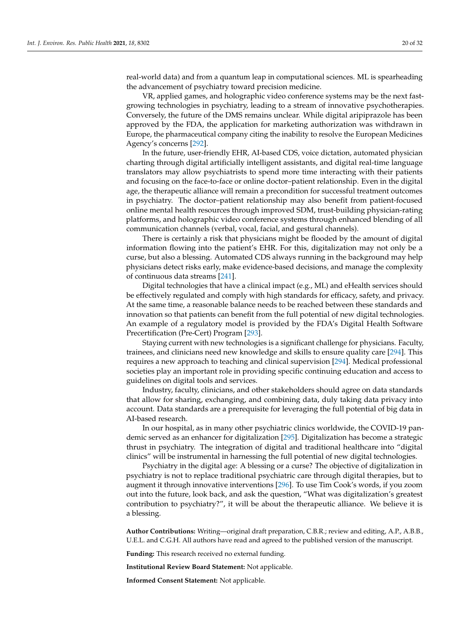real-world data) and from a quantum leap in computational sciences. ML is spearheading the advancement of psychiatry toward precision medicine.

VR, applied games, and holographic video conference systems may be the next fastgrowing technologies in psychiatry, leading to a stream of innovative psychotherapies. Conversely, the future of the DMS remains unclear. While digital aripiprazole has been approved by the FDA, the application for marketing authorization was withdrawn in Europe, the pharmaceutical company citing the inability to resolve the European Medicines Agency's concerns [\[292\]](#page-30-27).

In the future, user-friendly EHR, AI-based CDS, voice dictation, automated physician charting through digital artificially intelligent assistants, and digital real-time language translators may allow psychiatrists to spend more time interacting with their patients and focusing on the face-to-face or online doctor–patient relationship. Even in the digital age, the therapeutic alliance will remain a precondition for successful treatment outcomes in psychiatry. The doctor–patient relationship may also benefit from patient-focused online mental health resources through improved SDM, trust-building physician-rating platforms, and holographic video conference systems through enhanced blending of all communication channels (verbal, vocal, facial, and gestural channels).

There is certainly a risk that physicians might be flooded by the amount of digital information flowing into the patient's EHR. For this, digitalization may not only be a curse, but also a blessing. Automated CDS always running in the background may help physicians detect risks early, make evidence-based decisions, and manage the complexity of continuous data streams [\[241\]](#page-29-4).

Digital technologies that have a clinical impact (e.g., ML) and eHealth services should be effectively regulated and comply with high standards for efficacy, safety, and privacy. At the same time, a reasonable balance needs to be reached between these standards and innovation so that patients can benefit from the full potential of new digital technologies. An example of a regulatory model is provided by the FDA's Digital Health Software Precertification (Pre-Cert) Program [\[293\]](#page-31-0).

Staying current with new technologies is a significant challenge for physicians. Faculty, trainees, and clinicians need new knowledge and skills to ensure quality care [\[294\]](#page-31-1). This requires a new approach to teaching and clinical supervision [\[294\]](#page-31-1). Medical professional societies play an important role in providing specific continuing education and access to guidelines on digital tools and services.

Industry, faculty, clinicians, and other stakeholders should agree on data standards that allow for sharing, exchanging, and combining data, duly taking data privacy into account. Data standards are a prerequisite for leveraging the full potential of big data in AI-based research.

In our hospital, as in many other psychiatric clinics worldwide, the COVID-19 pandemic served as an enhancer for digitalization [\[295\]](#page-31-2). Digitalization has become a strategic thrust in psychiatry. The integration of digital and traditional healthcare into "digital clinics" will be instrumental in harnessing the full potential of new digital technologies.

Psychiatry in the digital age: A blessing or a curse? The objective of digitalization in psychiatry is not to replace traditional psychiatric care through digital therapies, but to augment it through innovative interventions [\[296\]](#page-31-3). To use Tim Cook's words, if you zoom out into the future, look back, and ask the question, "What was digitalization's greatest contribution to psychiatry?", it will be about the therapeutic alliance. We believe it is a blessing.

**Author Contributions:** Writing—original draft preparation, C.B.R.; review and editing, A.P., A.B.B., U.E.L. and C.G.H. All authors have read and agreed to the published version of the manuscript.

**Funding:** This research received no external funding.

**Institutional Review Board Statement:** Not applicable.

**Informed Consent Statement:** Not applicable.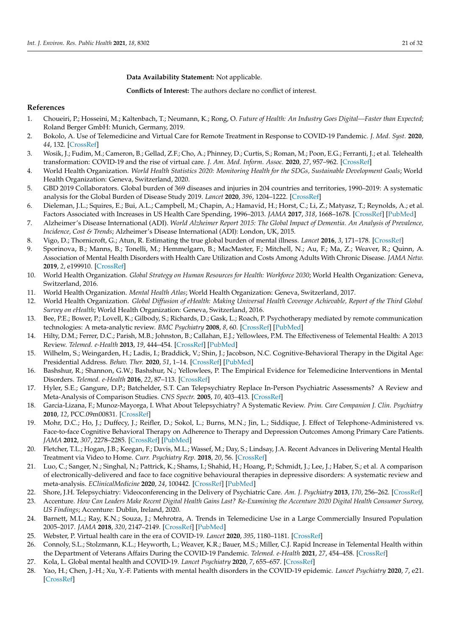**Data Availability Statement:** Not applicable.

**Conflicts of Interest:** The authors declare no conflict of interest.

## **References**

- <span id="page-20-0"></span>1. Choueiri, P.; Hosseini, M.; Kaltenbach, T.; Neumann, K.; Rong, O. *Future of Health: An Industry Goes Digital—Faster than Expected*; Roland Berger GmbH: Munich, Germany, 2019.
- <span id="page-20-1"></span>2. Bokolo, A. Use of Telemedicine and Virtual Care for Remote Treatment in Response to COVID-19 Pandemic. *J. Med. Syst.* **2020**, *44*, 132. [\[CrossRef\]](http://doi.org/10.1007/s10916-020-01596-5)
- <span id="page-20-2"></span>3. Wosik, J.; Fudim, M.; Cameron, B.; Gellad, Z.F.; Cho, A.; Phinney, D.; Curtis, S.; Roman, M.; Poon, E.G.; Ferranti, J.; et al. Telehealth transformation: COVID-19 and the rise of virtual care. *J. Am. Med. Inform. Assoc.* **2020**, *27*, 957–962. [\[CrossRef\]](http://doi.org/10.1093/jamia/ocaa067)
- <span id="page-20-3"></span>4. World Health Organization. *World Health Statistics 2020: Monitoring Health for the SDGs, Sustainable Development Goals*; World Health Organization: Geneva, Switzerland, 2020.
- <span id="page-20-4"></span>5. GBD 2019 Collaborators. Global burden of 369 diseases and injuries in 204 countries and territories, 1990–2019: A systematic analysis for the Global Burden of Disease Study 2019. *Lancet* **2020**, *396*, 1204–1222. [\[CrossRef\]](http://doi.org/10.1016/S0140-6736(20)30925-9)
- <span id="page-20-5"></span>6. Dieleman, J.L.; Squires, E.; Bui, A.L.; Campbell, M.; Chapin, A.; Hamavid, H.; Horst, C.; Li, Z.; Matyasz, T.; Reynolds, A.; et al. Factors Associated with Increases in US Health Care Spending, 1996–2013. *JAMA* **2017**, *318*, 1668–1678. [\[CrossRef\]](http://doi.org/10.1001/jama.2017.15927) [\[PubMed\]](http://www.ncbi.nlm.nih.gov/pubmed/29114831)
- <span id="page-20-6"></span>7. Alzheimer's Disease International (ADI). *World Alzheimer Report 2015: The Global Impact of Dementia. An Analysis of Prevalence, Incidence, Cost & Trends*; Alzheimer's Disease International (ADI): London, UK, 2015.
- <span id="page-20-7"></span>8. Vigo, D.; Thornicroft, G.; Atun, R. Estimating the true global burden of mental illness. *Lancet* **2016**, *3*, 171–178. [\[CrossRef\]](http://doi.org/10.1016/S2215-0366(15)00505-2)
- <span id="page-20-8"></span>9. Sporinova, B.; Manns, B.; Tonelli, M.; Hemmelgarn, B.; MacMaster, F.; Mitchell, N.; Au, F.; Ma, Z.; Weaver, R.; Quinn, A. Association of Mental Health Disorders with Health Care Utilization and Costs Among Adults With Chronic Disease. *JAMA Netw.* **2019**, *2*, e199910. [\[CrossRef\]](http://doi.org/10.1001/jamanetworkopen.2019.9910)
- <span id="page-20-9"></span>10. World Health Organization. *Global Strategy on Human Resources for Health: Workforce 2030*; World Health Organization: Geneva, Switzerland, 2016.
- <span id="page-20-10"></span>11. World Health Organization. *Mental Health Atlas*; World Health Organization: Geneva, Switzerland, 2017.
- <span id="page-20-11"></span>12. World Health Organization. *Global Diffusion of eHealth: Making Universal Health Coverage Achievable, Report of the Third Global Survey on eHealth*; World Health Organization: Geneva, Switzerland, 2016.
- <span id="page-20-12"></span>13. Bee, P.E.; Bower, P.; Lovell, K.; Gilbody, S.; Richards, D.; Gask, L.; Roach, P. Psychotherapy mediated by remote communication technologies: A meta-analytic review. *BMC Psychiatry* **2008**, *8*, 60. [\[CrossRef\]](http://doi.org/10.1186/1471-244X-8-60) [\[PubMed\]](http://www.ncbi.nlm.nih.gov/pubmed/18647396)
- <span id="page-20-15"></span>14. Hilty, D.M.; Ferrer, D.C.; Parish, M.B.; Johnston, B.; Callahan, E.J.; Yellowlees, P.M. The Effectiveness of Telemental Health: A 2013 Review. *Telemed. e-Health* **2013**, *19*, 444–454. [\[CrossRef\]](http://doi.org/10.1089/tmj.2013.0075) [\[PubMed\]](http://www.ncbi.nlm.nih.gov/pubmed/23697504)
- <span id="page-20-13"></span>15. Wilhelm, S.; Weingarden, H.; Ladis, I.; Braddick, V.; Shin, J.; Jacobson, N.C. Cognitive-Behavioral Therapy in the Digital Age: Presidential Address. *Behav. Ther.* **2020**, *51*, 1–14. [\[CrossRef\]](http://doi.org/10.1016/j.beth.2019.08.001) [\[PubMed\]](http://www.ncbi.nlm.nih.gov/pubmed/32005328)
- <span id="page-20-14"></span>16. Bashshur, R.; Shannon, G.W.; Bashshur, N.; Yellowlees, P. The Empirical Evidence for Telemedicine Interventions in Mental Disorders. *Telemed. e-Health* **2016**, *22*, 87–113. [\[CrossRef\]](http://doi.org/10.1089/tmj.2015.0206)
- <span id="page-20-16"></span>17. Hyler, S.E.; Gangure, D.P.; Batchelder, S.T. Can Telepsychiatry Replace In-Person Psychiatric Assessments? A Review and Meta-Analysis of Comparison Studies. *CNS Spectr.* **2005**, *10*, 403–413. [\[CrossRef\]](http://doi.org/10.1017/S109285290002277X)
- 18. Garcia-Lizana, F.; Munoz-Mayorga, I. What About Telepsychiatry? A Systematic Review. *Prim. Care Companion J. Clin. Psychiatry* **2010**, *12*, PCC.09m00831. [\[CrossRef\]](http://doi.org/10.4088/PCC.09m00831whi)
- 19. Mohr, D.C.; Ho, J.; Duffecy, J.; Reifler, D.; Sokol, L.; Burns, M.N.; Jin, L.; Siddique, J. Effect of Telephone-Administered vs. Face-to-face Cognitive Behavioral Therapy on Adherence to Therapy and Depression Outcomes Among Primary Care Patients. *JAMA* **2012**, *307*, 2278–2285. [\[CrossRef\]](http://doi.org/10.1001/jama.2012.5588) [\[PubMed\]](http://www.ncbi.nlm.nih.gov/pubmed/22706833)
- 20. Fletcher, T.L.; Hogan, J.B.; Keegan, F.; Davis, M.L.; Wassef, M.; Day, S.; Lindsay, J.A. Recent Advances in Delivering Mental Health Treatment via Video to Home. *Curr. Psychiatry Rep.* **2018**, *20*, 56. [\[CrossRef\]](http://doi.org/10.1007/s11920-018-0922-y)
- <span id="page-20-17"></span>21. Luo, C.; Sanger, N.; Singhal, N.; Pattrick, K.; Shams, I.; Shahid, H.; Hoang, P.; Schmidt, J.; Lee, J.; Haber, S.; et al. A comparison of electronically-delivered and face to face cognitive behavioural therapies in depressive disorders: A systematic review and meta-analysis. *EClinicalMedicine* **2020**, *24*, 100442. [\[CrossRef\]](http://doi.org/10.1016/j.eclinm.2020.100442) [\[PubMed\]](http://www.ncbi.nlm.nih.gov/pubmed/32775969)
- <span id="page-20-18"></span>22. Shore, J.H. Telepsychiatry: Videoconferencing in the Delivery of Psychiatric Care. *Am. J. Psychiatry* **2013**, *170*, 256–262. [\[CrossRef\]](http://doi.org/10.1176/appi.ajp.2012.12081064)
- <span id="page-20-19"></span>23. Accenture. *How Can Leaders Make Recent Digital Health Gains Last? Re-Examining the Accenture 2020 Digital Health Consumer Survey, US Findings*; Accenture: Dublin, Ireland, 2020.
- <span id="page-20-20"></span>24. Barnett, M.L.; Ray, K.N.; Souza, J.; Mehrotra, A. Trends in Telemedicine Use in a Large Commercially Insured Population 2005–2017. *JAMA* **2018**, *320*, 2147–2149. [\[CrossRef\]](http://doi.org/10.1001/jama.2018.12354) [\[PubMed\]](http://www.ncbi.nlm.nih.gov/pubmed/30480716)
- <span id="page-20-21"></span>25. Webster, P. Virtual health care in the era of COVID-19. *Lancet* **2020**, *395*, 1180–1181. [\[CrossRef\]](http://doi.org/10.1016/S0140-6736(20)30818-7)
- <span id="page-20-22"></span>26. Connoly, S.L.; Stolzmann, K.L.; Heyworth, L.; Weaver, K.R.; Bauer, M.S.; Miller, C.J. Rapid Increase in Telemental Health within the Department of Veterans Affairs During the COVID-19 Pandemic. *Telemed. e-Health* **2021**, *27*, 454–458. [\[CrossRef\]](http://doi.org/10.1089/tmj.2020.0233)
- <span id="page-20-23"></span>27. Kola, L. Global mental health and COVID-19. *Lancet Psychiatry* **2020**, *7*, 655–657. [\[CrossRef\]](http://doi.org/10.1016/S2215-0366(20)30235-2)
- <span id="page-20-24"></span>28. Yao, H.; Chen, J.-H.; Xu, Y.-F. Patients with mental health disorders in the COVID-19 epidemic. *Lancet Psychiatry* **2020**, *7*, e21. [\[CrossRef\]](http://doi.org/10.1016/S2215-0366(20)30090-0)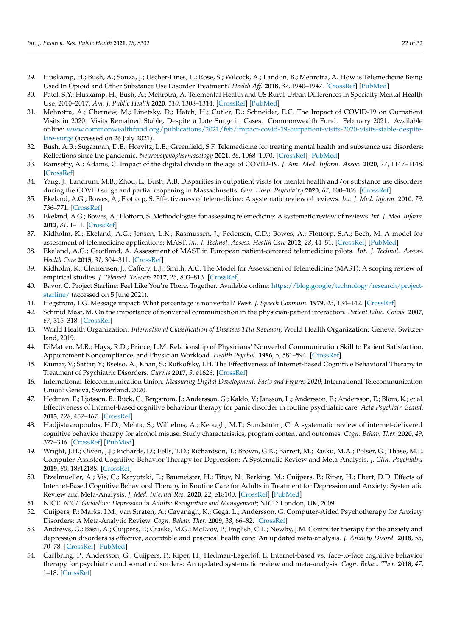- <span id="page-21-0"></span>29. Huskamp, H.; Bush, A.; Souza, J.; Uscher-Pines, L.; Rose, S.; Wilcock, A.; Landon, B.; Mehrotra, A. How is Telemedicine Being Used In Opioid and Other Substance Use Disorder Treatment? *Health Aff.* **2018**, *37*, 1940–1947. [\[CrossRef\]](http://doi.org/10.1377/hlthaff.2018.05134) [\[PubMed\]](http://www.ncbi.nlm.nih.gov/pubmed/30633671)
- 30. Patel, S.Y.; Huskamp, H.; Bush, A.; Mehrotra, A. Telemental Health and US Rural-Urban Differences in Specialty Mental Health Use, 2010–2017. *Am. J. Public Health* **2020**, *110*, 1308–1314. [\[CrossRef\]](http://doi.org/10.2105/AJPH.2020.305657) [\[PubMed\]](http://www.ncbi.nlm.nih.gov/pubmed/32673109)
- <span id="page-21-1"></span>31. Mehrotra, A.; Chernew, M.; Linetsky, D.; Hatch, H.; Cutler, D.; Schneider, E.C. The Impact of COVID-19 on Outpatient Visits in 2020: Visits Remained Stable, Despite a Late Surge in Cases. Commonwealth Fund. February 2021. Available online: [www.commonwealthfund.org/publications/2021/feb/impact-covid-19-outpatient-visits-2020-visits-stable-despite](www.commonwealthfund.org/publications/2021/feb/impact-covid-19-outpatient-visits-2020-visits-stable-despite-late-surge)[late-surge](www.commonwealthfund.org/publications/2021/feb/impact-covid-19-outpatient-visits-2020-visits-stable-despite-late-surge) (accessed on 26 July 2021).
- <span id="page-21-2"></span>32. Bush, A.B.; Sugarman, D.E.; Horvitz, L.E.; Greenfield, S.F. Telemedicine for treating mental health and substance use disorders: Reflections since the pandemic. *Neuropsychopharmacology* **2021**, *46*, 1068–1070. [\[CrossRef\]](http://doi.org/10.1038/s41386-021-00960-4) [\[PubMed\]](http://www.ncbi.nlm.nih.gov/pubmed/33479513)
- 33. Ramsetty, A.; Adams, C. Impact of the digital divide in the age of COVID-19. *J. Am. Med. Inform. Assoc.* **2020**, *27*, 1147–1148. [\[CrossRef\]](http://doi.org/10.1093/jamia/ocaa078)
- <span id="page-21-3"></span>34. Yang, J.; Landrum, M.B.; Zhou, L.; Bush, A.B. Disparities in outpatient visits for mental health and/or substance use disorders during the COVID surge and partial reopening in Massachusetts. *Gen. Hosp. Psychiatry* **2020**, *67*, 100–106. [\[CrossRef\]](http://doi.org/10.1016/j.genhosppsych.2020.09.004)
- <span id="page-21-4"></span>35. Ekeland, A.G.; Bowes, A.; Flottorp, S. Effectiveness of telemedicine: A systematic review of reviews. *Int. J. Med. Inform.* **2010**, *79*, 736–771. [\[CrossRef\]](http://doi.org/10.1016/j.ijmedinf.2010.08.006)
- <span id="page-21-5"></span>36. Ekeland, A.G.; Bowes, A.; Flottorp, S. Methodologies for assessing telemedicine: A systematic review of reviews. *Int. J. Med. Inform.* **2012**, *81*, 1–11. [\[CrossRef\]](http://doi.org/10.1016/j.ijmedinf.2011.10.009)
- <span id="page-21-6"></span>37. Kidholm, K.; Ekeland, A.G.; Jensen, L.K.; Rasmussen, J.; Pedersen, C.D.; Bowes, A.; Flottorp, S.A.; Bech, M. A model for assessment of telemedicine applications: MAST. *Int. J. Technol. Assess. Health Care* **2012**, *28*, 44–51. [\[CrossRef\]](http://doi.org/10.1017/S0266462311000638) [\[PubMed\]](http://www.ncbi.nlm.nih.gov/pubmed/22617736)
- 38. Ekeland, A.G.; Grottland, A. Assessment of MAST in European patient-centered telemedicine pilots. *Int. J. Technol. Assess. Health Care* **2015**, *31*, 304–311. [\[CrossRef\]](http://doi.org/10.1017/S0266462315000574)
- <span id="page-21-7"></span>39. Kidholm, K.; Clemensen, J.; Caffery, L.J.; Smith, A.C. The Model for Assessment of Telemedicine (MAST): A scoping review of empirical studies. *J. Telemed. Telecare* **2017**, *23*, 803–813. [\[CrossRef\]](http://doi.org/10.1177/1357633X17721815)
- <span id="page-21-8"></span>40. Bavor, C. Project Starline: Feel Like You're There, Together. Available online: [https://blog.google/technology/research/project](https://blog.google/technology/research/project-starline/)[starline/](https://blog.google/technology/research/project-starline/) (accessed on 5 June 2021).
- <span id="page-21-9"></span>41. Hegstrom, T.G. Message impact: What percentage is nonverbal? *West. J. Speech Commun.* **1979**, *43*, 134–142. [\[CrossRef\]](http://doi.org/10.1080/10570317909373961)
- <span id="page-21-10"></span>42. Schmid Mast, M. On the importance of nonverbal communication in the physician-patient interaction. *Patient Educ. Couns.* **2007**, *67*, 315–318. [\[CrossRef\]](http://doi.org/10.1016/j.pec.2007.03.005)
- <span id="page-21-11"></span>43. World Health Organization. *International Classification of Diseases 11th Revision*; World Health Organization: Geneva, Switzerland, 2019.
- <span id="page-21-12"></span>44. DiMatteo, M.R.; Hays, R.D.; Prince, L.M. Relationship of Physicians' Nonverbal Communication Skill to Patient Satisfaction, Appointment Noncompliance, and Physician Workload. *Health Psychol.* **1986**, *5*, 581–594. [\[CrossRef\]](http://doi.org/10.1037/0278-6133.5.6.581)
- <span id="page-21-13"></span>45. Kumar, V.; Sattar, Y.; Bseiso, A.; Khan, S.; Rutkofsky, I.H. The Effectiveness of Internet-Based Cognitive Behavioral Therapy in Treatment of Psychiatric Disorders. *Cureus* **2017**, *9*, e1626. [\[CrossRef\]](http://doi.org/10.7759/cureus.1626)
- <span id="page-21-14"></span>46. International Telecommunication Union. *Measuring Digital Development: Facts and Figures 2020*; International Telecommunication Union: Geneva, Switzerland, 2020.
- <span id="page-21-15"></span>47. Hedman, E.; Ljotsson, B.; Rück, C.; Bergström, J.; Andersson, G.; Kaldo, V.; Jansson, L.; Andersson, E.; Andersson, E.; Blom, K.; et al. Effectiveness of Internet-based cognitive behaviour therapy for panic disorder in routine psychiatric care. *Acta Psychiatr. Scand.* **2013**, *128*, 457–467. [\[CrossRef\]](http://doi.org/10.1111/acps.12079)
- <span id="page-21-16"></span>48. Hadjistavropoulos, H.D.; Mehta, S.; Wilhelms, A.; Keough, M.T.; Sundström, C. A systematic review of internet-delivered cognitive behavior therapy for alcohol misuse: Study characteristics, program content and outcomes. *Cogn. Behav. Ther.* **2020**, *49*, 327–346. [\[CrossRef\]](http://doi.org/10.1080/16506073.2019.1663258) [\[PubMed\]](http://www.ncbi.nlm.nih.gov/pubmed/31599198)
- <span id="page-21-17"></span>49. Wright, J.H.; Owen, J.J.; Richards, D.; Eells, T.D.; Richardson, T.; Brown, G.K.; Barrett, M.; Rasku, M.A.; Polser, G.; Thase, M.E. Computer-Assisted Cognitive-Behavior Therapy for Depression: A Systematic Review and Meta-Analysis. *J. Clin. Psychiatry* **2019**, *80*, 18r12188. [\[CrossRef\]](http://doi.org/10.4088/JCP.18r12188)
- <span id="page-21-18"></span>50. Etzelmueller, A.; Vis, C.; Karyotaki, E.; Baumeister, H.; Titov, N.; Berking, M.; Cuijpers, P.; Riper, H.; Ebert, D.D. Effects of Internet-Based Cognitive Behavioral Therapy in Routine Care for Adults in Treatment for Depression and Anxiety: Systematic Review and Meta-Analysis. *J. Med. Internet Res.* **2020**, *22*, e18100. [\[CrossRef\]](http://doi.org/10.2196/18100) [\[PubMed\]](http://www.ncbi.nlm.nih.gov/pubmed/32865497)
- <span id="page-21-19"></span>51. NICE. *NICE Guideline: Depression in Adults: Recognition and Management*; NICE: London, UK, 2009.
- <span id="page-21-20"></span>52. Cuijpers, P.; Marks, I.M.; van Straten, A.; Cavanagh, K.; Gega, L.; Andersson, G. Computer-Aided Psychotherapy for Anxiety Disorders: A Meta-Analytic Review. *Cogn. Behav. Ther.* **2009**, *38*, 66–82. [\[CrossRef\]](http://doi.org/10.1080/16506070802694776)
- <span id="page-21-21"></span>53. Andrews, G.; Basu, A.; Cuijpers, P.; Craske, M.G.; McEvoy, P.; English, C.L.; Newby, J.M. Computer therapy for the anxiety and depression disorders is effective, acceptable and practical health care: An updated meta-analysis. *J. Anxiety Disord.* **2018**, *55*, 70–78. [\[CrossRef\]](http://doi.org/10.1016/j.janxdis.2018.01.001) [\[PubMed\]](http://www.ncbi.nlm.nih.gov/pubmed/29422409)
- 54. Carlbring, P.; Andersson, G.; Cuijpers, P.; Riper, H.; Hedman-Lagerlöf, E. Internet-based vs. face-to-face cognitive behavior therapy for psychiatric and somatic disorders: An updated systematic review and meta-analysis. *Cogn. Behav. Ther.* **2018**, *47*, 1–18. [\[CrossRef\]](http://doi.org/10.1080/16506073.2017.1401115)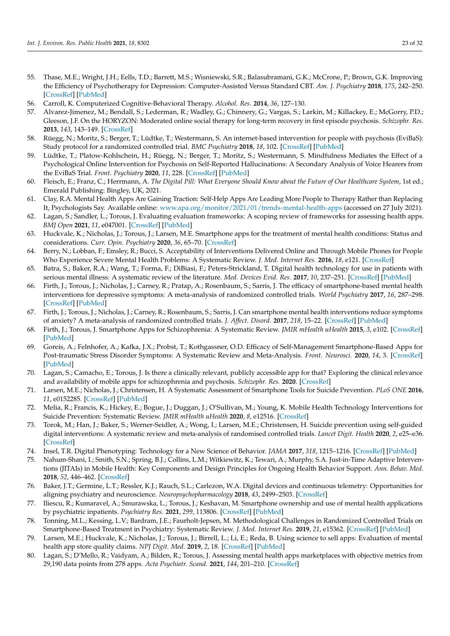- <span id="page-22-0"></span>55. Thase, M.E.; Wright, J.H.; Eells, T.D.; Barrett, M.S.; Wisniewski, S.R.; Balasubramani, G.K.; McCrone, P.; Brown, G.K. Improving the Efficiency of Psychotherapy for Depression: Computer-Assisted Versus Standard CBT. *Am. J. Psychiatry* **2018**, *175*, 242–250. [\[CrossRef\]](http://doi.org/10.1176/appi.ajp.2017.17010089) [\[PubMed\]](http://www.ncbi.nlm.nih.gov/pubmed/28969439)
- <span id="page-22-1"></span>56. Carroll, K. Computerized Cognitive-Behavioral Therapy. *Alcohol. Res.* **2014**, *36*, 127–130.
- <span id="page-22-2"></span>57. Alvarez-Jimenez, M.; Bendall, S.; Lederman, R.; Wadley, G.; Chinnery, G.; Vargas, S.; Larkin, M.; Killackey, E.; McGorry, P.D.; Gleeson, J.F. On the HORYZON: Moderated online social therapy for long-term recovery in first episode psychosis. *Schizophr. Res.* **2013**, *143*, 143–149. [\[CrossRef\]](http://doi.org/10.1016/j.schres.2012.10.009)
- 58. Rüegg, N.; Moritz, S.; Berger, T.; Lüdtke, T.; Westermann, S. An internet-based intervention for people with psychosis (EviBaS): Study protocol for a randomized controlled trial. *BMC Psychiatry* **2018**, *18*, 102. [\[CrossRef\]](http://doi.org/10.1186/s12888-018-1644-8) [\[PubMed\]](http://www.ncbi.nlm.nih.gov/pubmed/29653532)
- <span id="page-22-3"></span>59. Lüdtke, T.; Platow-Kohlschein, H.; Rüegg, N.; Berger, T.; Moritz, S.; Westermann, S. Mindfulness Mediates the Effect of a Psychological Online Intervention for Psychosis on Self-Reported Hallucinations: A Secondary Analysis of Voice Hearers from the EviBaS Trial. *Front. Psychiatry* **2020**, *11*, 228. [\[CrossRef\]](http://doi.org/10.3389/fpsyt.2020.00228) [\[PubMed\]](http://www.ncbi.nlm.nih.gov/pubmed/32308631)
- <span id="page-22-4"></span>60. Fleisch, E.; Franz, C.; Herrmann, A. *The Digital Pill: What Everyone Should Know about the Future of Our Healthcare System*, 1st ed.; Emerald Publishing: Bingley, UK, 2021.
- <span id="page-22-5"></span>61. Clay, R.A. Mental Health Apps Are Gaining Traction: Self-Help Apps Are Leading More People to Therapy Rather than Replacing It, Psychologists Say. Available online: <www.apa.org/monitor/2021/01/trends-mental-health-apps> (accessed on 27 July 2021).
- <span id="page-22-6"></span>62. Lagan, S.; Sandler, L.; Torous, J. Evaluating evaluation frameworks: A scoping review of frameworks for assessing health apps. *BMJ Open* **2021**, *11*, e047001. [\[CrossRef\]](http://doi.org/10.1136/bmjopen-2020-047001) [\[PubMed\]](http://www.ncbi.nlm.nih.gov/pubmed/33741674)
- <span id="page-22-7"></span>63. Huckvale, K.; Nicholas, J.; Torous, J.; Larsen, M.E. Smartphone apps for the treatment of mental health conditions: Status and considerations. *Curr. Opin. Psychiatry* **2020**, *36*, 65–70. [\[CrossRef\]](http://doi.org/10.1016/j.copsyc.2020.04.008)
- <span id="page-22-8"></span>64. Berry, N.; Lobban, F.; Emsley, R.; Bucci, S. Acceptability of Interventions Delivered Online and Through Mobile Phones for People Who Experience Severe Mental Health Problems: A Systematic Review. *J. Med. Internet Res.* **2016**, *18*, e121. [\[CrossRef\]](http://doi.org/10.2196/jmir.5250)
- <span id="page-22-9"></span>65. Batra, S.; Baker, R.A.; Wang, T.; Forma, F.; DiBiasi, F.; Peters-Strickland, T. Digital health technology for use in patients with serious mental illness: A systematic review of the literature. *Med. Devices Evid. Res.* **2017**, *10*, 237–251. [\[CrossRef\]](http://doi.org/10.2147/MDER.S144158) [\[PubMed\]](http://www.ncbi.nlm.nih.gov/pubmed/29042823)
- <span id="page-22-10"></span>66. Firth, J.; Torous, J.; Nicholas, J.; Carney, R.; Pratap, A.; Rosenbaum, S.; Sarris, J. The efficacy of smartphone-based mental health interventions for depressive symptoms: A meta-analysis of randomized controlled trials. *World Psychiatry* **2017**, *16*, 287–298. [\[CrossRef\]](http://doi.org/10.1002/wps.20472) [\[PubMed\]](http://www.ncbi.nlm.nih.gov/pubmed/28941113)
- <span id="page-22-11"></span>67. Firth, J.; Torous, J.; Nicholas, J.; Carney, R.; Rosenbaum, S.; Sarris, J. Can smartphone mental health interventions reduce symptoms of anxiety? A meta-analysis of randomized controlled trials. *J. Affect. Disord.* **2017**, *218*, 15–22. [\[CrossRef\]](http://doi.org/10.1016/j.jad.2017.04.046) [\[PubMed\]](http://www.ncbi.nlm.nih.gov/pubmed/28456072)
- <span id="page-22-12"></span>68. Firth, J.; Torous, J. Smartphone Apps for Schizophrenia: A Systematic Review. *JMIR mHealth uHealth* **2015**, *3*, e102. [\[CrossRef\]](http://doi.org/10.2196/mhealth.4930) [\[PubMed\]](http://www.ncbi.nlm.nih.gov/pubmed/26546039)
- 69. Goreis, A.; Felnhofer, A.; Kafka, J.X.; Probst, T.; Kothgassner, O.D. Efficacy of Self-Management Smartphone-Based Apps for Post-traumatic Stress Disorder Symptoms: A Systematic Review and Meta-Analysis. *Front. Neurosci.* **2020**, *14*, 3. [\[CrossRef\]](http://doi.org/10.3389/fnins.2020.00003) [\[PubMed\]](http://www.ncbi.nlm.nih.gov/pubmed/32038153)
- <span id="page-22-13"></span>70. Lagan, S.; Camacho, E.; Torous, J. Is there a clinically relevant, publicly accessible app for that? Exploring the clinical relevance and availability of mobile apps for schizophrenia and psychosis. *Schizophr. Res.* **2020**. [\[CrossRef\]](http://doi.org/10.1016/j.schres.2020.11.007)
- <span id="page-22-14"></span>71. Larsen, M.E.; Nicholas, J.; Christensen, H. A Systematic Assessment of Smartphone Tools for Suicide Prevention. *PLoS ONE* **2016**, *11*, e0152285. [\[CrossRef\]](http://doi.org/10.1371/journal.pone.0152285) [\[PubMed\]](http://www.ncbi.nlm.nih.gov/pubmed/27073900)
- <span id="page-22-15"></span>72. Melia, R.; Francis, K.; Hickey, E.; Bogue, J.; Duggan, J.; O'Sullivan, M.; Young, K. Mobile Health Technology Interventions for Suicide Prevention: Systematic Review. *JMIR mHealth uHealth* **2020**, *8*, e12516. [\[CrossRef\]](http://doi.org/10.2196/12516)
- <span id="page-22-16"></span>73. Torok, M.; Han, J.; Baker, S.; Werner-Seidler, A.; Wong, I.; Larsen, M.E.; Christensen, H. Suicide prevention using self-guided digital interventions: A systematic review and meta-analysis of randomised controlled trials. *Lancet Digit. Health* **2020**, *2*, e25–e36. [\[CrossRef\]](http://doi.org/10.1016/S2589-7500(19)30199-2)
- <span id="page-22-17"></span>74. Insel, T.R. Digital Phenotyping: Technology for a New Science of Behavior. *JAMA* **2017**, *318*, 1215–1216. [\[CrossRef\]](http://doi.org/10.1001/jama.2017.11295) [\[PubMed\]](http://www.ncbi.nlm.nih.gov/pubmed/28973224)
- <span id="page-22-18"></span>75. Nahum-Shani, I.; Smith, S.N.; Spring, B.J.; Collins, L.M.; Witkiewitz, K.; Tewari, A.; Murphy, S.A. Just-in-Time Adaptive Interventions (JITAIs) in Mobile Health: Key Components and Design Principles for Ongoing Health Behavior Support. *Ann. Behav. Med.* **2018**, *52*, 446–462. [\[CrossRef\]](http://doi.org/10.1007/s12160-016-9830-8)
- <span id="page-22-19"></span>76. Baker, J.T.; Germine, L.T.; Ressler, K.J.; Rauch, S.L.; Carlezon, W.A. Digital devices and continuous telemetry: Opportunities for aligning psychiatry and neuroscience. *Neuropsychopharmacology* **2018**, *43*, 2499–2503. [\[CrossRef\]](http://doi.org/10.1038/s41386-018-0172-z)
- <span id="page-22-20"></span>77. Iliescu, R.; Kumaravel, A.; Smurawska, L.; Torous, J.; Keshavan, M. Smartphone ownership and use of mental health applications by psychiatric inpatients. *Psychiatry Res.* **2021**, *299*, 113806. [\[CrossRef\]](http://doi.org/10.1016/j.psychres.2021.113806) [\[PubMed\]](http://www.ncbi.nlm.nih.gov/pubmed/33667947)
- <span id="page-22-21"></span>78. Tonning, M.L.; Kessing, L.V.; Bardram, J.E.; Faurholt-Jepsen, M. Methodological Challenges in Randomized Controlled Trials on Smartphone-Based Treatment in Psychiatry: Systematic Review. *J. Med. Internet Res.* **2019**, *21*, e15362. [\[CrossRef\]](http://doi.org/10.2196/15362) [\[PubMed\]](http://www.ncbi.nlm.nih.gov/pubmed/31663859)
- <span id="page-22-22"></span>79. Larsen, M.E.; Huckvale, K.; Nicholas, J.; Torous, J.; Birrell, L.; Li, E.; Reda, B. Using science to sell apps: Evaluation of mental health app store quality claims. *NPJ Digit. Med.* **2019**, *2*, 18. [\[CrossRef\]](http://doi.org/10.1038/s41746-019-0093-1) [\[PubMed\]](http://www.ncbi.nlm.nih.gov/pubmed/31304366)
- <span id="page-22-23"></span>80. Lagan, S.; D'Mello, R.; Vaidyam, A.; Bilden, R.; Torous, J. Assessing mental health apps marketplaces with objective metrics from 29,190 data points from 278 apps. *Acta Psychiatr. Scand.* **2021**, *144*, 201–210. [\[CrossRef\]](http://doi.org/10.1111/acps.13306)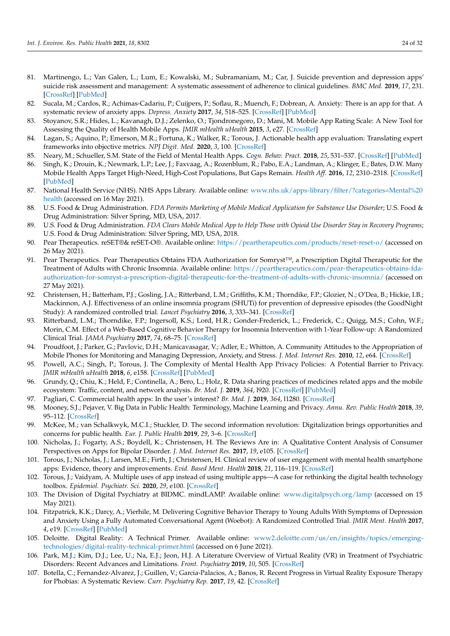- <span id="page-23-0"></span>81. Martinengo, L.; Van Galen, L.; Lum, E.; Kowalski, M.; Subramaniam, M.; Car, J. Suicide prevention and depression apps' suicide risk assessment and management: A systematic assessment of adherence to clinical guidelines. *BMC Med.* **2019**, *17*, 231. [\[CrossRef\]](http://doi.org/10.1186/s12916-019-1461-z) [\[PubMed\]](http://www.ncbi.nlm.nih.gov/pubmed/31852455)
- <span id="page-23-1"></span>82. Sucala, M.; Cardos, R.; Achimas-Cadariu, P.; Cuijpers, P.; Soflau, R.; Muench, F.; Dobrean, A. Anxiety: There is an app for that. A systematic review of anxiety apps. *Depress. Anxiety* **2017**, *34*, 518–525. [\[CrossRef\]](http://doi.org/10.1002/da.22654) [\[PubMed\]](http://www.ncbi.nlm.nih.gov/pubmed/28504859)
- <span id="page-23-2"></span>83. Stoyanov, S.R.; Hides, L.; Kavanagh, D.J.; Zelenko, O.; Tjondronegoro, D.; Mani, M. Mobile App Rating Scale: A New Tool for Assessing the Quality of Health Mobile Apps. *JMIR mHealth uHealth* **2015**, *3*, e27. [\[CrossRef\]](http://doi.org/10.2196/mhealth.3422)
- <span id="page-23-3"></span>84. Lagan, S.; Aquino, P.; Emerson, M.R.; Fortuna, K.; Walker, R.; Torous, J. Actionable health app evaluation: Translating expert frameworks into objective metrics. *NPJ Digit. Med.* **2020**, *3*, 100. [\[CrossRef\]](http://doi.org/10.1038/s41746-020-00312-4)
- <span id="page-23-4"></span>85. Neary, M.; Schueller, S.M. State of the Field of Mental Health Apps. *Cogn. Behav. Pract.* **2018**, *25*, 531–537. [\[CrossRef\]](http://doi.org/10.1016/j.cbpra.2018.01.002) [\[PubMed\]](http://www.ncbi.nlm.nih.gov/pubmed/33100810)
- <span id="page-23-5"></span>86. Singh, K.; Drouin, K.; Newmark, L.P.; Lee, J.; Faxvaag, A.; Rozenblum, R.; Pabo, E.A.; Landman, A.; Klinger, E.; Bates, D.W. Many Mobile Health Apps Target High-Need, High-Cost Populations, But Gaps Remain. *Health Aff.* **2016**, *12*, 2310–2318. [\[CrossRef\]](http://doi.org/10.1377/hlthaff.2016.0578) [\[PubMed\]](http://www.ncbi.nlm.nih.gov/pubmed/27920321)
- <span id="page-23-6"></span>87. National Health Service (NHS). NHS Apps Library. Available online: [www.nhs.uk/apps-library/filter/?categories=Mental%20](www.nhs.uk/apps-library/filter/?categories=Mental%20health) [health](www.nhs.uk/apps-library/filter/?categories=Mental%20health) (accessed on 16 May 2021).
- <span id="page-23-7"></span>88. U.S. Food & Drug Administration. *FDA Permits Marketing of Mobile Medical Application for Substance Use Disorder*; U.S. Food & Drug Administration: Silver Spring, MD, USA, 2017.
- 89. U.S. Food & Drug Administration. *FDA Clears Mobile Medical App to Help Those with Opioid Use Disorder Stay in Recovery Programs*; U.S. Food & Drug Administration: Silver Spring, MD, USA, 2018.
- <span id="page-23-8"></span>90. Pear Therapeutics. reSET®& reSET-O®. Available online: <https://peartherapeutics.com/products/reset-reset-o/> (accessed on 26 May 2021).
- <span id="page-23-9"></span>91. Pear Therapeutics. Pear Therapeutics Obtains FDA Authorization for Somryst™, a Prescription Digital Therapeutic for the Treatment of Adults with Chronic Insomnia. Available online: [https://peartherapeutics.com/pear-therapeutics-obtains-fda](https://peartherapeutics.com/pear-therapeutics-obtains-fda-authorization-for-somryst-a-prescription-digital-therapeutic-for-the-treatment-of-adults-with-chronic-insomnia/)[authorization-for-somryst-a-prescription-digital-therapeutic-for-the-treatment-of-adults-with-chronic-insomnia/](https://peartherapeutics.com/pear-therapeutics-obtains-fda-authorization-for-somryst-a-prescription-digital-therapeutic-for-the-treatment-of-adults-with-chronic-insomnia/) (accessed on 27 May 2021).
- <span id="page-23-10"></span>92. Christensen, H.; Batterham, P.J.; Gosling, J.A.; Ritterband, L.M.; Griffiths, K.M.; Thorndike, F.P.; Glozier, N.; O'Dea, B.; Hickie, I.B.; Mackinnon, A.J. Effectiveness of an online insomnia program (SHUTi) for prevention of depressive episodes (the GoodNight Study): A randomized controlled trial. *Lancet Psychiatry* **2016**, *3*, 333–341. [\[CrossRef\]](http://doi.org/10.1016/S2215-0366(15)00536-2)
- <span id="page-23-11"></span>93. Ritterband, L.M.; Thorndike, F.P.; Ingersoll, K.S.; Lord, H.R.; Gonder-Frederick, L.; Frederick, C.; Quigg, M.S.; Cohn, W.F.; Morin, C.M. Effect of a Web-Based Cognitive Behavior Therapy for Insomnia Intervention with 1-Year Follow-up: A Randomized Clinical Trial. *JAMA Psychiatry* **2017**, *74*, 68–75. [\[CrossRef\]](http://doi.org/10.1001/jamapsychiatry.2016.3249)
- <span id="page-23-12"></span>94. Proudfoot, J.; Parker, G.; Pavlovic, D.H.; Manicavasagar, V.; Adler, E.; Whitton, A. Community Attitudes to the Appropriation of Mobile Phones for Monitoring and Managing Depression, Anxiety, and Stress. *J. Med. Internet Res.* **2010**, *12*, e64. [\[CrossRef\]](http://doi.org/10.2196/jmir.1475)
- <span id="page-23-13"></span>95. Powell, A.C.; Singh, P.; Torous, J. The Complexity of Mental Health App Privacy Policies: A Potential Barrier to Privacy. *JMIR mHealth uHealth* **2018**, *6*, e158. [\[CrossRef\]](http://doi.org/10.2196/mhealth.9871) [\[PubMed\]](http://www.ncbi.nlm.nih.gov/pubmed/30061090)
- <span id="page-23-16"></span>96. Grundy, Q.; Chiu, K.; Held, F.; Continella, A.; Bero, L.; Holz, R. Data sharing practices of medicines related apps and the mobile ecosystem: Traffic, content, and network analysis. *Br. Med. J.* **2019**, *364*, l920. [\[CrossRef\]](http://doi.org/10.1136/bmj.l920) [\[PubMed\]](http://www.ncbi.nlm.nih.gov/pubmed/30894349)
- <span id="page-23-14"></span>97. Pagliari, C. Commercial health apps: In the user's interest? *Br. Med. J.* **2019**, *364*, l1280. [\[CrossRef\]](http://doi.org/10.1136/bmj.l1280)
- <span id="page-23-15"></span>98. Mooney, S.J.; Pejaver, V. Big Data in Public Health: Terminology, Machine Learning and Privacy. *Annu. Rev. Public Health* **2018**, *39*, 95–112. [\[CrossRef\]](http://doi.org/10.1146/annurev-publhealth-040617-014208)
- <span id="page-23-17"></span>99. McKee, M.; van Schalkwyk, M.C.I.; Stuckler, D. The second information revolution: Digitalization brings opportunities and concerns for public health. *Eur. J. Public Health* **2019**, *29*, 3–6. [\[CrossRef\]](http://doi.org/10.1093/eurpub/ckz160)
- <span id="page-23-18"></span>100. Nicholas, J.; Fogarty, A.S.; Boydell, K.; Christensen, H. The Reviews Are in: A Qualitative Content Analysis of Consumer Perspectives on Apps for Bipolar Disorder. *J. Med. Internet Res.* **2017**, *19*, e105. [\[CrossRef\]](http://doi.org/10.2196/jmir.7273)
- <span id="page-23-19"></span>101. Torous, J.; Nicholas, J.; Larsen, M.E.; Firth, J.; Christensen, H. Clinical review of user engagement with mental health smartphone apps: Evidence, theory and improvements. *Evid. Based Ment. Health* **2018**, *21*, 116–119. [\[CrossRef\]](http://doi.org/10.1136/eb-2018-102891)
- <span id="page-23-20"></span>102. Torous, J.; Vaidyam, A. Multiple uses of app instead of using multiple apps—A case for rethinking the digital health technology toolbox. *Epidemiol. Psychiatr. Sci.* **2020**, *29*, e100. [\[CrossRef\]](http://doi.org/10.1017/S2045796020000013)
- <span id="page-23-21"></span>103. The Division of Digital Psychiatry at BIDMC. mindLAMP. Available online: <www.digitalpsych.org/lamp> (accessed on 15 May 2021).
- <span id="page-23-22"></span>104. Fitzpatrick, K.K.; Darcy, A.; Vierhile, M. Delivering Cognitive Behavior Therapy to Young Adults With Symptoms of Depression and Anxiety Using a Fully Automated Conversational Agent (Woebot): A Randomized Controlled Trial. *JMIR Ment. Health* **2017**, *4*, e19. [\[CrossRef\]](http://doi.org/10.2196/mental.7785) [\[PubMed\]](http://www.ncbi.nlm.nih.gov/pubmed/28588005)
- <span id="page-23-23"></span>105. Deloitte. Digital Reality: A Technical Primer. Available online: [www2.deloitte.com/us/en/insights/topics/emerging](www2.deloitte.com/us/en/insights/topics/emerging-technologies/digital-reality-technical-primer.html)[technologies/digital-reality-technical-primer.html](www2.deloitte.com/us/en/insights/topics/emerging-technologies/digital-reality-technical-primer.html) (accessed on 6 June 2021).
- <span id="page-23-24"></span>106. Park, M.J.; Kim, D.J.; Lee, U.; Na, E.J.; Jeon, H.J. A Literature Overview of Virtual Reality (VR) in Treatment of Psychiatric Disorders: Recent Advances and Limitations. *Front. Psychiatry* **2019**, *10*, 505. [\[CrossRef\]](http://doi.org/10.3389/fpsyt.2019.00505)
- <span id="page-23-25"></span>107. Botella, C.; Fernandez-Alvarez, J.; Guillen, V.; Garcia-Palacios, A.; Banos, R. Recent Progress in Virtual Reality Exposure Therapy for Phobias: A Systematic Review. *Curr. Psychiatry Rep.* **2017**, *19*, 42. [\[CrossRef\]](http://doi.org/10.1007/s11920-017-0788-4)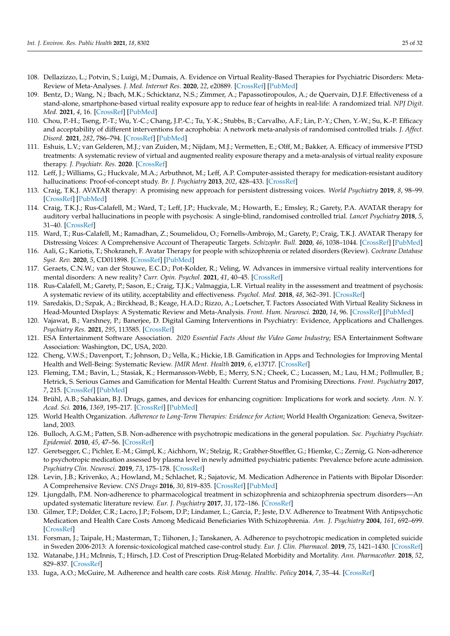- <span id="page-24-1"></span>108. Dellazizzo, L.; Potvin, S.; Luigi, M.; Dumais, A. Evidence on Virtual Reality-Based Therapies for Psychiatric Disorders: Meta-Review of Meta-Analyses. *J. Med. Internet Res.* **2020**, *22*, e20889. [\[CrossRef\]](http://doi.org/10.2196/20889) [\[PubMed\]](http://www.ncbi.nlm.nih.gov/pubmed/32812889)
- 109. Bentz, D.; Wang, N.; Ibach, M.K.; Schicktanz, N.S.; Zimmer, A.; Papassotiropoulos, A.; de Quervain, D.J.F. Effectiveness of a stand-alone, smartphone-based virtual reality exposure app to reduce fear of heights in real-life: A randomized trial. *NPJ Digit. Med.* **2021**, *4*, 16. [\[CrossRef\]](http://doi.org/10.1038/s41746-021-00387-7) [\[PubMed\]](http://www.ncbi.nlm.nih.gov/pubmed/33558625)
- <span id="page-24-0"></span>110. Chou, P.-H.; Tseng, P.-T.; Wu, Y.-C.; Chang, J.P.-C.; Tu, Y.-K.; Stubbs, B.; Carvalho, A.F.; Lin, P.-Y.; Chen, Y.-W.; Su, K.-P. Efficacy and acceptability of different interventions for acrophobia: A network meta-analysis of randomised controlled trials. *J. Affect. Disord.* **2021**, *282*, 786–794. [\[CrossRef\]](http://doi.org/10.1016/j.jad.2020.12.172) [\[PubMed\]](http://www.ncbi.nlm.nih.gov/pubmed/33601719)
- <span id="page-24-2"></span>111. Eshuis, L.V.; van Gelderen, M.J.; van Zuiden, M.; Nijdam, M.J.; Vermetten, E.; Olff, M.; Bakker, A. Efficacy of immersive PTSD treatments: A systematic review of virtual and augmented reality exposure therapy and a meta-analysis of virtual reality exposure therapy. *J. Psychiatr. Res.* **2020**. [\[CrossRef\]](http://doi.org/10.1016/j.jpsychires.2020.11.030)
- <span id="page-24-3"></span>112. Leff, J.; Williams, G.; Huckvale, M.A.; Arbuthnot, M.; Leff, A.P. Computer-assisted therapy for medication-resistant auditory hallucinations: Proof-of-concept study. *Br. J. Psychiatry* **2013**, *202*, 428–433. [\[CrossRef\]](http://doi.org/10.1192/bjp.bp.112.124883)
- <span id="page-24-4"></span>113. Craig, T.K.J. AVATAR therapy: A promising new approach for persistent distressing voices. *World Psychiatry* **2019**, *8*, 98–99. [\[CrossRef\]](http://doi.org/10.1002/wps.20589) [\[PubMed\]](http://www.ncbi.nlm.nih.gov/pubmed/30600623)
- <span id="page-24-5"></span>114. Craig, T.K.J.; Rus-Calafell, M.; Ward, T.; Leff, J.P.; Huckvale, M.; Howarth, E.; Emsley, R.; Garety, P.A. AVATAR therapy for auditory verbal hallucinations in people with psychosis: A single-blind, randomised controlled trial. *Lancet Psychiatry* **2018**, *5*, 31–40. [\[CrossRef\]](http://doi.org/10.1016/S2215-0366(17)30427-3)
- <span id="page-24-6"></span>115. Ward, T.; Rus-Calafell, M.; Ramadhan, Z.; Soumelidou, O.; Fornells-Ambrojo, M.; Garety, P.; Craig, T.K.J. AVATAR Therapy for Distressing Voices: A Comprehensive Account of Therapeutic Targets. *Schizophr. Bull.* **2020**, *46*, 1038–1044. [\[CrossRef\]](http://doi.org/10.1093/schbul/sbaa061) [\[PubMed\]](http://www.ncbi.nlm.nih.gov/pubmed/32372082)
- <span id="page-24-7"></span>116. Aali, G.; Kariotis, T.; Shokraneh, F. Avatar Therapy for people with schizophrenia or related disorders (Review). *Cochrane Database Syst. Rev.* **2020**, *5*, CD011898. [\[CrossRef\]](http://doi.org/10.1002/14651858.CD011898.pub2) [\[PubMed\]](http://www.ncbi.nlm.nih.gov/pubmed/32413166)
- <span id="page-24-8"></span>117. Geraets, C.N.W.; van der Stouwe, E.C.D.; Pot-Kolder, R.; Veling, W. Advances in immersive virtual reality interventions for mental disorders: A new reality? *Curr. Opin. Psychol.* **2021**, *41*, 40–45. [\[CrossRef\]](http://doi.org/10.1016/j.copsyc.2021.02.004)
- <span id="page-24-9"></span>118. Rus-Calafell, M.; Garety, P.; Sason, E.; Craig, T.J.K.; Valmaggia, L.R. Virtual reality in the assessment and treatment of psychosis: A systematic review of its utility, acceptability and effectiveness. *Psychol. Med.* **2018**, *48*, 362–391. [\[CrossRef\]](http://doi.org/10.1017/S0033291717001945)
- <span id="page-24-10"></span>119. Saredakis, D.; Szpak, A.; Birckhead, B.; Keage, H.A.D.; Rizzo, A.; Loetscher, T. Factors Associated With Virtual Reality Sickness in Head-Mounted Displays: A Systematic Review and Meta-Analysis. *Front. Hum. Neurosci.* **2020**, *14*, 96. [\[CrossRef\]](http://doi.org/10.3389/fnhum.2020.00096) [\[PubMed\]](http://www.ncbi.nlm.nih.gov/pubmed/32300295)
- <span id="page-24-11"></span>120. Vajawat, B.; Varshney, P.; Banerjee, D. Digital Gaming Interventions in Psychiatry: Evidence, Applications and Challenges. *Psychiatry Res.* **2021**, *295*, 113585. [\[CrossRef\]](http://doi.org/10.1016/j.psychres.2020.113585)
- <span id="page-24-12"></span>121. ESA Entertainment Software Association. *2020 Essential Facts About the Video Game Industry*; ESA Entertainment Software Association: Washington, DC, USA, 2020.
- <span id="page-24-13"></span>122. Cheng, V.W.S.; Davenport, T.; Johnson, D.; Vella, K.; Hickie, I.B. Gamification in Apps and Technologies for Improving Mental Health and Well-Being: Systematic Review. *JMIR Ment. Health* **2019**, *6*, e13717. [\[CrossRef\]](http://doi.org/10.2196/13717)
- <span id="page-24-14"></span>123. Fleming, T.M.; Bavin, L.; Stasiak, K.; Hermansson-Webb, E.; Merry, S.N.; Cheek, C.; Lucassen, M.; Lau, H.M.; Pollmuller, B.; Hetrick, S. Serious Games and Gamification for Mental Health: Current Status and Promising Directions. *Front. Psychiatry* **2017**, *7*, 215. [\[CrossRef\]](http://doi.org/10.3389/fpsyt.2016.00215) [\[PubMed\]](http://www.ncbi.nlm.nih.gov/pubmed/28119636)
- <span id="page-24-15"></span>124. Brühl, A.B.; Sahakian, B.J. Drugs, games, and devices for enhancing cognition: Implications for work and society. *Ann. N. Y. Acad. Sci.* **2016**, *1369*, 195–217. [\[CrossRef\]](http://doi.org/10.1111/nyas.13040) [\[PubMed\]](http://www.ncbi.nlm.nih.gov/pubmed/27043232)
- <span id="page-24-16"></span>125. World Health Organization. *Adherence to Long-Term Therapies: Evidence for Action*; World Health Organization: Geneva, Switzerland, 2003.
- <span id="page-24-17"></span>126. Bulloch, A.G.M.; Patten, S.B. Non-adherence with psychotropic medications in the general population. *Soc. Psychiatry Psychiatr. Epidemiol.* **2010**, *45*, 47–56. [\[CrossRef\]](http://doi.org/10.1007/s00127-009-0041-5)
- <span id="page-24-18"></span>127. Geretsegger, C.; Pichler, E.-M.; Gimpl, K.; Aichhorn, W.; Stelzig, R.; Grabher-Stoeffler, G.; Hiemke, C.; Zernig, G. Non-adherence to psychotropic medication assessed by plasma level in newly admitted psychiatric patients: Prevalence before acute admission. *Psychiatry Clin. Neurosci.* **2019**, *73*, 175–178. [\[CrossRef\]](http://doi.org/10.1111/pcn.12809)
- <span id="page-24-19"></span>128. Levin, J.B.; Krivenko, A.; Howland, M.; Schlachet, R.; Sajatovic, M. Medication Adherence in Patients with Bipolar Disorder: A Comprehensive Review. *CNS Drugs* **2016**, *30*, 819–835. [\[CrossRef\]](http://doi.org/10.1007/s40263-016-0368-x) [\[PubMed\]](http://www.ncbi.nlm.nih.gov/pubmed/27435356)
- <span id="page-24-20"></span>129. Ljungdalh, P.M. Non-adherence to pharmacological treatment in schizophrenia and schizophrenia spectrum disorders—An updated systematic literature review. *Eur. J. Psychiatry* **2017**, *31*, 172–186. [\[CrossRef\]](http://doi.org/10.1016/j.ejpsy.2017.08.001)
- <span id="page-24-21"></span>130. Gilmer, T.P.; Dolder, C.R.; Lacro, J.P.; Folsom, D.P.; Lindamer, L.; Garcia, P.; Jeste, D.V. Adherence to Treatment With Antipsychotic Medication and Health Care Costs Among Medicaid Beneficiaries With Schizophrenia. *Am. J. Psychiatry* **2004**, *161*, 692–699. [\[CrossRef\]](http://doi.org/10.1176/appi.ajp.161.4.692)
- <span id="page-24-22"></span>131. Forsman, J.; Taipale, H.; Masterman, T.; Tiihonen, J.; Tanskanen, A. Adherence to psychotropic medication in completed suicide in Sweden 2006-2013: A forensic-toxicological matched case-control study. *Eur. J. Clin. Pharmacol.* **2019**, *75*, 1421–1430. [\[CrossRef\]](http://doi.org/10.1007/s00228-019-02707-z)
- <span id="page-24-23"></span>132. Watanabe, J.H.; McInnis, T.; Hirsch, J.D. Cost of Prescription Drug-Related Morbidity and Mortality. *Ann. Pharmacother.* **2018**, *52*, 829–837. [\[CrossRef\]](http://doi.org/10.1177/1060028018765159)
- <span id="page-24-24"></span>133. Iuga, A.O.; McGuire, M. Adherence and health care costs. *Risk Manag. Healthc. Policy* **2014**, *7*, 35–44. [\[CrossRef\]](http://doi.org/10.2147/RMHP.S19801)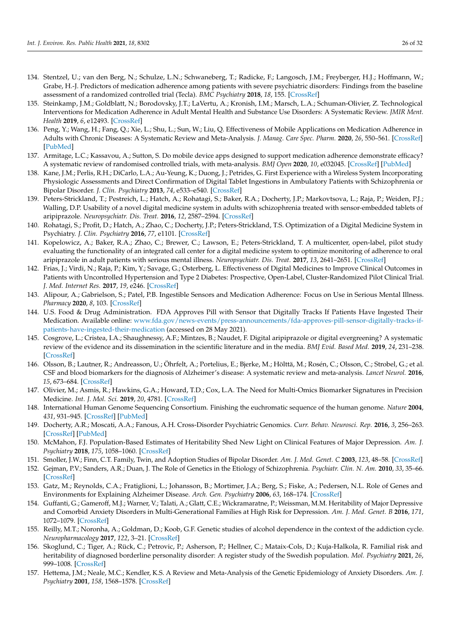- 134. Stentzel, U.; van den Berg, N.; Schulze, L.N.; Schwaneberg, T.; Radicke, F.; Langosch, J.M.; Freyberger, H.J.; Hoffmann, W.; Grabe, H.-J. Predictors of medication adherence among patients with severe psychiatric disorders: Findings from the baseline assessment of a randomized controlled trial (Tecla). *BMC Psychiatry* **2018**, *18*, 155. [\[CrossRef\]](http://doi.org/10.1186/s12888-018-1737-4)
- <span id="page-25-0"></span>135. Steinkamp, J.M.; Goldblatt, N.; Borodovsky, J.T.; LaVertu, A.; Kronish, I.M.; Marsch, L.A.; Schuman-Olivier, Z. Technological Interventions for Medication Adherence in Adult Mental Health and Substance Use Disorders: A Systematic Review. *JMIR Ment. Health* **2019**, *6*, e12493. [\[CrossRef\]](http://doi.org/10.2196/12493)
- <span id="page-25-1"></span>136. Peng, Y.; Wang, H.; Fang, Q.; Xie, L.; Shu, L.; Sun, W.; Liu, Q. Effectiveness of Mobile Applications on Medication Adherence in Adults with Chronic Diseases: A Systematic Review and Meta-Analysis. *J. Manag. Care Spec. Pharm.* **2020**, *26*, 550–561. [\[CrossRef\]](http://doi.org/10.18553/jmcp.2020.26.4.550) [\[PubMed\]](http://www.ncbi.nlm.nih.gov/pubmed/32223596)
- <span id="page-25-2"></span>137. Armitage, L.C.; Kassavou, A.; Sutton, S. Do mobile device apps designed to support medication adherence demonstrate efficacy? A systematic review of randomised controlled trials, with meta-analysis. *BMJ Open* **2020**, *10*, e032045. [\[CrossRef\]](http://doi.org/10.1136/bmjopen-2019-032045) [\[PubMed\]](http://www.ncbi.nlm.nih.gov/pubmed/32005778)
- <span id="page-25-3"></span>138. Kane, J.M.; Perlis, R.H.; DiCarlo, L.A.; Au-Yeung, K.; Duong, J.; Petrides, G. First Experience with a Wireless System Incorporating Physiologic Assessments and Direct Confirmation of Digital Tablet Ingestions in Ambulatory Patients with Schizophrenia or Bipolar Disorder. *J. Clin. Psychiatry* **2013**, *74*, e533–e540. [\[CrossRef\]](http://doi.org/10.4088/JCP.12m08222)
- <span id="page-25-5"></span>139. Peters-Strickland, T.; Pestreich, L.; Hatch, A.; Rohatagi, S.; Baker, R.A.; Docherty, J.P.; Markovtsova, L.; Raja, P.; Weiden, P.J.; Walling, D.P. Usability of a novel digital medicine system in adults with schizophrenia treated with sensor-embedded tablets of aripiprazole. *Neuropsychiatr. Dis. Treat.* **2016**, *12*, 2587–2594. [\[CrossRef\]](http://doi.org/10.2147/NDT.S116029)
- 140. Rohatagi, S.; Profit, D.; Hatch, A.; Zhao, C.; Docherty, J.P.; Peters-Strickland, T.S. Optimization of a Digital Medicine System in Psychiatry. *J. Clin. Psychiatry* **2016**, *77*, e1101. [\[CrossRef\]](http://doi.org/10.4088/JCP.16m10693)
- <span id="page-25-6"></span>141. Kopelowicz, A.; Baker, R.A.; Zhao, C.; Brewer, C.; Lawson, E.; Peters-Strickland, T. A multicenter, open-label, pilot study evaluating the functionality of an integrated call center for a digital medicine system to optimize monitoring of adherence to oral aripiprazole in adult patients with serious mental illness. *Neuropsychiatr. Dis. Treat.* **2017**, *13*, 2641–2651. [\[CrossRef\]](http://doi.org/10.2147/NDT.S143091)
- 142. Frias, J.; Virdi, N.; Raja, P.; Kim, Y.; Savage, G.; Osterberg, L. Effectiveness of Digital Medicines to Improve Clinical Outcomes in Patients with Uncontrolled Hypertension and Type 2 Diabetes: Prospective, Open-Label, Cluster-Randomized Pilot Clinical Trial. *J. Med. Internet Res.* **2017**, *19*, e246. [\[CrossRef\]](http://doi.org/10.2196/jmir.7833)
- <span id="page-25-4"></span>143. Alipour, A.; Gabrielson, S.; Patel, P.B. Ingestible Sensors and Medication Adherence: Focus on Use in Serious Mental Illness. *Pharmacy* **2020**, *8*, 103. [\[CrossRef\]](http://doi.org/10.3390/pharmacy8020103)
- <span id="page-25-7"></span>144. U.S. Food & Drug Administration. FDA Approves Pill with Sensor that Digitally Tracks If Patients Have Ingested Their Medication. Available online: [www.fda.gov/news-events/press-announcements/fda-approves-pill-sensor-digitally-tracks-if](www.fda.gov/news-events/press-announcements/fda-approves-pill-sensor-digitally-tracks-if-patients-have-ingested-their-medication)[patients-have-ingested-their-medication](www.fda.gov/news-events/press-announcements/fda-approves-pill-sensor-digitally-tracks-if-patients-have-ingested-their-medication) (accessed on 28 May 2021).
- <span id="page-25-8"></span>145. Cosgrove, L.; Cristea, I.A.; Shaughnessy, A.F.; Mintzes, B.; Naudet, F. Digital aripiprazole or digital evergreening? A systematic review of the evidence and its dissemination in the scientific literature and in the media. *BMJ Evid. Based Med.* **2019**, *24*, 231–238. [\[CrossRef\]](http://doi.org/10.1136/bmjebm-2019-111204)
- <span id="page-25-9"></span>146. Olsson, B.; Lautner, R.; Andreasson, U.; Öhrfelt, A.; Portelius, E.; Bjerke, M.; Hölttä, M.; Rosén, C.; Olsson, C.; Strobel, G.; et al. CSF and blood biomarkers for the diagnosis of Alzheimer's disease: A systematic review and meta-analysis. *Lancet Neurol.* **2016**, *15*, 673–684. [\[CrossRef\]](http://doi.org/10.1016/S1474-4422(16)00070-3)
- <span id="page-25-10"></span>147. Olivier, M.; Asmis, R.; Hawkins, G.A.; Howard, T.D.; Cox, L.A. The Need for Multi-Omics Biomarker Signatures in Precision Medicine. *Int. J. Mol. Sci.* **2019**, *20*, 4781. [\[CrossRef\]](http://doi.org/10.3390/ijms20194781)
- <span id="page-25-11"></span>148. International Human Genome Sequencing Consortium. Finishing the euchromatic sequence of the human genome. *Nature* **2004**, *431*, 931–945. [\[CrossRef\]](http://doi.org/10.1038/nature03001) [\[PubMed\]](http://www.ncbi.nlm.nih.gov/pubmed/15496913)
- <span id="page-25-12"></span>149. Docherty, A.R.; Moscati, A.A.; Fanous, A.H. Cross-Disorder Psychiatric Genomics. *Curr. Behav. Neurosci. Rep.* **2016**, *3*, 256–263. [\[CrossRef\]](http://doi.org/10.1007/s40473-016-0084-3) [\[PubMed\]](http://www.ncbi.nlm.nih.gov/pubmed/28042526)
- <span id="page-25-13"></span>150. McMahon, F.J. Population-Based Estimates of Heritability Shed New Light on Clinical Features of Major Depression. *Am. J. Psychiatry* **2018**, *175*, 1058–1060. [\[CrossRef\]](http://doi.org/10.1176/appi.ajp.2018.18070789)
- <span id="page-25-14"></span>151. Smoller, J.W.; Finn, C.T. Family, Twin, and Adoption Studies of Bipolar Disorder. *Am. J. Med. Genet. C* **2003**, *123*, 48–58. [\[CrossRef\]](http://doi.org/10.1002/ajmg.c.20013)
- <span id="page-25-15"></span>152. Gejman, P.V.; Sanders, A.R.; Duan, J. The Role of Genetics in the Etiology of Schizophrenia. *Psychiatr. Clin. N. Am.* **2010**, *33*, 35–66. [\[CrossRef\]](http://doi.org/10.1016/j.psc.2009.12.003)
- <span id="page-25-16"></span>153. Gatz, M.; Reynolds, C.A.; Fratiglioni, L.; Johansson, B.; Mortimer, J.A.; Berg, S.; Fiske, A.; Pedersen, N.L. Role of Genes and Environments for Explaining Alzheimer Disease. *Arch. Gen. Psychiatry* **2006**, *63*, 168–174. [\[CrossRef\]](http://doi.org/10.1001/archpsyc.63.2.168)
- <span id="page-25-17"></span>154. Guffanti, G.; Gameroff, M.J.; Warner, V.; Talati, A.; Glatt, C.E.; Wickramaratne, P.; Weissman, M.M. Heritability of Major Depressive and Comorbid Anxiety Disorders in Multi-Generational Families at High Risk for Depression. *Am. J. Med. Genet. B* **2016**, *171*, 1072–1079. [\[CrossRef\]](http://doi.org/10.1002/ajmg.b.32477)
- <span id="page-25-18"></span>155. Reilly, M.T.; Noronha, A.; Goldman, D.; Koob, G.F. Genetic studies of alcohol dependence in the context of the addiction cycle. *Neuropharmacology* **2017**, *122*, 3–21. [\[CrossRef\]](http://doi.org/10.1016/j.neuropharm.2017.01.017)
- <span id="page-25-19"></span>156. Skoglund, C.; Tiger, A.; Rück, C.; Petrovic, P.; Asherson, P.; Hellner, C.; Mataix-Cols, D.; Kuja-Halkola, R. Familial risk and heritability of diagnosed borderline personality disorder: A register study of the Swedish population. *Mol. Psychiatry* **2021**, *26*, 999–1008. [\[CrossRef\]](http://doi.org/10.1038/s41380-019-0442-0)
- <span id="page-25-20"></span>157. Hettema, J.M.; Neale, M.C.; Kendler, K.S. A Review and Meta-Analysis of the Genetic Epidemiology of Anxiety Disorders. *Am. J. Psychiatry* **2001**, *158*, 1568–1578. [\[CrossRef\]](http://doi.org/10.1176/appi.ajp.158.10.1568)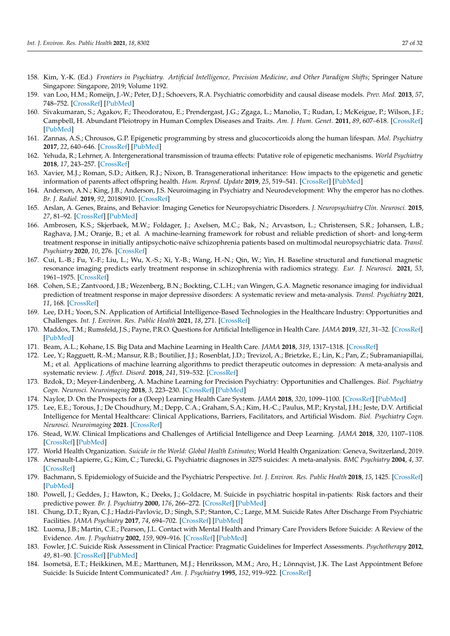- <span id="page-26-0"></span>158. Kim, Y.-K. (Ed.) *Frontiers in Psychiatry. Artificial Intelligence, Precision Medicine, and Other Paradigm Shifts*; Springer Nature Singapore: Singapore, 2019; Volume 1192.
- <span id="page-26-1"></span>159. van Loo, H.M.; Romeijn, J.-W.; Peter, D.J.; Schoevers, R.A. Psychiatric comorbidity and causal disease models. *Prev. Med.* **2013**, *57*, 748–752. [\[CrossRef\]](http://doi.org/10.1016/j.ypmed.2012.10.018) [\[PubMed\]](http://www.ncbi.nlm.nih.gov/pubmed/23123862)
- <span id="page-26-2"></span>160. Sivakumaran, S.; Agakov, F.; Theodoratou, E.; Prendergast, J.G.; Zgaga, L.; Manolio, T.; Rudan, I.; McKeigue, P.; Wilson, J.F.; Campbell, H. Abundant Pleiotropy in Human Complex Diseases and Traits. *Am. J. Hum. Genet.* **2011**, *89*, 607–618. [\[CrossRef\]](http://doi.org/10.1016/j.ajhg.2011.10.004) [\[PubMed\]](http://www.ncbi.nlm.nih.gov/pubmed/22077970)
- <span id="page-26-3"></span>161. Zannas, A.S.; Chrousos, G.P. Epigenetic programming by stress and glucocorticoids along the human lifespan. *Mol. Psychiatry* **2017**, *22*, 640–646. [\[CrossRef\]](http://doi.org/10.1038/mp.2017.35) [\[PubMed\]](http://www.ncbi.nlm.nih.gov/pubmed/28289275)
- <span id="page-26-4"></span>162. Yehuda, R.; Lehrner, A. Intergenerational transmission of trauma effects: Putative role of epigenetic mechanisms. *World Psychiatry* **2018**, *17*, 243–257. [\[CrossRef\]](http://doi.org/10.1002/wps.20568)
- <span id="page-26-5"></span>163. Xavier, M.J.; Roman, S.D.; Aitken, R.J.; Nixon, B. Transgenerational inheritance: How impacts to the epigenetic and genetic information of parents affect offspring health. *Hum. Reprod. Update* **2019**, *25*, 519–541. [\[CrossRef\]](http://doi.org/10.1093/humupd/dmz017) [\[PubMed\]](http://www.ncbi.nlm.nih.gov/pubmed/31374565)
- <span id="page-26-6"></span>164. Anderson, A.N.; King, J.B.; Anderson, J.S. Neuroimaging in Psychiatry and Neurodevelopment: Why the emperor has no clothes. *Br. J. Radiol.* **2019**, *92*, 20180910. [\[CrossRef\]](http://doi.org/10.1259/bjr.20180910)
- 165. Arslan, A. Genes, Brains, and Behavior: Imaging Genetics for Neuropsychiatric Disorders. *J. Neuropsychiatry Clin. Neurosci.* **2015**, *27*, 81–92. [\[CrossRef\]](http://doi.org/10.1176/appi.neuropsych.13080185) [\[PubMed\]](http://www.ncbi.nlm.nih.gov/pubmed/25751509)
- 166. Ambrosen, K.S.; Skjerbaek, M.W.; Foldager, J.; Axelsen, M.C.; Bak, N.; Arvastson, L.; Christensen, S.R.; Johansen, L.B.; Raghava, J.M.; Oranje, B.; et al. A machine-learning framework for robust and reliable prediction of short- and long-term treatment response in initially antipsychotic-naïve schizophrenia patients based on multimodal neuropsychiatric data. *Transl. Psychiatry* **2020**, *10*, 276. [\[CrossRef\]](http://doi.org/10.1038/s41398-020-00962-8)
- 167. Cui, L.-B.; Fu, Y.-F.; Liu, L.; Wu, X.-S.; Xi, Y.-B.; Wang, H.-N.; Qin, W.; Yin, H. Baseline structural and functional magnetic resonance imaging predicts early treatment response in schizophrenia with radiomics strategy. *Eur. J. Neurosci.* **2021**, *53*, 1961–1975. [\[CrossRef\]](http://doi.org/10.1111/ejn.15046)
- <span id="page-26-7"></span>168. Cohen, S.E.; Zantvoord, J.B.; Wezenberg, B.N.; Bockting, C.L.H.; van Wingen, G.A. Magnetic resonance imaging for individual prediction of treatment response in major depressive disorders: A systematic review and meta-analysis. *Transl. Psychiatry* **2021**, *11*, 168. [\[CrossRef\]](http://doi.org/10.1038/s41398-021-01286-x)
- <span id="page-26-8"></span>169. Lee, D.H.; Yoon, S.N. Application of Artificial Intelligence-Based Technologies in the Healthcare Industry: Opportunities and Challenges. *Int. J. Environ. Res. Public Health* **2021**, *18*, 271. [\[CrossRef\]](http://doi.org/10.3390/ijerph18010271)
- <span id="page-26-9"></span>170. Maddox, T.M.; Rumsfeld, J.S.; Payne, P.R.O. Questions for Artificial Intelligence in Health Care. *JAMA* **2019**, *321*, 31–32. [\[CrossRef\]](http://doi.org/10.1001/jama.2018.18932) [\[PubMed\]](http://www.ncbi.nlm.nih.gov/pubmed/30535130)
- <span id="page-26-10"></span>171. Beam, A.L.; Kohane, I.S. Big Data and Machine Learning in Health Care. *JAMA* **2018**, *319*, 1317–1318. [\[CrossRef\]](http://doi.org/10.1001/jama.2017.18391)
- <span id="page-26-11"></span>172. Lee, Y.; Ragguett, R.-M.; Mansur, R.B.; Boutilier, J.J.; Rosenblat, J.D.; Trevizol, A.; Brietzke, E.; Lin, K.; Pan, Z.; Subramaniapillai, M.; et al. Applications of machine learning algorithms to predict therapeutic outcomes in depression: A meta-analysis and systematic review. *J. Affect. Disord.* **2018**, *241*, 519–532. [\[CrossRef\]](http://doi.org/10.1016/j.jad.2018.08.073)
- <span id="page-26-12"></span>173. Bzdok, D.; Meyer-Lindenberg, A. Machine Learning for Precision Psychiatry: Opportunities and Challenges. *Biol. Psychiatry Cogn. Neurosci. Neuroimaging* **2018**, *3*, 223–230. [\[CrossRef\]](http://doi.org/10.1016/j.bpsc.2017.11.007) [\[PubMed\]](http://www.ncbi.nlm.nih.gov/pubmed/29486863)
- <span id="page-26-13"></span>174. Naylor, D. On the Prospects for a (Deep) Learning Health Care System. *JAMA* **2018**, *320*, 1099–1100. [\[CrossRef\]](http://doi.org/10.1001/jama.2018.11103) [\[PubMed\]](http://www.ncbi.nlm.nih.gov/pubmed/30178068)
- <span id="page-26-14"></span>175. Lee, E.E.; Torous, J.; De Choudhury, M.; Depp, C.A.; Graham, S.A.; Kim, H.-C.; Paulus, M.P.; Krystal, J.H.; Jeste, D.V. Artificial Intelligence for Mental Healthcare: Clinical Applications, Barriers, Facilitators, and Artificial Wisdom. *Biol. Psychiatry Cogn. Neurosci. Neuroimaging* **2021**. [\[CrossRef\]](http://doi.org/10.1016/j.bpsc.2021.02.001)
- <span id="page-26-15"></span>176. Stead, W.W. Clinical Implications and Challenges of Artificial Intelligence and Deep Learning. *JAMA* **2018**, *320*, 1107–1108. [\[CrossRef\]](http://doi.org/10.1001/jama.2018.11029) [\[PubMed\]](http://www.ncbi.nlm.nih.gov/pubmed/30178025)
- <span id="page-26-16"></span>177. World Health Organization. *Suicide in the World: Global Health Estimates*; World Health Organization: Geneva, Switzerland, 2019.
- <span id="page-26-17"></span>178. Arsenault-Lapierre, G.; Kim, C.; Turecki, G. Psychiatric diagnoses in 3275 suicides: A meta-analysis. *BMC Psychiatry* **2004**, *4*, 37. [\[CrossRef\]](http://doi.org/10.1186/1471-244X-4-37)
- <span id="page-26-18"></span>179. Bachmann, S. Epidemiology of Suicide and the Psychiatric Perspective. *Int. J. Environ. Res. Public Health* **2018**, *15*, 1425. [\[CrossRef\]](http://doi.org/10.3390/ijerph15071425) [\[PubMed\]](http://www.ncbi.nlm.nih.gov/pubmed/29986446)
- <span id="page-26-19"></span>180. Powell, J.; Geddes, J.; Hawton, K.; Deeks, J.; Goldacre, M. Suicide in psychiatric hospital in-patients: Risk factors and their predictive power. *Br. J. Psychiatry* **2000**, *176*, 266–272. [\[CrossRef\]](http://doi.org/10.1192/bjp.176.3.266) [\[PubMed\]](http://www.ncbi.nlm.nih.gov/pubmed/10755075)
- <span id="page-26-20"></span>181. Chung, D.T.; Ryan, C.J.; Hadzi-Pavlovic, D.; Singh, S.P.; Stanton, C.; Large, M.M. Suicide Rates After Discharge From Psychiatric Facilities. *JAMA Psychiatry* **2017**, *74*, 694–702. [\[CrossRef\]](http://doi.org/10.1001/jamapsychiatry.2017.1044) [\[PubMed\]](http://www.ncbi.nlm.nih.gov/pubmed/28564699)
- <span id="page-26-21"></span>182. Luoma, J.B.; Martin, C.E.; Pearson, J.L. Contact with Mental Health and Primary Care Providers Before Suicide: A Review of the Evidence. *Am. J. Psychiatry* **2002**, *159*, 909–916. [\[CrossRef\]](http://doi.org/10.1176/appi.ajp.159.6.909) [\[PubMed\]](http://www.ncbi.nlm.nih.gov/pubmed/12042175)
- <span id="page-26-22"></span>183. Fowler, J.C. Suicide Risk Assessment in Clinical Practice: Pragmatic Guidelines for Imperfect Assessments. *Psychotherapy* **2012**, *49*, 81–90. [\[CrossRef\]](http://doi.org/10.1037/a0026148) [\[PubMed\]](http://www.ncbi.nlm.nih.gov/pubmed/22369082)
- <span id="page-26-23"></span>184. Isometsä, E.T.; Heikkinen, M.E.; Marttunen, M.J.; Henriksson, M.M.; Aro, H.; Lönnqvist, J.K. The Last Appointment Before Suicide: Is Suicide Intent Communicated? *Am. J. Psychiatry* **1995**, *152*, 919–922. [\[CrossRef\]](http://doi.org/10.1176/ajp.152.6.919)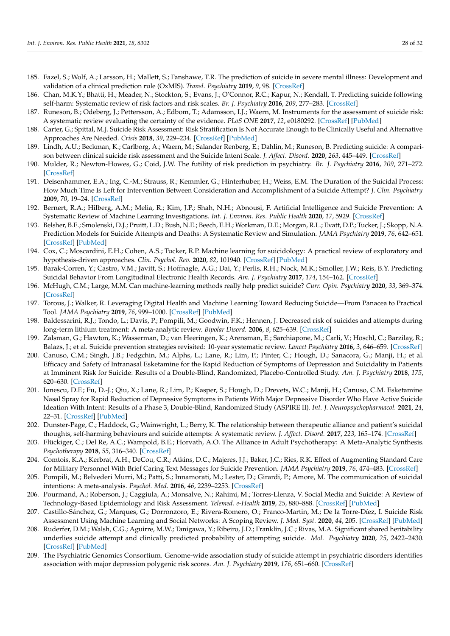- <span id="page-27-0"></span>185. Fazel, S.; Wolf, A.; Larsson, H.; Mallett, S.; Fanshawe, T.R. The prediction of suicide in severe mental illness: Development and validation of a clinical prediction rule (OxMIS). *Transl. Psychiatry* **2019**, *9*, 98. [\[CrossRef\]](http://doi.org/10.1038/s41398-019-0428-3)
- <span id="page-27-1"></span>186. Chan, M.K.Y.; Bhatti, H.; Meader, N.; Stockton, S.; Evans, J.; O'Connor, R.C.; Kapur, N.; Kendall, T. Predicting suicide following self-harm: Systematic review of risk factors and risk scales. *Br. J. Psychiatry* **2016**, *209*, 277–283. [\[CrossRef\]](http://doi.org/10.1192/bjp.bp.115.170050)
- 187. Runeson, B.; Odeberg, J.; Pettersson, A.; Edbom, T.; Adamsson, I.J.; Waern, M. Instruments for the assessment of suicide risk: A systematic review evaluating the certainty of the evidence. *PLoS ONE* **2017**, *12*, e0180292. [\[CrossRef\]](http://doi.org/10.1371/journal.pone.0180292) [\[PubMed\]](http://www.ncbi.nlm.nih.gov/pubmed/28723978)
- <span id="page-27-2"></span>188. Carter, G.; Spittal, M.J. Suicide Risk Assessment: Risk Stratification Is Not Accurate Enough to Be Clinically Useful and Alternative Approaches Are Needed. *Crisis* **2018**, *39*, 229–234. [\[CrossRef\]](http://doi.org/10.1027/0227-5910/a000558) [\[PubMed\]](http://www.ncbi.nlm.nih.gov/pubmed/29972324)
- <span id="page-27-3"></span>189. Lindh, A.U.; Beckman, K.; Carlborg, A.; Waern, M.; Salander Renberg, E.; Dahlin, M.; Runeson, B. Predicting suicide: A comparison between clinical suicide risk assessment and the Suicide Intent Scale. *J. Affect. Disord.* **2020**, *263*, 445–449. [\[CrossRef\]](http://doi.org/10.1016/j.jad.2019.11.131)
- <span id="page-27-4"></span>190. Mulder, R.; Newton-Howes, G.; Coid, J.W. The futility of risk prediction in psychiatry. *Br. J. Psychiatry* **2016**, *209*, 271–272. [\[CrossRef\]](http://doi.org/10.1192/bjp.bp.116.184960)
- <span id="page-27-5"></span>191. Deisenhammer, E.A.; Ing, C.-M.; Strauss, R.; Kemmler, G.; Hinterhuber, H.; Weiss, E.M. The Duration of the Suicidal Process: How Much Time Is Left for Intervention Between Consideration and Accomplishment of a Suicide Attempt? *J. Clin. Psychiatry* **2009**, *70*, 19–24. [\[CrossRef\]](http://doi.org/10.4088/JCP.07m03904)
- <span id="page-27-6"></span>192. Bernert, R.A.; Hilberg, A.M.; Melia, R.; Kim, J.P.; Shah, N.H.; Abnousi, F. Artificial Intelligence and Suicide Prevention: A Systematic Review of Machine Learning Investigations. *Int. J. Environ. Res. Public Health* **2020**, *17*, 5929. [\[CrossRef\]](http://doi.org/10.3390/ijerph17165929)
- <span id="page-27-7"></span>193. Belsher, B.E.; Smolenski, D.J.; Pruitt, L.D.; Bush, N.E.; Beech, E.H.; Workman, D.E.; Morgan, R.L.; Evatt, D.P.; Tucker, J.; Skopp, N.A. Prediction Models for Suicide Attempts and Deaths: A Systematic Review and Simulation. *JAMA Psychiatry* **2019**, *76*, 642–651. [\[CrossRef\]](http://doi.org/10.1001/jamapsychiatry.2019.0174) [\[PubMed\]](http://www.ncbi.nlm.nih.gov/pubmed/30865249)
- <span id="page-27-8"></span>194. Cox, C.; Moscardini, E.H.; Cohen, A.S.; Tucker, R.P. Machine learning for suicidology: A practical review of exploratory and hypothesis-driven approaches. *Clin. Psychol. Rev.* **2020**, *82*, 101940. [\[CrossRef\]](http://doi.org/10.1016/j.cpr.2020.101940) [\[PubMed\]](http://www.ncbi.nlm.nih.gov/pubmed/33130528)
- <span id="page-27-9"></span>195. Barak-Corren, Y.; Castro, V.M.; Javitt, S.; Hoffnagle, A.G.; Dai, Y.; Perlis, R.H.; Nock, M.K.; Smoller, J.W.; Reis, B.Y. Predicting Suicidal Behavior From Longitudinal Electronic Health Records. *Am. J. Psychiatry* **2017**, *174*, 154–162. [\[CrossRef\]](http://doi.org/10.1176/appi.ajp.2016.16010077)
- <span id="page-27-10"></span>196. McHugh, C.M.; Large, M.M. Can machine-learning methods really help predict suicide? *Curr. Opin. Psychiatry* **2020**, *33*, 369–374. [\[CrossRef\]](http://doi.org/10.1097/YCO.0000000000000609)
- <span id="page-27-11"></span>197. Torous, J.; Walker, R. Leveraging Digital Health and Machine Learning Toward Reducing Suicide—From Panacea to Practical Tool. *JAMA Psychiatry* **2019**, *76*, 999–1000. [\[CrossRef\]](http://doi.org/10.1001/jamapsychiatry.2019.1231) [\[PubMed\]](http://www.ncbi.nlm.nih.gov/pubmed/31290952)
- <span id="page-27-12"></span>198. Baldessarini, R.J.; Tondo, L.; Davis, P.; Pompili, M.; Goodwin, F.K.; Hennen, J. Decreased risk of suicides and attempts during long-term lithium treatment: A meta-analytic review. *Bipolar Disord.* **2006**, *8*, 625–639. [\[CrossRef\]](http://doi.org/10.1111/j.1399-5618.2006.00344.x)
- 199. Zalsman, G.; Hawton, K.; Wasserman, D.; van Heeringen, K.; Arensman, E.; Sarchiapone, M.; Carli, V.; Höschl, C.; Barzilay, R.; Balazs, J.; et al. Suicide prevention strategies revisited: 10-year systematic review. *Lancet Psychiatry* **2016**, *3*, 646–659. [\[CrossRef\]](http://doi.org/10.1016/S2215-0366(16)30030-X)
- 200. Canuso, C.M.; Singh, J.B.; Fedgchin, M.; Alphs, L.; Lane, R.; Lim, P.; Pinter, C.; Hough, D.; Sanacora, G.; Manji, H.; et al. Efficacy and Safety of Intranasal Esketamine for the Rapid Reduction of Symptoms of Depression and Suicidality in Patients at Imminent Risk for Suicide: Results of a Double-Blind, Randomized, Placebo-Controlled Study. *Am. J. Psychiatry* **2018**, *175*, 620–630. [\[CrossRef\]](http://doi.org/10.1176/appi.ajp.2018.17060720)
- <span id="page-27-13"></span>201. Ionescu, D.F.; Fu, D.-J.; Qiu, X.; Lane, R.; Lim, P.; Kasper, S.; Hough, D.; Drevets, W.C.; Manji, H.; Canuso, C.M. Esketamine Nasal Spray for Rapid Reduction of Depressive Symptoms in Patients With Major Depressive Disorder Who Have Active Suicide Ideation With Intent: Results of a Phase 3, Double-Blind, Randomized Study (ASPIRE II). *Int. J. Neuropsychopharmacol.* **2021**, *24*, 22–31. [\[CrossRef\]](http://doi.org/10.1093/ijnp/pyaa068) [\[PubMed\]](http://www.ncbi.nlm.nih.gov/pubmed/32861217)
- <span id="page-27-14"></span>202. Dunster-Page, C.; Haddock, G.; Wainwright, L.; Berry, K. The relationship between therapeutic alliance and patient's suicidal thoughts, self-harming behaviours and suicide attempts: A systematic review. *J. Affect. Disord.* **2017**, *223*, 165–174. [\[CrossRef\]](http://doi.org/10.1016/j.jad.2017.07.040)
- <span id="page-27-15"></span>203. Flückiger, C.; Del Re, A.C.; Wampold, B.E.; Horvath, A.O. The Alliance in Adult Psychotherapy: A Meta-Analytic Synthesis. *Psychotherapy* **2018**, *55*, 316–340. [\[CrossRef\]](http://doi.org/10.1037/pst0000172)
- <span id="page-27-16"></span>204. Comtois, K.A.; Kerbrat, A.H.; DeCou, C.R.; Atkins, D.C.; Majeres, J.J.; Baker, J.C.; Ries, R.K. Effect of Augmenting Standard Care for Military Personnel With Brief Caring Text Messages for Suicide Prevention. *JAMA Psychiatry* **2019**, *76*, 474–483. [\[CrossRef\]](http://doi.org/10.1001/jamapsychiatry.2018.4530)
- <span id="page-27-17"></span>205. Pompili, M.; Belvederi Murri, M.; Patti, S.; Innamorati, M.; Lester, D.; Girardi, P.; Amore, M. The communication of suicidal intentions: A meta-analysis. *Psychol. Med.* **2016**, *46*, 2239–2253. [\[CrossRef\]](http://doi.org/10.1017/S0033291716000696)
- <span id="page-27-18"></span>206. Pourmand, A.; Roberson, J.; Caggiula, A.; Monsalve, N.; Rahimi, M.; Torres-Llenza, V. Social Media and Suicide: A Review of Technology-Based Epidemiology and Risk Assessment. *Telemed. e-Health* **2019**, *25*, 880–888. [\[CrossRef\]](http://doi.org/10.1089/tmj.2018.0203) [\[PubMed\]](http://www.ncbi.nlm.nih.gov/pubmed/30362903)
- <span id="page-27-19"></span>207. Castillo-Sánchez, G.; Marques, G.; Dorronzoro, E.; Rivera-Romero, O.; Franco-Martin, M.; De la Torre-Díez, I. Suicide Risk Assessment Using Machine Learning and Social Networks: A Scoping Review. *J. Med. Syst.* **2020**, *44*, 205. [\[CrossRef\]](http://doi.org/10.1007/s10916-020-01669-5) [\[PubMed\]](http://www.ncbi.nlm.nih.gov/pubmed/33165729)
- <span id="page-27-20"></span>208. Ruderfer, D.M.; Walsh, C.G.; Aguirre, M.W.; Tanigawa, Y.; Ribeiro, J.D.; Franklin, J.C.; Rivas, M.A. Significant shared heritability underlies suicide attempt and clinically predicted probability of attempting suicide. *Mol. Psychiatry* **2020**, *25*, 2422–2430. [\[CrossRef\]](http://doi.org/10.1038/s41380-018-0326-8) [\[PubMed\]](http://www.ncbi.nlm.nih.gov/pubmed/30610202)
- <span id="page-27-21"></span>209. The Psychiatric Genomics Consortium. Genome-wide association study of suicide attempt in psychiatric disorders identifies association with major depression polygenic risk scores. *Am. J. Psychiatry* **2019**, *176*, 651–660. [\[CrossRef\]](http://doi.org/10.1176/appi.ajp.2019.18080957)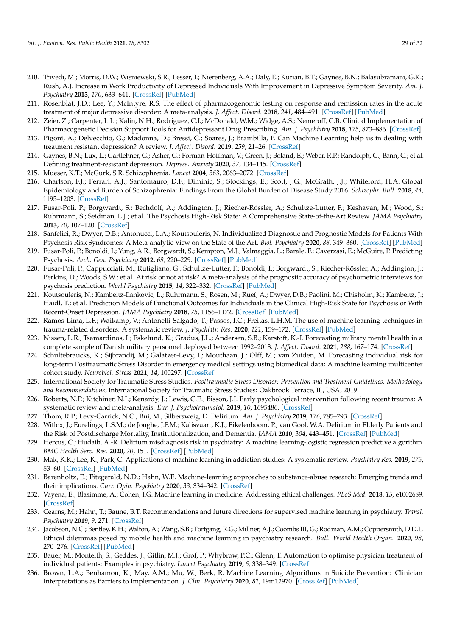- <span id="page-28-0"></span>210. Trivedi, M.; Morris, D.W.; Wisniewski, S.R.; Lesser, I.; Nierenberg, A.A.; Daly, E.; Kurian, B.T.; Gaynes, B.N.; Balasubramani, G.K.; Rush, A.J. Increase in Work Productivity of Depressed Individuals With Improvement in Depressive Symptom Severity. *Am. J. Psychiatry* **2013**, *170*, 633–641. [\[CrossRef\]](http://doi.org/10.1176/appi.ajp.2012.12020250) [\[PubMed\]](http://www.ncbi.nlm.nih.gov/pubmed/23558394)
- <span id="page-28-1"></span>211. Rosenblat, J.D.; Lee, Y.; McIntyre, R.S. The effect of pharmacogenomic testing on response and remission rates in the acute treatment of major depressive disorder: A meta-analysis. *J. Affect. Disord.* **2018**, *241*, 484–491. [\[CrossRef\]](http://doi.org/10.1016/j.jad.2018.08.056) [\[PubMed\]](http://www.ncbi.nlm.nih.gov/pubmed/30149336)
- <span id="page-28-2"></span>212. Zeier, Z.; Carpenter, L.L.; Kalin, N.H.; Rodriguez, C.I.; McDonald, W.M.; Widge, A.S.; Nemeroff, C.B. Clinical Implementation of Pharmacogenetic Decision Support Tools for Antidepressant Drug Prescribing. *Am. J. Psychiatry* **2018**, *175*, 873–886. [\[CrossRef\]](http://doi.org/10.1176/appi.ajp.2018.17111282)
- <span id="page-28-3"></span>213. Pigoni, A.; Delvecchio, G.; Madonna, D.; Bressi, C.; Soares, J.; Brambilla, P. Can Machine Learning help us in dealing with treatment resistant depression? A review. *J. Affect. Disord.* **2019**, *259*, 21–26. [\[CrossRef\]](http://doi.org/10.1016/j.jad.2019.08.009)
- <span id="page-28-4"></span>214. Gaynes, B.N.; Lux, L.; Gartlehner, G.; Asher, G.; Forman-Hoffman, V.; Green, J.; Boland, E.; Weber, R.P.; Randolph, C.; Bann, C.; et al. Defining treatment-resistant depression. *Depress. Anxiety* **2020**, *37*, 134–145. [\[CrossRef\]](http://doi.org/10.1002/da.22968)
- <span id="page-28-5"></span>215. Mueser, K.T.; McGurk, S.R. Schizophrenia. *Lancet* **2004**, *363*, 2063–2072. [\[CrossRef\]](http://doi.org/10.1016/S0140-6736(04)16458-1)
- <span id="page-28-6"></span>216. Charlson, F.J.; Ferrari, A.J.; Santomauro, D.F.; Diminic, S.; Stockings, E.; Scott, J.G.; McGrath, J.J.; Whiteford, H.A. Global Epidemiology and Burden of Schizophrenia: Findings From the Global Burden of Disease Study 2016. *Schizophr. Bull.* **2018**, *44*, 1195–1203. [\[CrossRef\]](http://doi.org/10.1093/schbul/sby058)
- <span id="page-28-7"></span>217. Fusar-Poli, P.; Borgwardt, S.; Bechdolf, A.; Addington, J.; Riecher-Rössler, A.; Schultze-Lutter, F.; Keshavan, M.; Wood, S.; Ruhrmann, S.; Seidman, L.J.; et al. The Psychosis High-Risk State: A Comprehensive State-of-the-Art Review. *JAMA Psychiatry* **2013**, *70*, 107–120. [\[CrossRef\]](http://doi.org/10.1001/jamapsychiatry.2013.269)
- <span id="page-28-8"></span>218. Sanfelici, R.; Dwyer, D.B.; Antonucci, L.A.; Koutsouleris, N. Individualized Diagnostic and Prognostic Models for Patients With Psychosis Risk Syndromes: A Meta-analytic View on the State of the Art. *Biol. Psychiatry* **2020**, *88*, 349–360. [\[CrossRef\]](http://doi.org/10.1016/j.biopsych.2020.02.009) [\[PubMed\]](http://www.ncbi.nlm.nih.gov/pubmed/32305218)
- <span id="page-28-9"></span>219. Fusar-Poli, P.; Bonoldi, I.; Yung, A.R.; Borgwardt, S.; Kempton, M.J.; Valmaggia, L.; Barale, F.; Caverzasi, E.; McGuire, P. Predicting Psychosis. *Arch. Gen. Psychiatry* **2012**, *69*, 220–229. [\[CrossRef\]](http://doi.org/10.1001/archgenpsychiatry.2011.1472) [\[PubMed\]](http://www.ncbi.nlm.nih.gov/pubmed/22393215)
- <span id="page-28-10"></span>220. Fusar-Poli, P.; Cappucciati, M.; Rutigliano, G.; Schultze-Lutter, F.; Bonoldi, I.; Borgwardt, S.; Riecher-Rössler, A.; Addington, J.; Perkins, D.; Woods, S.W.; et al. At risk or not at risk? A meta-analysis of the prognostic accuracy of psychometric interviews for psychosis prediction. *World Psychiatry* **2015**, *14*, 322–332. [\[CrossRef\]](http://doi.org/10.1002/wps.20250) [\[PubMed\]](http://www.ncbi.nlm.nih.gov/pubmed/26407788)
- <span id="page-28-11"></span>221. Koutsouleris, N.; Kambeitz-Ilankovic, L.; Ruhrmann, S.; Rosen, M.; Ruef, A.; Dwyer, D.B.; Paolini, M.; Chisholm, K.; Kambeitz, J.; Haidl, T.; et al. Prediction Models of Functional Outcomes for Individuals in the Clinical High-Risk State for Psychosis or With Recent-Onset Depression. *JAMA Psychiatry* **2018**, *75*, 1156–1172. [\[CrossRef\]](http://doi.org/10.1001/jamapsychiatry.2018.2165) [\[PubMed\]](http://www.ncbi.nlm.nih.gov/pubmed/30267047)
- <span id="page-28-12"></span>222. Ramos-Lima, L.F.; Waikamp, V.; Antonelli-Salgado, T.; Passos, I.C.; Freitas, L.H.M. The use of machine learning techniques in trauma-related disorders: A systematic review. *J. Psychiatr. Res.* **2020**, *121*, 159–172. [\[CrossRef\]](http://doi.org/10.1016/j.jpsychires.2019.12.001) [\[PubMed\]](http://www.ncbi.nlm.nih.gov/pubmed/31830722)
- 223. Nissen, L.R.; Tsamardinos, I.; Eskelund, K.; Gradus, J.L.; Andersen, S.B.; Karstoft, K.-I. Forecasting military mental health in a complete sample of Danish military personnel deployed between 1992–2013. *J. Affect. Disord.* **2021**, *288*, 167–174. [\[CrossRef\]](http://doi.org/10.1016/j.jad.2021.04.010)
- <span id="page-28-13"></span>224. Schultebraucks, K.; Sijbrandij, M.; Galatzer-Levy, I.; Mouthaan, J.; Olff, M.; van Zuiden, M. Forecasting individual risk for long-term Posttraumatic Stress Disorder in emergency medical settings using biomedical data: A machine learning multicenter cohort study. *Neurobiol. Stress* **2021**, *14*, 100297. [\[CrossRef\]](http://doi.org/10.1016/j.ynstr.2021.100297)
- <span id="page-28-14"></span>225. International Society for Traumatic Stress Studies. *Posttraumatic Stress Disorder: Prevention and Treatment Guidelines. Methodology and Recommendations*; International Society for Traumatic Stress Studies: Oakbrook Terrace, IL, USA, 2019.
- <span id="page-28-15"></span>226. Roberts, N.P.; Kitchiner, N.J.; Kenardy, J.; Lewis, C.E.; Bisson, J.I. Early psychological intervention following recent trauma: A systematic review and meta-analysis. *Eur. J. Psychotraumatol.* **2019**, *10*, 1695486. [\[CrossRef\]](http://doi.org/10.1080/20008198.2019.1695486)
- <span id="page-28-16"></span>227. Thom, R.P.; Levy-Carrick, N.C.; Bui, M.; Silbersweig, D. Delirium. *Am. J. Psychiatry* **2019**, *176*, 785–793. [\[CrossRef\]](http://doi.org/10.1176/appi.ajp.2018.18070893)
- <span id="page-28-17"></span>228. Witlox, J.; Eurelings, L.S.M.; de Jonghe, J.F.M.; Kalisvaart, K.J.; Eikelenboom, P.; van Gool, W.A. Delirium in Elderly Patients and the Risk of Postdischarge Mortality, Institutionalization, and Dementia. *JAMA* **2010**, *304*, 443–451. [\[CrossRef\]](http://doi.org/10.1001/jama.2010.1013) [\[PubMed\]](http://www.ncbi.nlm.nih.gov/pubmed/20664045)
- <span id="page-28-18"></span>229. Hercus, C.; Hudaib, A.-R. Delirium misdiagnosis risk in psychiatry: A machine learning-logistic regression predictive algorithm. *BMC Health Serv. Res.* **2020**, *20*, 151. [\[CrossRef\]](http://doi.org/10.1186/s12913-020-5005-1) [\[PubMed\]](http://www.ncbi.nlm.nih.gov/pubmed/32106845)
- <span id="page-28-19"></span>230. Mak, K.K.; Lee, K.; Park, C. Applications of machine learning in addiction studies: A systematic review. *Psychiatry Res.* **2019**, *275*, 53–60. [\[CrossRef\]](http://doi.org/10.1016/j.psychres.2019.03.001) [\[PubMed\]](http://www.ncbi.nlm.nih.gov/pubmed/30878857)
- <span id="page-28-20"></span>231. Barenholtz, E.; Fitzgerald, N.D.; Hahn, W.E. Machine-learning approaches to substance-abuse research: Emerging trends and their implications. *Curr. Opin. Psychiatry* **2020**, *33*, 334–342. [\[CrossRef\]](http://doi.org/10.1097/YCO.0000000000000611)
- <span id="page-28-21"></span>232. Vayena, E.; Blasimme, A.; Cohen, I.G. Machine learning in medicine: Addressing ethical challenges. *PLoS Med.* **2018**, *15*, e1002689. [\[CrossRef\]](http://doi.org/10.1371/journal.pmed.1002689)
- <span id="page-28-22"></span>233. Cearns, M.; Hahn, T.; Baune, B.T. Recommendations and future directions for supervised machine learning in psychiatry. *Transl. Psychiatry* **2019**, *9*, 271. [\[CrossRef\]](http://doi.org/10.1038/s41398-019-0607-2)
- <span id="page-28-23"></span>234. Jacobson, N.C.; Bentley, K.H.; Walton, A.; Wang, S.B.; Fortgang, R.G.; Millner, A.J.; Coombs III, G.; Rodman, A.M.; Coppersmith, D.D.L. Ethical dilemmas posed by mobile health and machine learning in psychiatry research. *Bull. World Health Organ.* **2020**, *98*, 270–276. [\[CrossRef\]](http://doi.org/10.2471/BLT.19.237107) [\[PubMed\]](http://www.ncbi.nlm.nih.gov/pubmed/32284651)
- <span id="page-28-24"></span>235. Bauer, M.; Monteith, S.; Geddes, J.; Gitlin, M.J.; Grof, P.; Whybrow, P.C.; Glenn, T. Automation to optimise physician treatment of individual patients: Examples in psychiatry. *Lancet Psychiatry* **2019**, *6*, 338–349. [\[CrossRef\]](http://doi.org/10.1016/S2215-0366(19)30041-0)
- <span id="page-28-25"></span>236. Brown, L.A.; Benhamou, K.; May, A.M.; Mu, W.; Berk, R. Machine Learning Algorithms in Suicide Prevention: Clinician Interpretations as Barriers to Implementation. *J. Clin. Psychiatry* **2020**, *81*, 19m12970. [\[CrossRef\]](http://doi.org/10.4088/JCP.19m12970) [\[PubMed\]](http://www.ncbi.nlm.nih.gov/pubmed/32316078)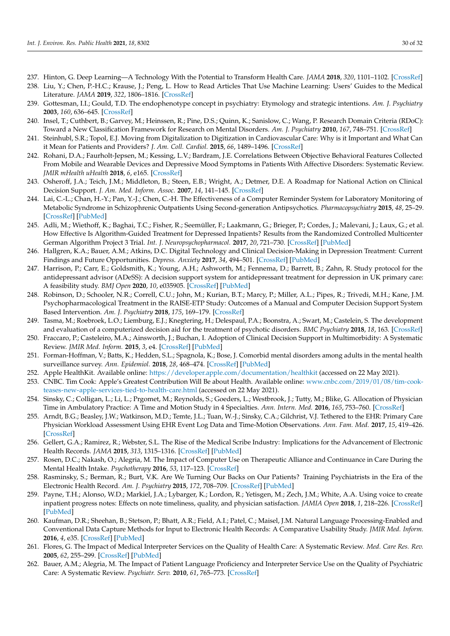- <span id="page-29-0"></span>237. Hinton, G. Deep Learning—A Technology With the Potential to Transform Health Care. *JAMA* **2018**, *320*, 1101–1102. [\[CrossRef\]](http://doi.org/10.1001/jama.2018.11100)
- <span id="page-29-1"></span>238. Liu, Y.; Chen, P.-H.C.; Krause, J.; Peng, L. How to Read Articles That Use Machine Learning: Users' Guides to the Medical Literature. *JAMA* **2019**, *322*, 1806–1816. [\[CrossRef\]](http://doi.org/10.1001/jama.2019.16489)
- <span id="page-29-2"></span>239. Gottesman, I.I.; Gould, T.D. The endophenotype concept in psychiatry: Etymology and strategic intentions. *Am. J. Psychiatry* **2003**, *160*, 636–645. [\[CrossRef\]](http://doi.org/10.1176/appi.ajp.160.4.636)
- <span id="page-29-3"></span>240. Insel, T.; Cuthbert, B.; Garvey, M.; Heinssen, R.; Pine, D.S.; Quinn, K.; Sanislow, C.; Wang, P. Research Domain Criteria (RDoC): Toward a New Classification Framework for Research on Mental Disorders. *Am. J. Psychiatry* **2010**, *167*, 748–751. [\[CrossRef\]](http://doi.org/10.1176/appi.ajp.2010.09091379)
- <span id="page-29-4"></span>241. Steinhubl, S.R.; Topol, E.J. Moving from Digitalization to Digitization in Cardiovascular Care: Why is it Important and What Can it Mean for Patients and Providers? *J. Am. Coll. Cardiol.* **2015**, *66*, 1489–1496. [\[CrossRef\]](http://doi.org/10.1016/j.jacc.2015.08.006)
- <span id="page-29-5"></span>242. Rohani, D.A.; Faurholt-Jepsen, M.; Kessing, L.V.; Bardram, J.E. Correlations Between Objective Behavioral Features Collected From Mobile and Wearable Devices and Depressive Mood Symptoms in Patients With Affective Disorders: Systematic Review. *JMIR mHealth uHealth* **2018**, *6*, e165. [\[CrossRef\]](http://doi.org/10.2196/mhealth.9691)
- <span id="page-29-6"></span>243. Osheroff, J.A.; Teich, J.M.; Middleton, B.; Steen, E.B.; Wright, A.; Detmer, D.E. A Roadmap for National Action on Clinical Decision Support. *J. Am. Med. Inform. Assoc.* **2007**, *14*, 141–145. [\[CrossRef\]](http://doi.org/10.1197/jamia.M2334)
- <span id="page-29-7"></span>244. Lai, C.-L.; Chan, H.-Y.; Pan, Y.-J.; Chen, C.-H. The Effectiveness of a Computer Reminder System for Laboratory Monitoring of Metabolic Syndrome in Schizophrenic Outpatients Using Second-generation Antipsychotics. *Pharmacopsychiatry* **2015**, *48*, 25–29. [\[CrossRef\]](http://doi.org/10.1055/s-0034-1394396) [\[PubMed\]](http://www.ncbi.nlm.nih.gov/pubmed/25350604)
- <span id="page-29-8"></span>245. Adli, M.; Wiethoff, K.; Baghai, T.C.; Fisher, R.; Seemüller, F.; Laakmann, G.; Brieger, P.; Cordes, J.; Malevani, J.; Laux, G.; et al. How Effective Is Algorithm-Guided Treatment for Depressed Inpatients? Results from the Randomized Controlled Multicenter German Algorithm Project 3 Trial. *Int. J. Neuropsychopharmacol.* **2017**, *20*, 721–730. [\[CrossRef\]](http://doi.org/10.1093/ijnp/pyx043) [\[PubMed\]](http://www.ncbi.nlm.nih.gov/pubmed/28645191)
- 246. Hallgren, K.A.; Bauer, A.M.; Atkins, D.C. Digital Technology and Clinical Decision-Making in Depression Treatment: Current Findings and Future Opportunities. *Depress. Anxiety* **2017**, *34*, 494–501. [\[CrossRef\]](http://doi.org/10.1002/da.22640) [\[PubMed\]](http://www.ncbi.nlm.nih.gov/pubmed/28453916)
- 247. Harrison, P.; Carr, E.; Goldsmith, K.; Young, A.H.; Ashworth, M.; Fennema, D.; Barrett, B.; Zahn, R. Study protocol for the antidepressant advisor (ADeSS): A decision support system for antidepressant treatment for depression in UK primary care: A feasibility study. *BMJ Open* **2020**, *10*, e035905. [\[CrossRef\]](http://doi.org/10.1136/bmjopen-2019-035905) [\[PubMed\]](http://www.ncbi.nlm.nih.gov/pubmed/32448796)
- 248. Robinson, D.; Schooler, N.R.; Correll, C.U.; John, M.; Kurian, B.T.; Marcy, P.; Miller, A.L.; Pipes, R.; Trivedi, M.H.; Kane, J.M. Psychopharmacological Treatment in the RAISE-ETP Study: Outcomes of a Manual and Computer Decision Support System Based Intervention. *Am. J. Psychiatry* **2018**, *175*, 169–179. [\[CrossRef\]](http://doi.org/10.1176/appi.ajp.2017.16080919)
- <span id="page-29-9"></span>249. Tasma, M.; Roebroek, L.O.; Liemburg, E.J.; Knegtering, H.; Delespaul, P.A.; Boonstra, A.; Swart, M.; Castelein, S. The development and evaluation of a computerized decision aid for the treatment of psychotic disorders. *BMC Psychiatry* **2018**, *18*, 163. [\[CrossRef\]](http://doi.org/10.1186/s12888-018-1750-7)
- <span id="page-29-10"></span>250. Fraccaro, P.; Casteleiro, M.A.; Ainsworth, J.; Buchan, I. Adoption of Clinical Decision Support in Multimorbidity: A Systematic Review. *JMIR Med. Inform.* **2015**, *3*, e4. [\[CrossRef\]](http://doi.org/10.2196/medinform.3503) [\[PubMed\]](http://www.ncbi.nlm.nih.gov/pubmed/25785897)
- <span id="page-29-11"></span>251. Forman-Hoffman, V.; Batts, K.; Hedden, S.L.; Spagnola, K.; Bose, J. Comorbid mental disorders among adults in the mental health surveillance survey. *Ann. Epidemiol.* **2018**, *28*, 468–474. [\[CrossRef\]](http://doi.org/10.1016/j.annepidem.2018.03.002) [\[PubMed\]](http://www.ncbi.nlm.nih.gov/pubmed/29602518)
- <span id="page-29-12"></span>252. Apple HealthKit. Available online: <https://developer.apple.com/documentation/healthkit> (accessed on 22 May 2021).
- <span id="page-29-13"></span>253. CNBC. Tim Cook: Apple's Greatest Contribution Will Be about Health. Available online: [www.cnbc.com/2019/01/08/tim-cook](www.cnbc.com/2019/01/08/tim-cook-teases-new-apple-services-tied-to-health-care.html)[teases-new-apple-services-tied-to-health-care.html](www.cnbc.com/2019/01/08/tim-cook-teases-new-apple-services-tied-to-health-care.html) (accessed on 22 May 2021).
- <span id="page-29-14"></span>254. Sinsky, C.; Colligan, L.; Li, L.; Prgomet, M.; Reynolds, S.; Goeders, L.; Westbrook, J.; Tutty, M.; Blike, G. Allocation of Physician Time in Ambulatory Practice: A Time and Motion Study in 4 Specialties. *Ann. Intern. Med.* **2016**, *165*, 753–760. [\[CrossRef\]](http://doi.org/10.7326/M16-0961)
- <span id="page-29-15"></span>255. Arndt, B.G.; Beasley, J.W.; Watkinson, M.D.; Temte, J.L.; Tuan, W.-J.; Sinsky, C.A.; Gilchrist, V.J. Tethered to the EHR: Primary Care Physician Workload Assessment Using EHR Event Log Data and Time-Motion Observations. *Ann. Fam. Med.* **2017**, *15*, 419–426. [\[CrossRef\]](http://doi.org/10.1370/afm.2121)
- <span id="page-29-16"></span>256. Gellert, G.A.; Ramirez, R.; Webster, S.L. The Rise of the Medical Scribe Industry: Implications for the Advancement of Electronic Health Records. *JAMA* **2015**, *313*, 1315–1316. [\[CrossRef\]](http://doi.org/10.1001/jama.2014.17128) [\[PubMed\]](http://www.ncbi.nlm.nih.gov/pubmed/25504341)
- <span id="page-29-17"></span>257. Rosen, D.C.; Nakash, O.; Alegria, M. The Impact of Computer Use on Therapeutic Alliance and Continuance in Care During the Mental Health Intake. *Psychotherapy* **2016**, *53*, 117–123. [\[CrossRef\]](http://doi.org/10.1037/pst0000022)
- <span id="page-29-18"></span>258. Rasminsky, S.; Berman, R.; Burt, V.K. Are We Turning Our Backs on Our Patients? Training Psychiatrists in the Era of the Electronic Health Record. *Am. J. Psychiatry* **2015**, *172*, 708–709. [\[CrossRef\]](http://doi.org/10.1176/appi.ajp.2015.15030333) [\[PubMed\]](http://www.ncbi.nlm.nih.gov/pubmed/26234594)
- <span id="page-29-19"></span>259. Payne, T.H.; Alonso, W.D.; Markiel, J.A.; Lybarger, K.; Lordon, R.; Yetisgen, M.; Zech, J.M.; White, A.A. Using voice to create inpatient progress notes: Effects on note timeliness, quality, and physician satisfaction. *JAMIA Open* **2018**, *1*, 218–226. [\[CrossRef\]](http://doi.org/10.1093/jamiaopen/ooy036) [\[PubMed\]](http://www.ncbi.nlm.nih.gov/pubmed/31984334)
- <span id="page-29-20"></span>260. Kaufman, D.R.; Sheehan, B.; Stetson, P.; Bhatt, A.R.; Field, A.I.; Patel, C.; Maisel, J.M. Natural Language Processing-Enabled and Conventional Data Capture Methods for Input to Electronic Health Records: A Comparative Usability Study. *JMIR Med. Inform.* **2016**, *4*, e35. [\[CrossRef\]](http://doi.org/10.2196/medinform.5544) [\[PubMed\]](http://www.ncbi.nlm.nih.gov/pubmed/27793791)
- <span id="page-29-21"></span>261. Flores, G. The Impact of Medical Interpreter Services on the Quality of Health Care: A Systematic Review. *Med. Care Res. Rev.* **2005**, *62*, 255–299. [\[CrossRef\]](http://doi.org/10.1177/1077558705275416) [\[PubMed\]](http://www.ncbi.nlm.nih.gov/pubmed/15894705)
- <span id="page-29-22"></span>262. Bauer, A.M.; Alegria, M. The Impact of Patient Language Proficiency and Interpreter Service Use on the Quality of Psychiatric Care: A Systematic Review. *Psychiatr. Serv.* **2010**, *61*, 765–773. [\[CrossRef\]](http://doi.org/10.1176/ps.2010.61.8.765)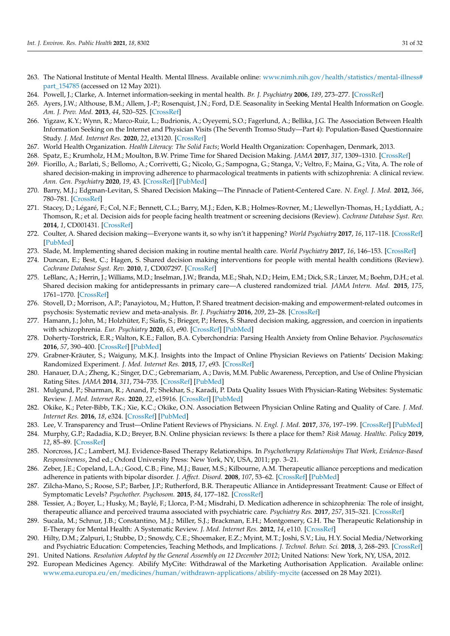- <span id="page-30-0"></span>263. The National Institute of Mental Health. Mental Illness. Available online: [www.nimh.nih.gov/health/statistics/mental-illness#](www.nimh.nih.gov/health/statistics/mental-illness#part_154785) [part\\_154785](www.nimh.nih.gov/health/statistics/mental-illness#part_154785) (accessed on 12 May 2021).
- <span id="page-30-1"></span>264. Powell, J.; Clarke, A. Internet information-seeking in mental health. *Br. J. Psychiatry* **2006**, *189*, 273–277. [\[CrossRef\]](http://doi.org/10.1192/bjp.bp.105.017319)
- <span id="page-30-2"></span>265. Ayers, J.W.; Althouse, B.M.; Allem, J.-P.; Rosenquist, J.N.; Ford, D.E. Seasonality in Seeking Mental Health Information on Google. *Am. J. Prev. Med.* **2013**, *44*, 520–525. [\[CrossRef\]](http://doi.org/10.1016/j.amepre.2013.01.012)
- <span id="page-30-3"></span>266. Yigzaw, K.Y.; Wynn, R.; Marco-Ruiz, L.; Budrionis, A.; Oyeyemi, S.O.; Fagerlund, A.; Bellika, J.G. The Association Between Health Information Seeking on the Internet and Physician Visits (The Seventh Tromso Study—Part 4): Population-Based Questionnaire Study. *J. Med. Internet Res.* **2020**, *22*, e13120. [\[CrossRef\]](http://doi.org/10.2196/13120)
- <span id="page-30-4"></span>267. World Health Organization. *Health Literacy: The Solid Facts*; World Health Organization: Copenhagen, Denmark, 2013.
- <span id="page-30-5"></span>268. Spatz, E.; Krumholz, H.M.; Moulton, B.W. Prime Time for Shared Decision Making. *JAMA* **2017**, *317*, 1309–1310. [\[CrossRef\]](http://doi.org/10.1001/jama.2017.0616)
- <span id="page-30-6"></span>269. Fiorillo, A.; Barlati, S.; Bellomo, A.; Corrivetti, G.; Nicolo, G.; Sampogna, G.; Stanga, V.; Veltro, F.; Maina, G.; Vita, A. The role of shared decision-making in improving adherence to pharmacological treatments in patients with schizophrenia: A clinical review. *Ann. Gen. Psychiatry* **2020**, *19*, 43. [\[CrossRef\]](http://doi.org/10.1186/s12991-020-00293-4) [\[PubMed\]](http://www.ncbi.nlm.nih.gov/pubmed/32774442)
- <span id="page-30-7"></span>270. Barry, M.J.; Edgman-Levitan, S. Shared Decision Making—The Pinnacle of Patient-Centered Care. *N. Engl. J. Med.* **2012**, *366*, 780–781. [\[CrossRef\]](http://doi.org/10.1056/NEJMp1109283)
- <span id="page-30-8"></span>271. Stacey, D.; Légaré, F.; Col, N.F.; Bennett, C.L.; Barry, M.J.; Eden, K.B.; Holmes-Rovner, M.; Llewellyn-Thomas, H.; Lyddiatt, A.; Thomson, R.; et al. Decision aids for people facing health treatment or screening decisions (Review). *Cochrane Database Syst. Rev.* **2014**, *1*, CD001431. [\[CrossRef\]](http://doi.org/10.1002/14651858.CD001431.pub4)
- <span id="page-30-9"></span>272. Coulter, A. Shared decision making—Everyone wants it, so why isn't it happening? *World Psychiatry* **2017**, *16*, 117–118. [\[CrossRef\]](http://doi.org/10.1002/wps.20407) [\[PubMed\]](http://www.ncbi.nlm.nih.gov/pubmed/28498596)
- <span id="page-30-10"></span>273. Slade, M. Implementing shared decision making in routine mental health care. *World Psychiatry* **2017**, *16*, 146–153. [\[CrossRef\]](http://doi.org/10.1002/wps.20412)
- <span id="page-30-11"></span>274. Duncan, E.; Best, C.; Hagen, S. Shared decision making interventions for people with mental health conditions (Review). *Cochrane Database Syst. Rev.* **2010**, *1*, CD007297. [\[CrossRef\]](http://doi.org/10.1002/14651858.CD007297.pub2)
- <span id="page-30-12"></span>275. LeBlanc, A.; Herrin, J.; Williams, M.D.; Inselman, J.W.; Branda, M.E.; Shah, N.D.; Heim, E.M.; Dick, S.R.; Linzer, M.; Boehm, D.H.; et al. Shared decision making for antidepressants in primary care—A clustered randomized trial. *JAMA Intern. Med.* **2015**, *175*, 1761–1770. [\[CrossRef\]](http://doi.org/10.1001/jamainternmed.2015.5214)
- 276. Stovell, D.; Morrison, A.P.; Panayiotou, M.; Hutton, P. Shared treatment decision-making and empowerment-related outcomes in psychosis: Systematic review and meta-analysis. *Br. J. Psychiatry* **2016**, *209*, 23–28. [\[CrossRef\]](http://doi.org/10.1192/bjp.bp.114.158931)
- <span id="page-30-13"></span>277. Hamann, J.; John, M.; Holzhüter, F.; Siafis, S.; Brieger, P.; Heres, S. Shared decision making, aggression, and coercion in inpatients with schizophrenia. *Eur. Psychiatry* **2020**, *63*, e90. [\[CrossRef\]](http://doi.org/10.1192/j.eurpsy.2020.88) [\[PubMed\]](http://www.ncbi.nlm.nih.gov/pubmed/32981554)
- <span id="page-30-14"></span>278. Doherty-Torstrick, E.R.; Walton, K.E.; Fallon, B.A. Cyberchondria: Parsing Health Anxiety from Online Behavior. *Psychosomatics* **2016**, *57*, 390–400. [\[CrossRef\]](http://doi.org/10.1016/j.psym.2016.02.002) [\[PubMed\]](http://www.ncbi.nlm.nih.gov/pubmed/27044514)
- <span id="page-30-15"></span>279. Grabner-Kräuter, S.; Waiguny, M.K.J. Insights into the Impact of Online Physician Reviews on Patients' Decision Making: Randomized Experiment. *J. Med. Internet Res.* **2015**, *17*, e93. [\[CrossRef\]](http://doi.org/10.2196/jmir.3991)
- <span id="page-30-16"></span>280. Hanauer, D.A.; Zheng, K.; Singer, D.C.; Gebremariam, A.; Davis, M.M. Public Awareness, Perception, and Use of Online Physician Rating Sites. *JAMA* **2014**, *311*, 734–735. [\[CrossRef\]](http://doi.org/10.1001/jama.2013.283194) [\[PubMed\]](http://www.ncbi.nlm.nih.gov/pubmed/24549555)
- <span id="page-30-17"></span>281. Mulgund, P.; Sharman, R.; Anand, P.; Shekhar, S.; Karadi, P. Data Quality Issues With Physician-Rating Websites: Systematic Review. *J. Med. Internet Res.* **2020**, *22*, e15916. [\[CrossRef\]](http://doi.org/10.2196/15916) [\[PubMed\]](http://www.ncbi.nlm.nih.gov/pubmed/32986000)
- <span id="page-30-18"></span>282. Okike, K.; Peter-Bibb, T.K.; Xie, K.C.; Okike, O.N. Association Between Physician Online Rating and Quality of Care. *J. Med. Internet Res.* **2016**, *18*, e324. [\[CrossRef\]](http://doi.org/10.2196/jmir.6612) [\[PubMed\]](http://www.ncbi.nlm.nih.gov/pubmed/27965191)
- <span id="page-30-19"></span>283. Lee, V. Transparency and Trust—Online Patient Reviews of Physicians. *N. Engl. J. Med.* **2017**, *376*, 197–199. [\[CrossRef\]](http://doi.org/10.1056/NEJMp1610136) [\[PubMed\]](http://www.ncbi.nlm.nih.gov/pubmed/28099823)
- <span id="page-30-20"></span>284. Murphy, G.P.; Radadia, K.D.; Breyer, B.N. Online physician reviews: Is there a place for them? *Risk Manag. Healthc. Policy* **2019**, *12*, 85–89. [\[CrossRef\]](http://doi.org/10.2147/RMHP.S170381)
- <span id="page-30-21"></span>285. Norcross, J.C.; Lambert, M.J. Evidence-Based Therapy Relationships. In *Psychotherapy Relationships That Work, Evidence-Based Responsiveness*, 2nd ed.; Oxford University Press: New York, NY, USA, 2011; pp. 3–21.
- <span id="page-30-22"></span>286. Zeber, J.E.; Copeland, L.A.; Good, C.B.; Fine, M.J.; Bauer, M.S.; Kilbourne, A.M. Therapeutic alliance perceptions and medication adherence in patients with bipolar disorder. *J. Affect. Disord.* **2008**, *107*, 53–62. [\[CrossRef\]](http://doi.org/10.1016/j.jad.2007.07.026) [\[PubMed\]](http://www.ncbi.nlm.nih.gov/pubmed/17822779)
- 287. Zilcha-Mano, S.; Roose, S.P.; Barber, J.P.; Rutherford, B.R. Therapeutic Alliance in Antidepressant Treatment: Cause or Effect of Symptomatic Levels? *Psychother. Psychosom.* **2015**, *84*, 177–182. [\[CrossRef\]](http://doi.org/10.1159/000379756)
- <span id="page-30-23"></span>288. Tessier, A.; Boyer, L.; Husky, M.; Baylé, F.; Llorca, P.-M.; Misdrahi, D. Medication adherence in schizophrenia: The role of insight, therapeutic alliance and perceived trauma associated with psychiatric care. *Psychiatry Res.* **2017**, *257*, 315–321. [\[CrossRef\]](http://doi.org/10.1016/j.psychres.2017.07.063)
- <span id="page-30-24"></span>289. Sucala, M.; Schnur, J.B.; Constantino, M.J.; Miller, S.J.; Brackman, E.H.; Montgomery, G.H. The Therapeutic Relationship in E-Therapy for Mental Health: A Systematic Review. *J. Med. Internet Res.* **2012**, *14*, e110. [\[CrossRef\]](http://doi.org/10.2196/jmir.2084)
- <span id="page-30-25"></span>290. Hilty, D.M.; Zalpuri, I.; Stubbe, D.; Snowdy, C.E.; Shoemaker, E.Z.; Myint, M.T.; Joshi, S.V.; Liu, H.Y. Social Media/Networking and Psychiatric Education: Competencies, Teaching Methods, and Implications. *J. Technol. Behav. Sci.* **2018**, *3*, 268–293. [\[CrossRef\]](http://doi.org/10.1007/s41347-018-0061-7)
- <span id="page-30-26"></span>291. United Nations. *Resolution Adopted by the General Assembly on 12 December 2012*; United Nations: New York, NY, USA, 2012.
- <span id="page-30-27"></span>292. European Medicines Agency. Abilify MyCite: Withdrawal of the Marketing Authorisation Application. Available online: <www.ema.europa.eu/en/medicines/human/withdrawn-applications/abilify-mycite> (accessed on 28 May 2021).